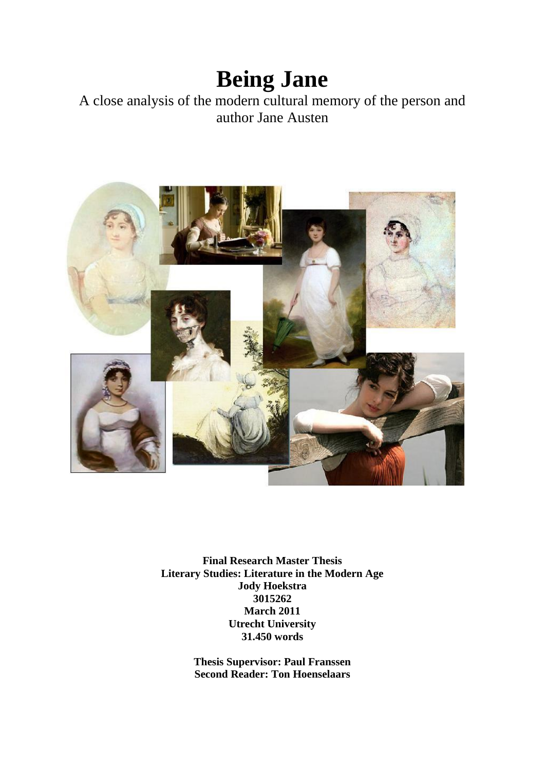# **Being Jane**

A close analysis of the modern cultural memory of the person and author Jane Austen



**Final Research Master Thesis Literary Studies: Literature in the Modern Age Jody Hoekstra 3015262 March 2011 Utrecht University 31.450 words**

> **Thesis Supervisor: Paul Franssen Second Reader: Ton Hoenselaars**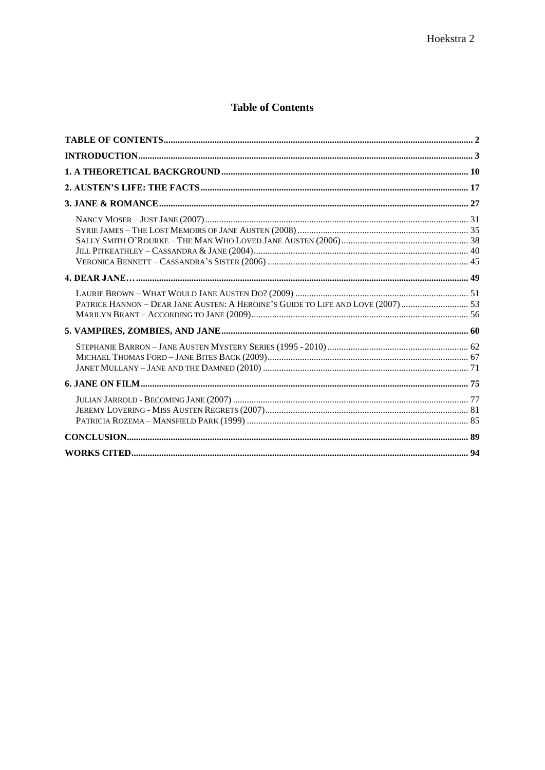## **Table of Contents**

| PATRICE HANNON - DEAR JANE AUSTEN: A HEROINE'S GUIDE TO LIFE AND LOVE (2007)  53 |  |
|----------------------------------------------------------------------------------|--|
|                                                                                  |  |
|                                                                                  |  |
|                                                                                  |  |
|                                                                                  |  |
|                                                                                  |  |
|                                                                                  |  |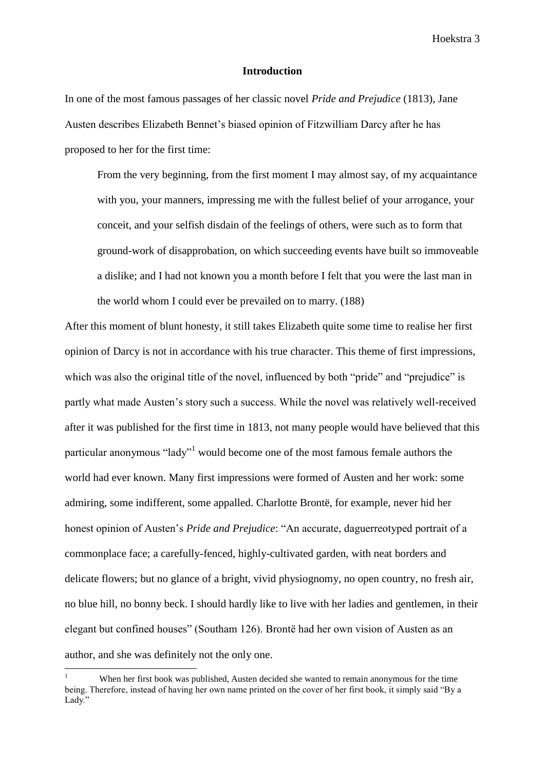### **Introduction**

In one of the most famous passages of her classic novel *Pride and Prejudice* (1813), Jane Austen describes Elizabeth Bennet's biased opinion of Fitzwilliam Darcy after he has proposed to her for the first time:

From the very beginning, from the first moment I may almost say, of my acquaintance with you, your manners, impressing me with the fullest belief of your arrogance, your conceit, and your selfish disdain of the feelings of others, were such as to form that ground-work of disapprobation, on which succeeding events have built so immoveable a dislike; and I had not known you a month before I felt that you were the last man in the world whom I could ever be prevailed on to marry. (188)

After this moment of blunt honesty, it still takes Elizabeth quite some time to realise her first opinion of Darcy is not in accordance with his true character. This theme of first impressions, which was also the original title of the novel, influenced by both "pride" and "prejudice" is partly what made Austen"s story such a success. While the novel was relatively well-received after it was published for the first time in 1813, not many people would have believed that this particular anonymous "lady"<sup>1</sup> would become one of the most famous female authors the world had ever known. Many first impressions were formed of Austen and her work: some admiring, some indifferent, some appalled. Charlotte Brontë, for example, never hid her honest opinion of Austen"s *Pride and Prejudice*: "An accurate, daguerreotyped portrait of a commonplace face; a carefully-fenced, highly-cultivated garden, with neat borders and delicate flowers; but no glance of a bright, vivid physiognomy, no open country, no fresh air, no blue hill, no bonny beck. I should hardly like to live with her ladies and gentlemen, in their elegant but confined houses" (Southam 126). Brontë had her own vision of Austen as an author, and she was definitely not the only one.

1

<sup>1</sup> When her first book was published, Austen decided she wanted to remain anonymous for the time being. Therefore, instead of having her own name printed on the cover of her first book, it simply said "By a Lady."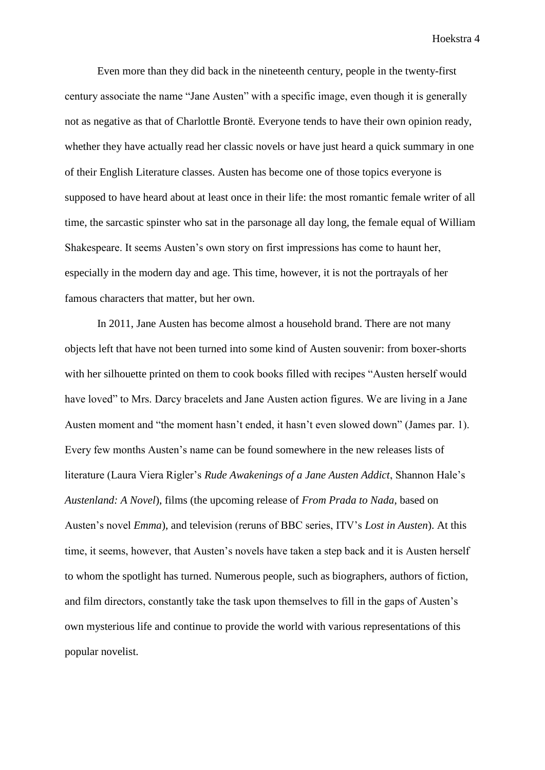Even more than they did back in the nineteenth century, people in the twenty-first century associate the name "Jane Austen" with a specific image, even though it is generally not as negative as that of Charlottle Brontë. Everyone tends to have their own opinion ready, whether they have actually read her classic novels or have just heard a quick summary in one of their English Literature classes. Austen has become one of those topics everyone is supposed to have heard about at least once in their life: the most romantic female writer of all time, the sarcastic spinster who sat in the parsonage all day long, the female equal of William Shakespeare. It seems Austen"s own story on first impressions has come to haunt her, especially in the modern day and age. This time, however, it is not the portrayals of her famous characters that matter, but her own.

In 2011, Jane Austen has become almost a household brand. There are not many objects left that have not been turned into some kind of Austen souvenir: from boxer-shorts with her silhouette printed on them to cook books filled with recipes "Austen herself would have loved" to Mrs. Darcy bracelets and Jane Austen action figures. We are living in a Jane Austen moment and "the moment hasn't ended, it hasn't even slowed down" (James par. 1). Every few months Austen"s name can be found somewhere in the new releases lists of literature (Laura Viera Rigler"s *Rude Awakenings of a Jane Austen Addict*, Shannon Hale"s *Austenland: A Novel*), films (the upcoming release of *From Prada to Nada*, based on Austen"s novel *Emma*), and television (reruns of BBC series, ITV"s *Lost in Austen*). At this time, it seems, however, that Austen"s novels have taken a step back and it is Austen herself to whom the spotlight has turned. Numerous people, such as biographers, authors of fiction, and film directors, constantly take the task upon themselves to fill in the gaps of Austen"s own mysterious life and continue to provide the world with various representations of this popular novelist.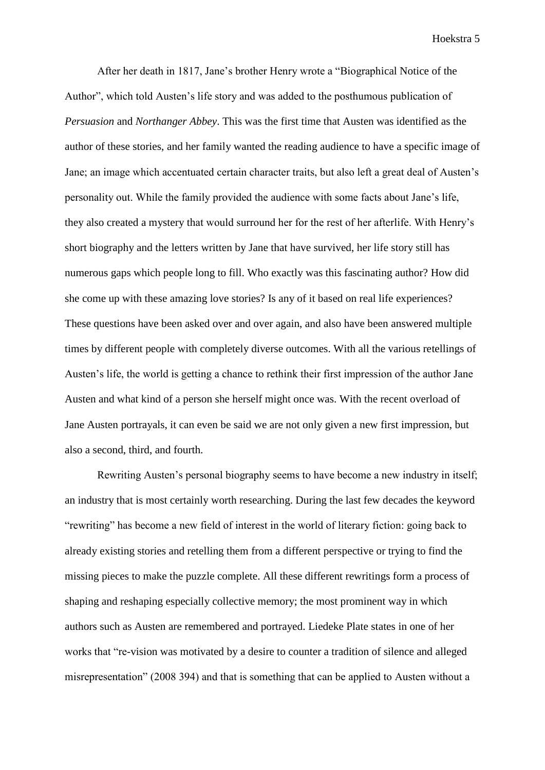After her death in 1817, Jane"s brother Henry wrote a "Biographical Notice of the Author", which told Austen"s life story and was added to the posthumous publication of *Persuasion* and *Northanger Abbey*. This was the first time that Austen was identified as the author of these stories, and her family wanted the reading audience to have a specific image of Jane; an image which accentuated certain character traits, but also left a great deal of Austen"s personality out. While the family provided the audience with some facts about Jane"s life, they also created a mystery that would surround her for the rest of her afterlife. With Henry"s short biography and the letters written by Jane that have survived, her life story still has numerous gaps which people long to fill. Who exactly was this fascinating author? How did she come up with these amazing love stories? Is any of it based on real life experiences? These questions have been asked over and over again, and also have been answered multiple times by different people with completely diverse outcomes. With all the various retellings of Austen"s life, the world is getting a chance to rethink their first impression of the author Jane Austen and what kind of a person she herself might once was. With the recent overload of Jane Austen portrayals, it can even be said we are not only given a new first impression, but also a second, third, and fourth.

Rewriting Austen's personal biography seems to have become a new industry in itself; an industry that is most certainly worth researching. During the last few decades the keyword "rewriting" has become a new field of interest in the world of literary fiction: going back to already existing stories and retelling them from a different perspective or trying to find the missing pieces to make the puzzle complete. All these different rewritings form a process of shaping and reshaping especially collective memory; the most prominent way in which authors such as Austen are remembered and portrayed. Liedeke Plate states in one of her works that "re-vision was motivated by a desire to counter a tradition of silence and alleged misrepresentation" (2008 394) and that is something that can be applied to Austen without a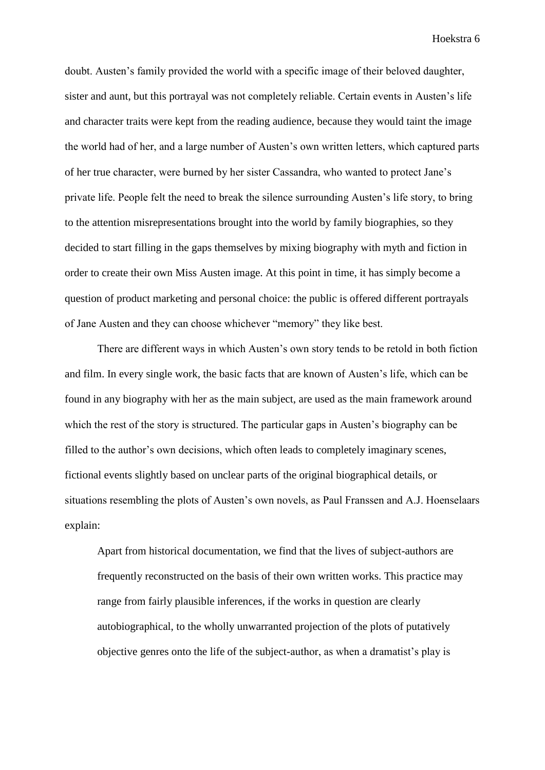doubt. Austen's family provided the world with a specific image of their beloved daughter, sister and aunt, but this portrayal was not completely reliable. Certain events in Austen"s life and character traits were kept from the reading audience, because they would taint the image the world had of her, and a large number of Austen"s own written letters, which captured parts of her true character, were burned by her sister Cassandra, who wanted to protect Jane"s private life. People felt the need to break the silence surrounding Austen"s life story, to bring to the attention misrepresentations brought into the world by family biographies, so they decided to start filling in the gaps themselves by mixing biography with myth and fiction in order to create their own Miss Austen image. At this point in time, it has simply become a question of product marketing and personal choice: the public is offered different portrayals of Jane Austen and they can choose whichever "memory" they like best.

There are different ways in which Austen"s own story tends to be retold in both fiction and film. In every single work, the basic facts that are known of Austen"s life, which can be found in any biography with her as the main subject, are used as the main framework around which the rest of the story is structured. The particular gaps in Austen's biography can be filled to the author's own decisions, which often leads to completely imaginary scenes, fictional events slightly based on unclear parts of the original biographical details, or situations resembling the plots of Austen's own novels, as Paul Franssen and A.J. Hoenselaars explain:

Apart from historical documentation, we find that the lives of subject-authors are frequently reconstructed on the basis of their own written works. This practice may range from fairly plausible inferences, if the works in question are clearly autobiographical, to the wholly unwarranted projection of the plots of putatively objective genres onto the life of the subject-author, as when a dramatist"s play is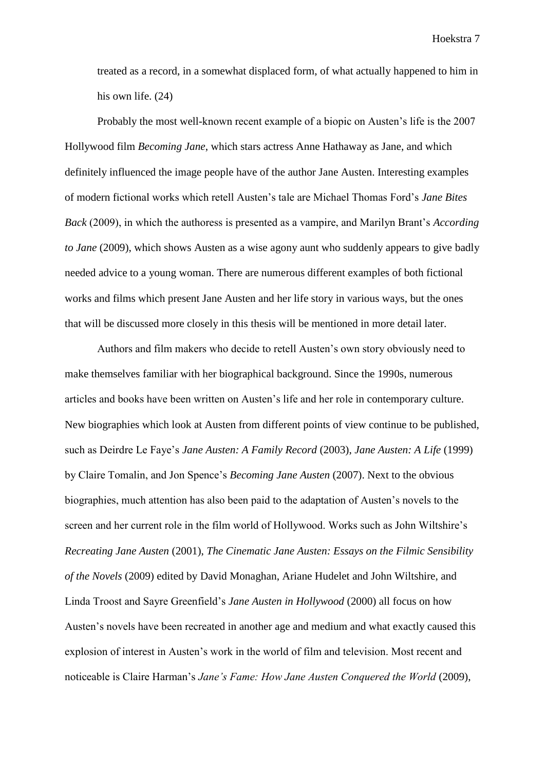treated as a record, in a somewhat displaced form, of what actually happened to him in his own life.  $(24)$ 

Probably the most well-known recent example of a biopic on Austen"s life is the 2007 Hollywood film *Becoming Jane*, which stars actress Anne Hathaway as Jane, and which definitely influenced the image people have of the author Jane Austen. Interesting examples of modern fictional works which retell Austen"s tale are Michael Thomas Ford"s *Jane Bites Back* (2009), in which the authoress is presented as a vampire, and Marilyn Brant"s *According to Jane* (2009), which shows Austen as a wise agony aunt who suddenly appears to give badly needed advice to a young woman. There are numerous different examples of both fictional works and films which present Jane Austen and her life story in various ways, but the ones that will be discussed more closely in this thesis will be mentioned in more detail later.

Authors and film makers who decide to retell Austen"s own story obviously need to make themselves familiar with her biographical background. Since the 1990s, numerous articles and books have been written on Austen"s life and her role in contemporary culture. New biographies which look at Austen from different points of view continue to be published, such as Deirdre Le Faye"s *Jane Austen: A Family Record* (2003), *Jane Austen: A Life* (1999) by Claire Tomalin, and Jon Spence"s *Becoming Jane Austen* (2007). Next to the obvious biographies, much attention has also been paid to the adaptation of Austen's novels to the screen and her current role in the film world of Hollywood. Works such as John Wiltshire"s *Recreating Jane Austen* (2001), *The Cinematic Jane Austen: Essays on the Filmic Sensibility of the Novels* (2009) edited by David Monaghan, Ariane Hudelet and John Wiltshire, and Linda Troost and Sayre Greenfield"s *Jane Austen in Hollywood* (2000) all focus on how Austen"s novels have been recreated in another age and medium and what exactly caused this explosion of interest in Austen"s work in the world of film and television. Most recent and noticeable is Claire Harman"s *Jane's Fame: How Jane Austen Conquered the World* (2009),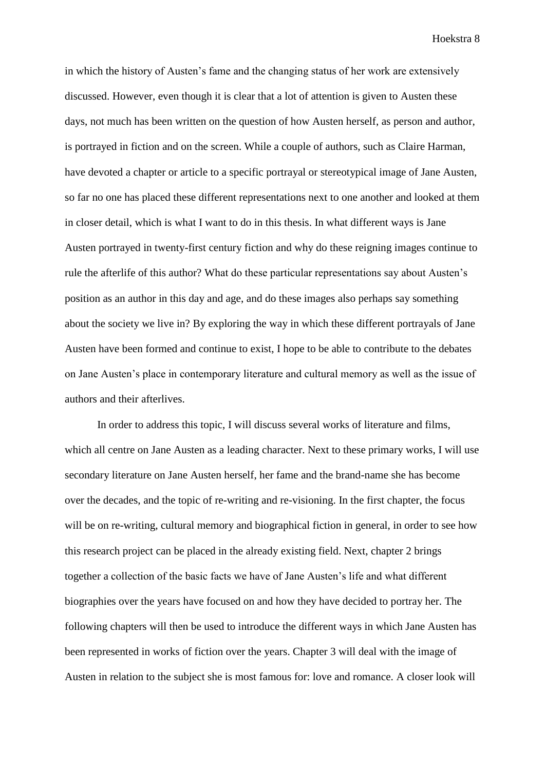in which the history of Austen's fame and the changing status of her work are extensively discussed. However, even though it is clear that a lot of attention is given to Austen these days, not much has been written on the question of how Austen herself, as person and author, is portrayed in fiction and on the screen. While a couple of authors, such as Claire Harman, have devoted a chapter or article to a specific portrayal or stereotypical image of Jane Austen, so far no one has placed these different representations next to one another and looked at them in closer detail, which is what I want to do in this thesis. In what different ways is Jane Austen portrayed in twenty-first century fiction and why do these reigning images continue to rule the afterlife of this author? What do these particular representations say about Austen"s position as an author in this day and age, and do these images also perhaps say something about the society we live in? By exploring the way in which these different portrayals of Jane Austen have been formed and continue to exist, I hope to be able to contribute to the debates on Jane Austen"s place in contemporary literature and cultural memory as well as the issue of authors and their afterlives.

In order to address this topic, I will discuss several works of literature and films, which all centre on Jane Austen as a leading character. Next to these primary works, I will use secondary literature on Jane Austen herself, her fame and the brand-name she has become over the decades, and the topic of re-writing and re-visioning. In the first chapter, the focus will be on re-writing, cultural memory and biographical fiction in general, in order to see how this research project can be placed in the already existing field. Next, chapter 2 brings together a collection of the basic facts we have of Jane Austen"s life and what different biographies over the years have focused on and how they have decided to portray her. The following chapters will then be used to introduce the different ways in which Jane Austen has been represented in works of fiction over the years. Chapter 3 will deal with the image of Austen in relation to the subject she is most famous for: love and romance. A closer look will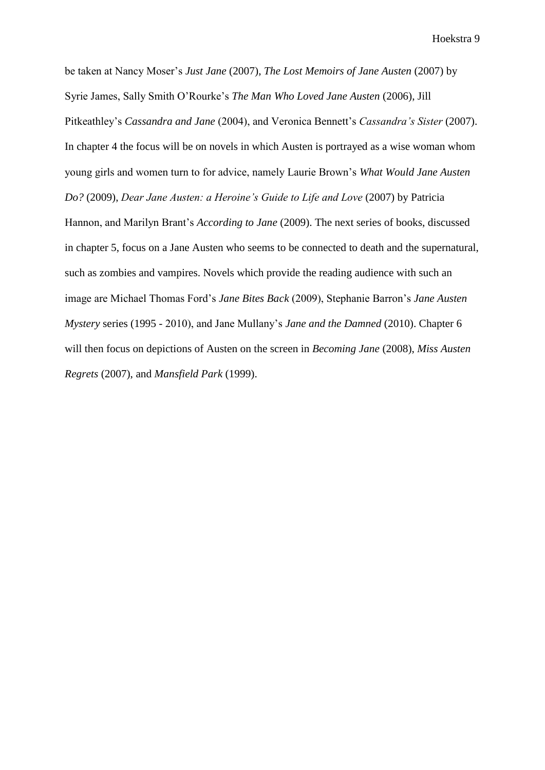be taken at Nancy Moser"s *Just Jane* (2007), *The Lost Memoirs of Jane Austen* (2007) by Syrie James, Sally Smith O"Rourke"s *The Man Who Loved Jane Austen* (2006), Jill Pitkeathley's *Cassandra and Jane* (2004), and Veronica Bennett's *Cassandra's Sister* (2007). In chapter 4 the focus will be on novels in which Austen is portrayed as a wise woman whom young girls and women turn to for advice, namely Laurie Brown"s *What Would Jane Austen Do?* (2009), *Dear Jane Austen: a Heroine's Guide to Life and Love* (2007) by Patricia Hannon, and Marilyn Brant"s *According to Jane* (2009). The next series of books, discussed in chapter 5, focus on a Jane Austen who seems to be connected to death and the supernatural, such as zombies and vampires. Novels which provide the reading audience with such an image are Michael Thomas Ford"s *Jane Bites Back* (2009), Stephanie Barron"s *Jane Austen Mystery* series (1995 - 2010), and Jane Mullany"s *Jane and the Damned* (2010). Chapter 6 will then focus on depictions of Austen on the screen in *Becoming Jane* (2008), *Miss Austen Regrets* (2007), and *Mansfield Park* (1999).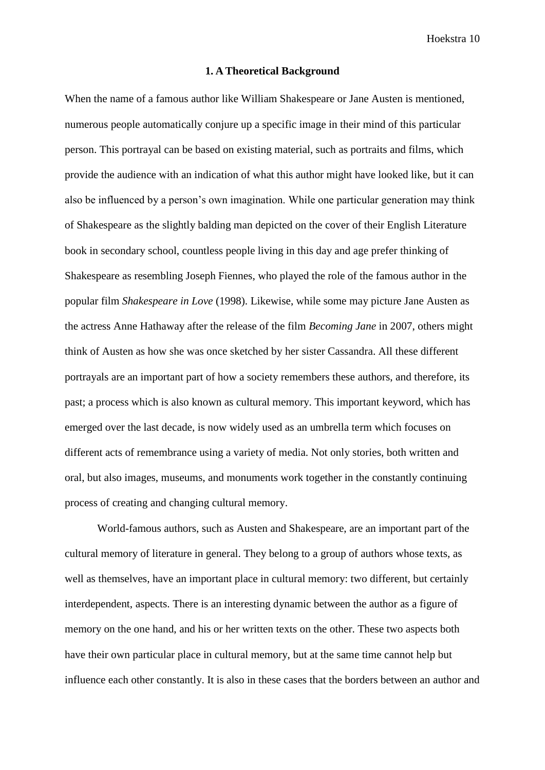## **1. A Theoretical Background**

When the name of a famous author like William Shakespeare or Jane Austen is mentioned, numerous people automatically conjure up a specific image in their mind of this particular person. This portrayal can be based on existing material, such as portraits and films, which provide the audience with an indication of what this author might have looked like, but it can also be influenced by a person"s own imagination. While one particular generation may think of Shakespeare as the slightly balding man depicted on the cover of their English Literature book in secondary school, countless people living in this day and age prefer thinking of Shakespeare as resembling Joseph Fiennes, who played the role of the famous author in the popular film *Shakespeare in Love* (1998). Likewise, while some may picture Jane Austen as the actress Anne Hathaway after the release of the film *Becoming Jane* in 2007, others might think of Austen as how she was once sketched by her sister Cassandra. All these different portrayals are an important part of how a society remembers these authors, and therefore, its past; a process which is also known as cultural memory. This important keyword, which has emerged over the last decade, is now widely used as an umbrella term which focuses on different acts of remembrance using a variety of media. Not only stories, both written and oral, but also images, museums, and monuments work together in the constantly continuing process of creating and changing cultural memory.

World-famous authors, such as Austen and Shakespeare, are an important part of the cultural memory of literature in general. They belong to a group of authors whose texts, as well as themselves, have an important place in cultural memory: two different, but certainly interdependent, aspects. There is an interesting dynamic between the author as a figure of memory on the one hand, and his or her written texts on the other. These two aspects both have their own particular place in cultural memory, but at the same time cannot help but influence each other constantly. It is also in these cases that the borders between an author and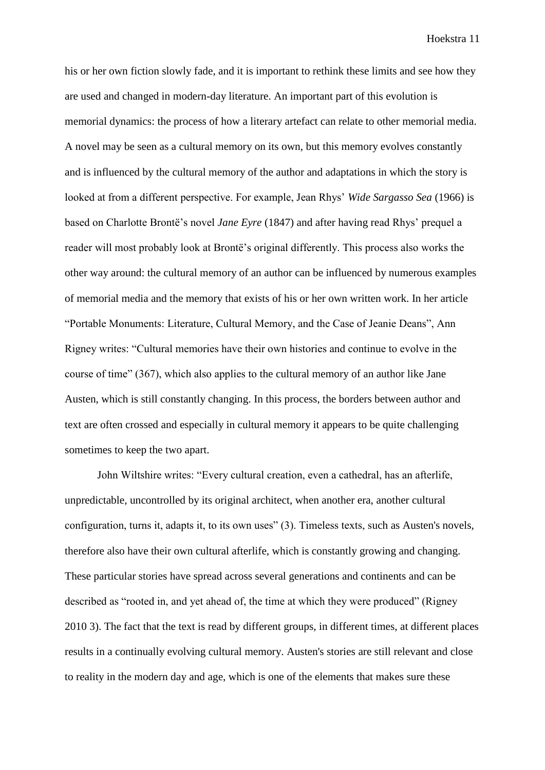his or her own fiction slowly fade, and it is important to rethink these limits and see how they are used and changed in modern-day literature. An important part of this evolution is memorial dynamics: the process of how a literary artefact can relate to other memorial media. A novel may be seen as a cultural memory on its own, but this memory evolves constantly and is influenced by the cultural memory of the author and adaptations in which the story is looked at from a different perspective. For example, Jean Rhys" *Wide Sargasso Sea* (1966) is based on Charlotte Brontë's novel *Jane Eyre* (1847) and after having read Rhys' prequel a reader will most probably look at Brontë's original differently. This process also works the other way around: the cultural memory of an author can be influenced by numerous examples of memorial media and the memory that exists of his or her own written work. In her article "Portable Monuments: Literature, Cultural Memory, and the Case of Jeanie Deans", Ann Rigney writes: "Cultural memories have their own histories and continue to evolve in the course of time" (367), which also applies to the cultural memory of an author like Jane Austen, which is still constantly changing. In this process, the borders between author and text are often crossed and especially in cultural memory it appears to be quite challenging sometimes to keep the two apart.

John Wiltshire writes: "Every cultural creation, even a cathedral, has an afterlife, unpredictable, uncontrolled by its original architect, when another era, another cultural configuration, turns it, adapts it, to its own uses" (3). Timeless texts, such as Austen's novels, therefore also have their own cultural afterlife, which is constantly growing and changing. These particular stories have spread across several generations and continents and can be described as "rooted in, and yet ahead of, the time at which they were produced" (Rigney 2010 3). The fact that the text is read by different groups, in different times, at different places results in a continually evolving cultural memory. Austen's stories are still relevant and close to reality in the modern day and age, which is one of the elements that makes sure these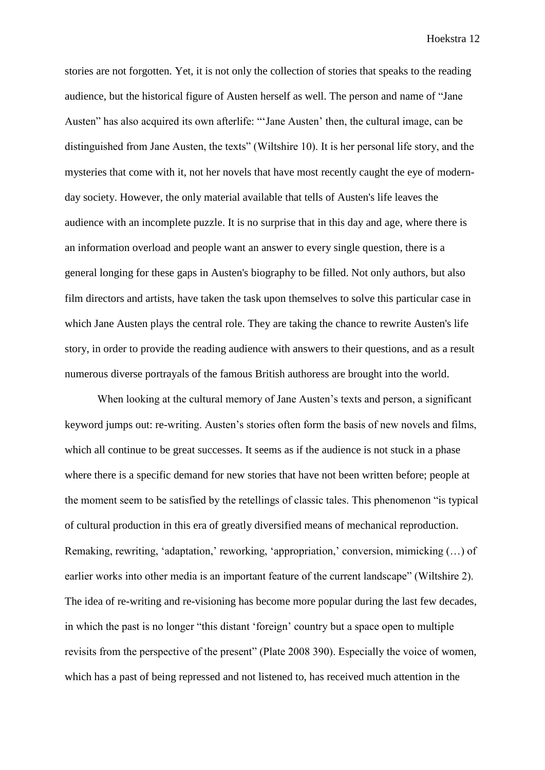stories are not forgotten. Yet, it is not only the collection of stories that speaks to the reading audience, but the historical figure of Austen herself as well. The person and name of "Jane Austen" has also acquired its own afterlife: ""Jane Austen" then, the cultural image, can be distinguished from Jane Austen, the texts" (Wiltshire 10). It is her personal life story, and the mysteries that come with it, not her novels that have most recently caught the eye of modernday society. However, the only material available that tells of Austen's life leaves the audience with an incomplete puzzle. It is no surprise that in this day and age, where there is an information overload and people want an answer to every single question, there is a general longing for these gaps in Austen's biography to be filled. Not only authors, but also film directors and artists, have taken the task upon themselves to solve this particular case in which Jane Austen plays the central role. They are taking the chance to rewrite Austen's life story, in order to provide the reading audience with answers to their questions, and as a result numerous diverse portrayals of the famous British authoress are brought into the world.

When looking at the cultural memory of Jane Austen's texts and person, a significant keyword jumps out: re-writing. Austen's stories often form the basis of new novels and films, which all continue to be great successes. It seems as if the audience is not stuck in a phase where there is a specific demand for new stories that have not been written before; people at the moment seem to be satisfied by the retellings of classic tales. This phenomenon "is typical of cultural production in this era of greatly diversified means of mechanical reproduction. Remaking, rewriting, 'adaptation,' reworking, 'appropriation,' conversion, mimicking (...) of earlier works into other media is an important feature of the current landscape" (Wiltshire 2). The idea of re-writing and re-visioning has become more popular during the last few decades, in which the past is no longer "this distant "foreign" country but a space open to multiple revisits from the perspective of the present" (Plate 2008 390). Especially the voice of women, which has a past of being repressed and not listened to, has received much attention in the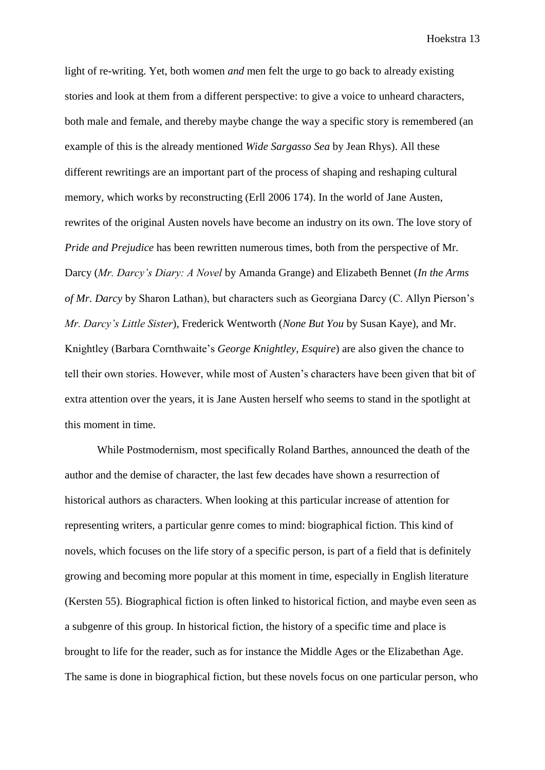light of re-writing. Yet, both women *and* men felt the urge to go back to already existing stories and look at them from a different perspective: to give a voice to unheard characters, both male and female, and thereby maybe change the way a specific story is remembered (an example of this is the already mentioned *Wide Sargasso Sea* by Jean Rhys). All these different rewritings are an important part of the process of shaping and reshaping cultural memory, which works by reconstructing (Erll 2006 174). In the world of Jane Austen, rewrites of the original Austen novels have become an industry on its own. The love story of *Pride and Prejudice* has been rewritten numerous times, both from the perspective of Mr. Darcy (*Mr. Darcy's Diary: A Novel* by Amanda Grange) and Elizabeth Bennet (*In the Arms of Mr. Darcy* by Sharon Lathan), but characters such as Georgiana Darcy (C. Allyn Pierson"s *Mr. Darcy's Little Sister*), Frederick Wentworth (*None But You* by Susan Kaye), and Mr. Knightley (Barbara Cornthwaite"s *George Knightley, Esquire*) are also given the chance to tell their own stories. However, while most of Austen"s characters have been given that bit of extra attention over the years, it is Jane Austen herself who seems to stand in the spotlight at this moment in time.

While Postmodernism, most specifically Roland Barthes, announced the death of the author and the demise of character, the last few decades have shown a resurrection of historical authors as characters. When looking at this particular increase of attention for representing writers, a particular genre comes to mind: biographical fiction. This kind of novels, which focuses on the life story of a specific person, is part of a field that is definitely growing and becoming more popular at this moment in time, especially in English literature (Kersten 55). Biographical fiction is often linked to historical fiction, and maybe even seen as a subgenre of this group. In historical fiction, the history of a specific time and place is brought to life for the reader, such as for instance the Middle Ages or the Elizabethan Age. The same is done in biographical fiction, but these novels focus on one particular person, who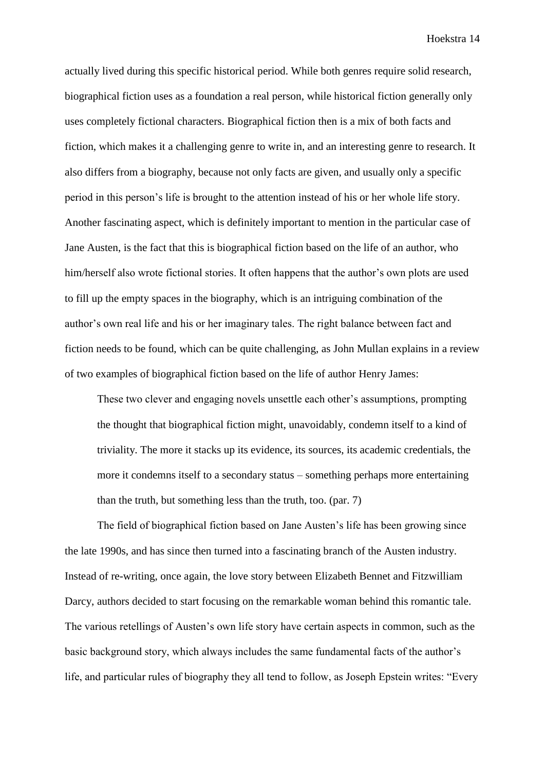actually lived during this specific historical period. While both genres require solid research, biographical fiction uses as a foundation a real person, while historical fiction generally only uses completely fictional characters. Biographical fiction then is a mix of both facts and fiction, which makes it a challenging genre to write in, and an interesting genre to research. It also differs from a biography, because not only facts are given, and usually only a specific period in this person"s life is brought to the attention instead of his or her whole life story. Another fascinating aspect, which is definitely important to mention in the particular case of Jane Austen, is the fact that this is biographical fiction based on the life of an author, who him/herself also wrote fictional stories. It often happens that the author's own plots are used to fill up the empty spaces in the biography, which is an intriguing combination of the author"s own real life and his or her imaginary tales. The right balance between fact and fiction needs to be found, which can be quite challenging, as John Mullan explains in a review of two examples of biographical fiction based on the life of author Henry James:

These two clever and engaging novels unsettle each other"s assumptions, prompting the thought that biographical fiction might, unavoidably, condemn itself to a kind of triviality. The more it stacks up its evidence, its sources, its academic credentials, the more it condemns itself to a secondary status – something perhaps more entertaining than the truth, but something less than the truth, too. (par. 7)

The field of biographical fiction based on Jane Austen"s life has been growing since the late 1990s, and has since then turned into a fascinating branch of the Austen industry. Instead of re-writing, once again, the love story between Elizabeth Bennet and Fitzwilliam Darcy, authors decided to start focusing on the remarkable woman behind this romantic tale. The various retellings of Austen's own life story have certain aspects in common, such as the basic background story, which always includes the same fundamental facts of the author"s life, and particular rules of biography they all tend to follow, as Joseph Epstein writes: "Every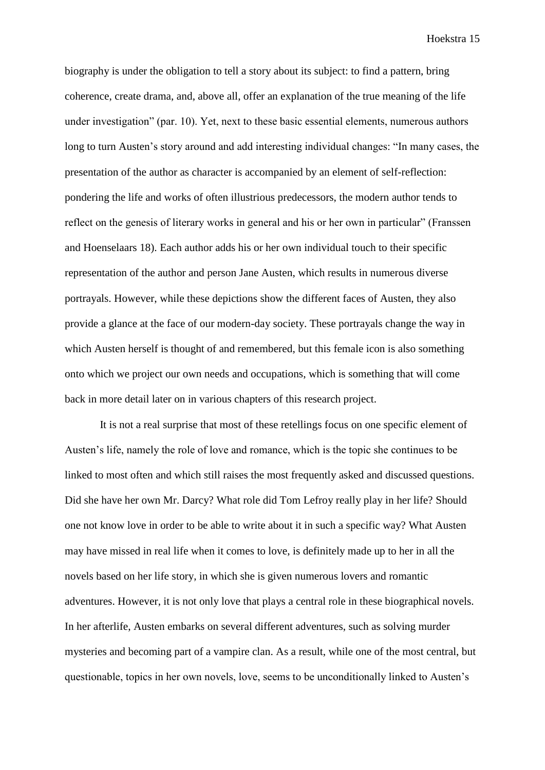biography is under the obligation to tell a story about its subject: to find a pattern, bring coherence, create drama, and, above all, offer an explanation of the true meaning of the life under investigation" (par. 10). Yet, next to these basic essential elements, numerous authors long to turn Austen's story around and add interesting individual changes: "In many cases, the presentation of the author as character is accompanied by an element of self-reflection: pondering the life and works of often illustrious predecessors, the modern author tends to reflect on the genesis of literary works in general and his or her own in particular" (Franssen and Hoenselaars 18). Each author adds his or her own individual touch to their specific representation of the author and person Jane Austen, which results in numerous diverse portrayals. However, while these depictions show the different faces of Austen, they also provide a glance at the face of our modern-day society. These portrayals change the way in which Austen herself is thought of and remembered, but this female icon is also something onto which we project our own needs and occupations, which is something that will come back in more detail later on in various chapters of this research project.

It is not a real surprise that most of these retellings focus on one specific element of Austen"s life, namely the role of love and romance, which is the topic she continues to be linked to most often and which still raises the most frequently asked and discussed questions. Did she have her own Mr. Darcy? What role did Tom Lefroy really play in her life? Should one not know love in order to be able to write about it in such a specific way? What Austen may have missed in real life when it comes to love, is definitely made up to her in all the novels based on her life story, in which she is given numerous lovers and romantic adventures. However, it is not only love that plays a central role in these biographical novels. In her afterlife, Austen embarks on several different adventures, such as solving murder mysteries and becoming part of a vampire clan. As a result, while one of the most central, but questionable, topics in her own novels, love, seems to be unconditionally linked to Austen"s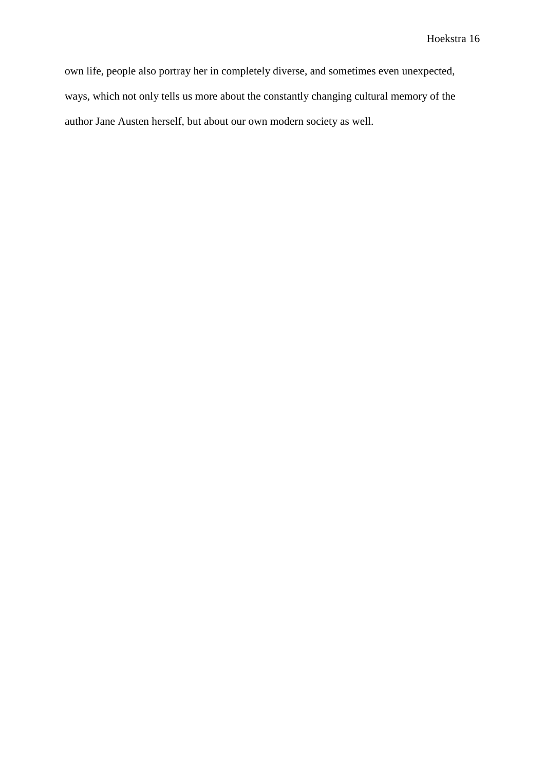own life, people also portray her in completely diverse, and sometimes even unexpected, ways, which not only tells us more about the constantly changing cultural memory of the author Jane Austen herself, but about our own modern society as well.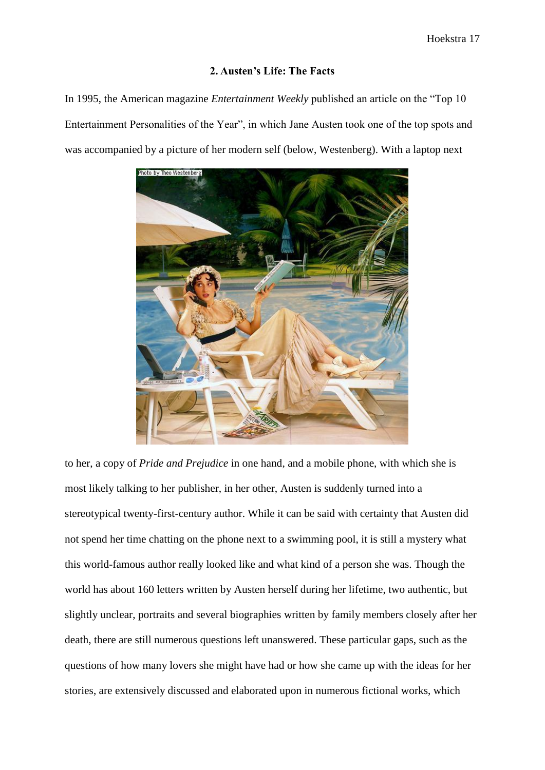## **2. Austen's Life: The Facts**

In 1995, the American magazine *Entertainment Weekly* published an article on the "Top 10 Entertainment Personalities of the Year", in which Jane Austen took one of the top spots and was accompanied by a picture of her modern self (below, Westenberg). With a laptop next



to her, a copy of *Pride and Prejudice* in one hand, and a mobile phone, with which she is most likely talking to her publisher, in her other, Austen is suddenly turned into a stereotypical twenty-first-century author. While it can be said with certainty that Austen did not spend her time chatting on the phone next to a swimming pool, it is still a mystery what this world-famous author really looked like and what kind of a person she was. Though the world has about 160 letters written by Austen herself during her lifetime, two authentic, but slightly unclear, portraits and several biographies written by family members closely after her death, there are still numerous questions left unanswered. These particular gaps, such as the questions of how many lovers she might have had or how she came up with the ideas for her stories, are extensively discussed and elaborated upon in numerous fictional works, which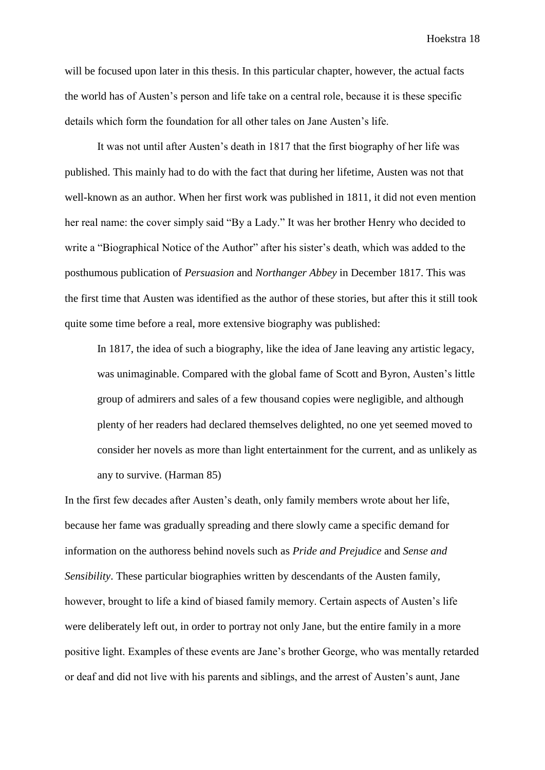will be focused upon later in this thesis. In this particular chapter, however, the actual facts the world has of Austen"s person and life take on a central role, because it is these specific details which form the foundation for all other tales on Jane Austen's life.

It was not until after Austen"s death in 1817 that the first biography of her life was published. This mainly had to do with the fact that during her lifetime, Austen was not that well-known as an author. When her first work was published in 1811, it did not even mention her real name: the cover simply said "By a Lady." It was her brother Henry who decided to write a "Biographical Notice of the Author" after his sister's death, which was added to the posthumous publication of *Persuasion* and *Northanger Abbey* in December 1817. This was the first time that Austen was identified as the author of these stories, but after this it still took quite some time before a real, more extensive biography was published:

In 1817, the idea of such a biography, like the idea of Jane leaving any artistic legacy, was unimaginable. Compared with the global fame of Scott and Byron, Austen"s little group of admirers and sales of a few thousand copies were negligible, and although plenty of her readers had declared themselves delighted, no one yet seemed moved to consider her novels as more than light entertainment for the current, and as unlikely as any to survive. (Harman 85)

In the first few decades after Austen"s death, only family members wrote about her life, because her fame was gradually spreading and there slowly came a specific demand for information on the authoress behind novels such as *Pride and Prejudice* and *Sense and Sensibility*. These particular biographies written by descendants of the Austen family, however, brought to life a kind of biased family memory. Certain aspects of Austen's life were deliberately left out, in order to portray not only Jane, but the entire family in a more positive light. Examples of these events are Jane"s brother George, who was mentally retarded or deaf and did not live with his parents and siblings, and the arrest of Austen"s aunt, Jane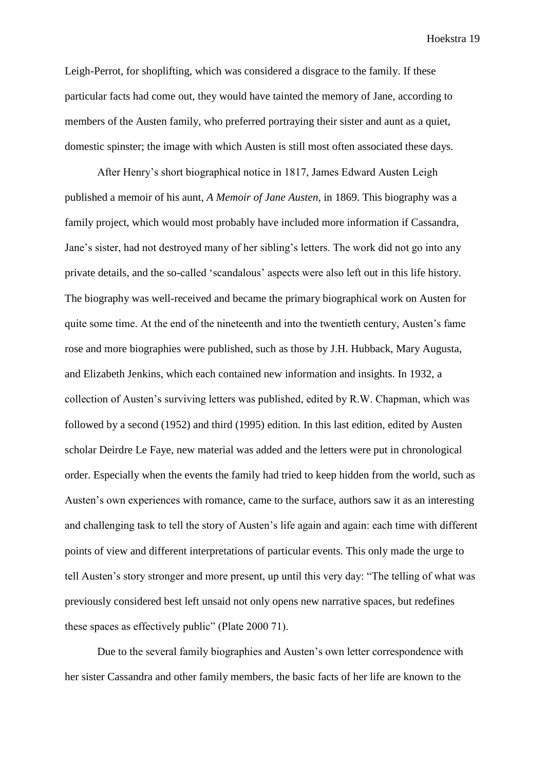Leigh-Perrot, for shoplifting, which was considered a disgrace to the family. If these particular facts had come out, they would have tainted the memory of Jane, according to members of the Austen family, who preferred portraying their sister and aunt as a quiet, domestic spinster; the image with which Austen is still most often associated these days.

After Henry"s short biographical notice in 1817, James Edward Austen Leigh published a memoir of his aunt, *A Memoir of Jane Austen*, in 1869. This biography was a family project, which would most probably have included more information if Cassandra, Jane's sister, had not destroyed many of her sibling's letters. The work did not go into any private details, and the so-called "scandalous" aspects were also left out in this life history. The biography was well-received and became the primary biographical work on Austen for quite some time. At the end of the nineteenth and into the twentieth century, Austen's fame rose and more biographies were published, such as those by J.H. Hubback, Mary Augusta, and Elizabeth Jenkins, which each contained new information and insights. In 1932, a collection of Austen"s surviving letters was published, edited by R.W. Chapman, which was followed by a second (1952) and third (1995) edition. In this last edition, edited by Austen scholar Deirdre Le Faye, new material was added and the letters were put in chronological order. Especially when the events the family had tried to keep hidden from the world, such as Austen"s own experiences with romance, came to the surface, authors saw it as an interesting and challenging task to tell the story of Austen"s life again and again: each time with different points of view and different interpretations of particular events. This only made the urge to tell Austen"s story stronger and more present, up until this very day: "The telling of what was previously considered best left unsaid not only opens new narrative spaces, but redefines these spaces as effectively public" (Plate 2000 71).

Due to the several family biographies and Austen"s own letter correspondence with her sister Cassandra and other family members, the basic facts of her life are known to the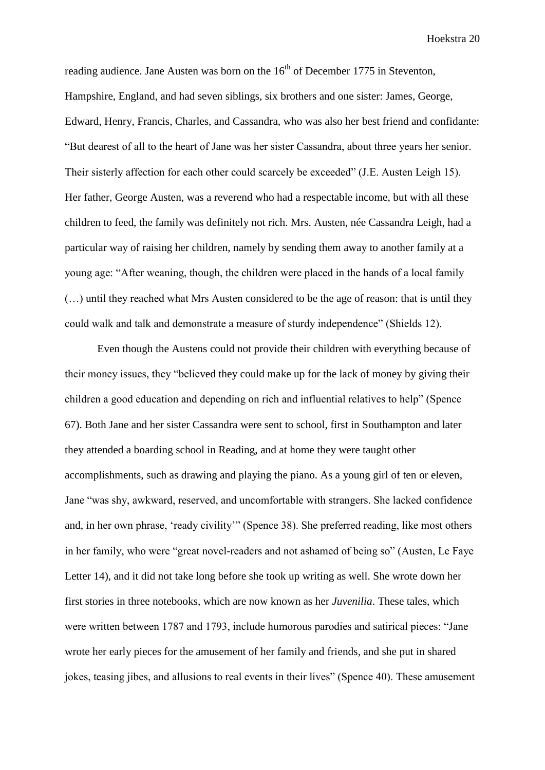reading audience. Jane Austen was born on the  $16<sup>th</sup>$  of December 1775 in Steventon, Hampshire, England, and had seven siblings, six brothers and one sister: James, George, Edward, Henry, Francis, Charles, and Cassandra, who was also her best friend and confidante: "But dearest of all to the heart of Jane was her sister Cassandra, about three years her senior. Their sisterly affection for each other could scarcely be exceeded" (J.E. Austen Leigh 15). Her father, George Austen, was a reverend who had a respectable income, but with all these children to feed, the family was definitely not rich. Mrs. Austen, née Cassandra Leigh, had a particular way of raising her children, namely by sending them away to another family at a young age: "After weaning, though, the children were placed in the hands of a local family (…) until they reached what Mrs Austen considered to be the age of reason: that is until they could walk and talk and demonstrate a measure of sturdy independence" (Shields 12).

Even though the Austens could not provide their children with everything because of their money issues, they "believed they could make up for the lack of money by giving their children a good education and depending on rich and influential relatives to help" (Spence 67). Both Jane and her sister Cassandra were sent to school, first in Southampton and later they attended a boarding school in Reading, and at home they were taught other accomplishments, such as drawing and playing the piano. As a young girl of ten or eleven, Jane "was shy, awkward, reserved, and uncomfortable with strangers. She lacked confidence and, in her own phrase, "ready civility"" (Spence 38). She preferred reading, like most others in her family, who were "great novel-readers and not ashamed of being so" (Austen, Le Faye Letter 14), and it did not take long before she took up writing as well. She wrote down her first stories in three notebooks, which are now known as her *Juvenilia*. These tales, which were written between 1787 and 1793, include humorous parodies and satirical pieces: "Jane wrote her early pieces for the amusement of her family and friends, and she put in shared jokes, teasing jibes, and allusions to real events in their lives" (Spence 40). These amusement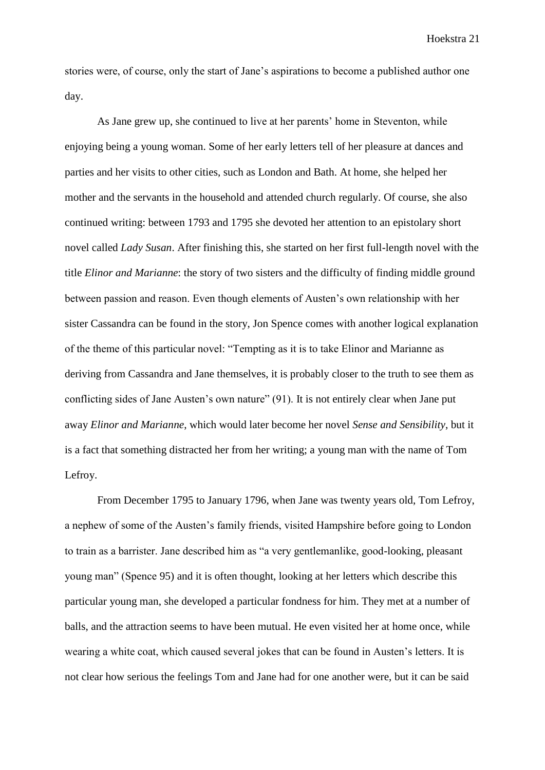stories were, of course, only the start of Jane's aspirations to become a published author one day.

As Jane grew up, she continued to live at her parents' home in Steventon, while enjoying being a young woman. Some of her early letters tell of her pleasure at dances and parties and her visits to other cities, such as London and Bath. At home, she helped her mother and the servants in the household and attended church regularly. Of course, she also continued writing: between 1793 and 1795 she devoted her attention to an epistolary short novel called *Lady Susan*. After finishing this, she started on her first full-length novel with the title *Elinor and Marianne*: the story of two sisters and the difficulty of finding middle ground between passion and reason. Even though elements of Austen"s own relationship with her sister Cassandra can be found in the story, Jon Spence comes with another logical explanation of the theme of this particular novel: "Tempting as it is to take Elinor and Marianne as deriving from Cassandra and Jane themselves, it is probably closer to the truth to see them as conflicting sides of Jane Austen"s own nature" (91). It is not entirely clear when Jane put away *Elinor and Marianne*, which would later become her novel *Sense and Sensibility*, but it is a fact that something distracted her from her writing; a young man with the name of Tom Lefroy.

From December 1795 to January 1796, when Jane was twenty years old, Tom Lefroy, a nephew of some of the Austen"s family friends, visited Hampshire before going to London to train as a barrister. Jane described him as "a very gentlemanlike, good-looking, pleasant young man" (Spence 95) and it is often thought, looking at her letters which describe this particular young man, she developed a particular fondness for him. They met at a number of balls, and the attraction seems to have been mutual. He even visited her at home once, while wearing a white coat, which caused several jokes that can be found in Austen"s letters. It is not clear how serious the feelings Tom and Jane had for one another were, but it can be said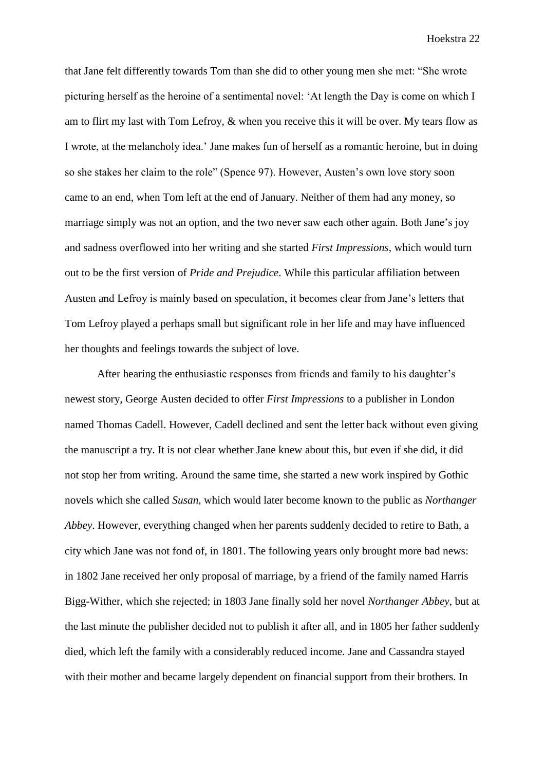that Jane felt differently towards Tom than she did to other young men she met: "She wrote picturing herself as the heroine of a sentimental novel: "At length the Day is come on which I am to flirt my last with Tom Lefroy, & when you receive this it will be over. My tears flow as I wrote, at the melancholy idea." Jane makes fun of herself as a romantic heroine, but in doing so she stakes her claim to the role" (Spence 97). However, Austen"s own love story soon came to an end, when Tom left at the end of January. Neither of them had any money, so marriage simply was not an option, and the two never saw each other again. Both Jane"s joy and sadness overflowed into her writing and she started *First Impressions*, which would turn out to be the first version of *Pride and Prejudice*. While this particular affiliation between Austen and Lefroy is mainly based on speculation, it becomes clear from Jane"s letters that Tom Lefroy played a perhaps small but significant role in her life and may have influenced her thoughts and feelings towards the subject of love.

After hearing the enthusiastic responses from friends and family to his daughter"s newest story, George Austen decided to offer *First Impressions* to a publisher in London named Thomas Cadell. However, Cadell declined and sent the letter back without even giving the manuscript a try. It is not clear whether Jane knew about this, but even if she did, it did not stop her from writing. Around the same time, she started a new work inspired by Gothic novels which she called *Susan*, which would later become known to the public as *Northanger Abbey*. However, everything changed when her parents suddenly decided to retire to Bath, a city which Jane was not fond of, in 1801. The following years only brought more bad news: in 1802 Jane received her only proposal of marriage, by a friend of the family named Harris Bigg-Wither, which she rejected; in 1803 Jane finally sold her novel *Northanger Abbey*, but at the last minute the publisher decided not to publish it after all, and in 1805 her father suddenly died, which left the family with a considerably reduced income. Jane and Cassandra stayed with their mother and became largely dependent on financial support from their brothers. In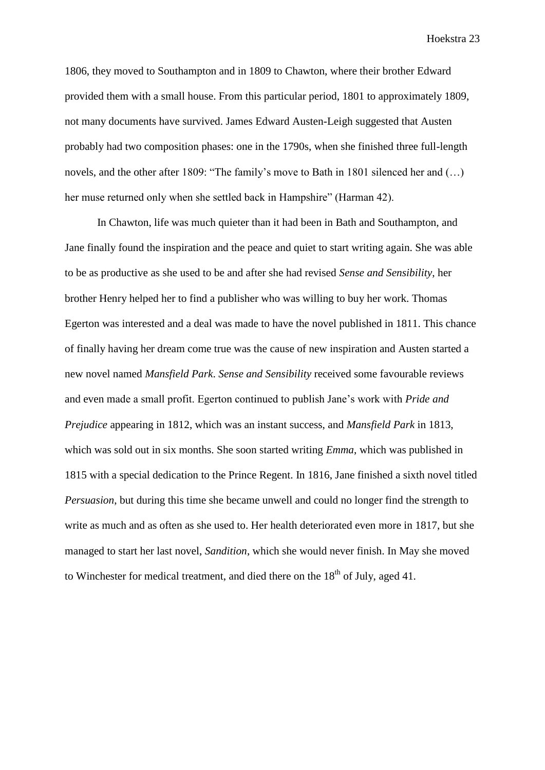1806, they moved to Southampton and in 1809 to Chawton, where their brother Edward provided them with a small house. From this particular period, 1801 to approximately 1809, not many documents have survived. James Edward Austen-Leigh suggested that Austen probably had two composition phases: one in the 1790s, when she finished three full-length novels, and the other after 1809: "The family's move to Bath in 1801 silenced her and  $(...)$ her muse returned only when she settled back in Hampshire" (Harman 42).

In Chawton, life was much quieter than it had been in Bath and Southampton, and Jane finally found the inspiration and the peace and quiet to start writing again. She was able to be as productive as she used to be and after she had revised *Sense and Sensibility*, her brother Henry helped her to find a publisher who was willing to buy her work. Thomas Egerton was interested and a deal was made to have the novel published in 1811. This chance of finally having her dream come true was the cause of new inspiration and Austen started a new novel named *Mansfield Park*. *Sense and Sensibility* received some favourable reviews and even made a small profit. Egerton continued to publish Jane"s work with *Pride and Prejudice* appearing in 1812, which was an instant success, and *Mansfield Park* in 1813, which was sold out in six months. She soon started writing *Emma*, which was published in 1815 with a special dedication to the Prince Regent. In 1816, Jane finished a sixth novel titled *Persuasion*, but during this time she became unwell and could no longer find the strength to write as much and as often as she used to. Her health deteriorated even more in 1817, but she managed to start her last novel, *Sandition*, which she would never finish. In May she moved to Winchester for medical treatment, and died there on the  $18<sup>th</sup>$  of July, aged 41.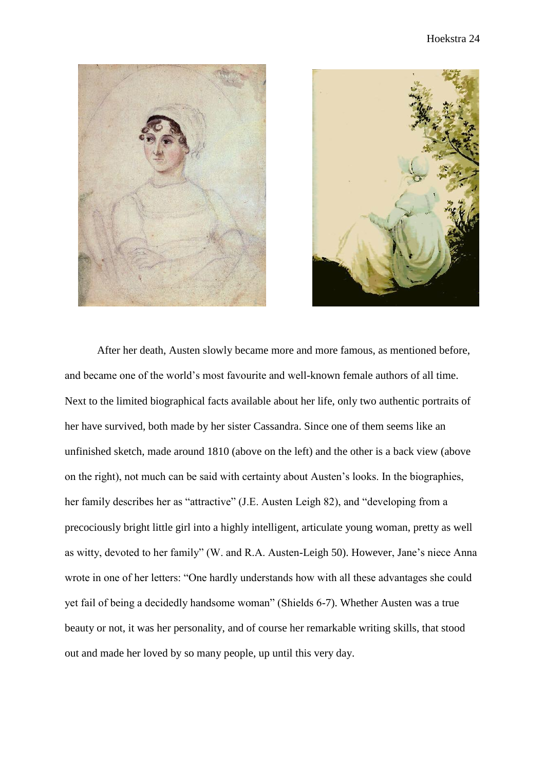



After her death, Austen slowly became more and more famous, as mentioned before, and became one of the world"s most favourite and well-known female authors of all time. Next to the limited biographical facts available about her life, only two authentic portraits of her have survived, both made by her sister Cassandra. Since one of them seems like an unfinished sketch, made around 1810 (above on the left) and the other is a back view (above on the right), not much can be said with certainty about Austen"s looks. In the biographies, her family describes her as "attractive" (J.E. Austen Leigh 82), and "developing from a precociously bright little girl into a highly intelligent, articulate young woman, pretty as well as witty, devoted to her family" (W. and R.A. Austen-Leigh 50). However, Jane"s niece Anna wrote in one of her letters: "One hardly understands how with all these advantages she could yet fail of being a decidedly handsome woman" (Shields 6-7). Whether Austen was a true beauty or not, it was her personality, and of course her remarkable writing skills, that stood out and made her loved by so many people, up until this very day.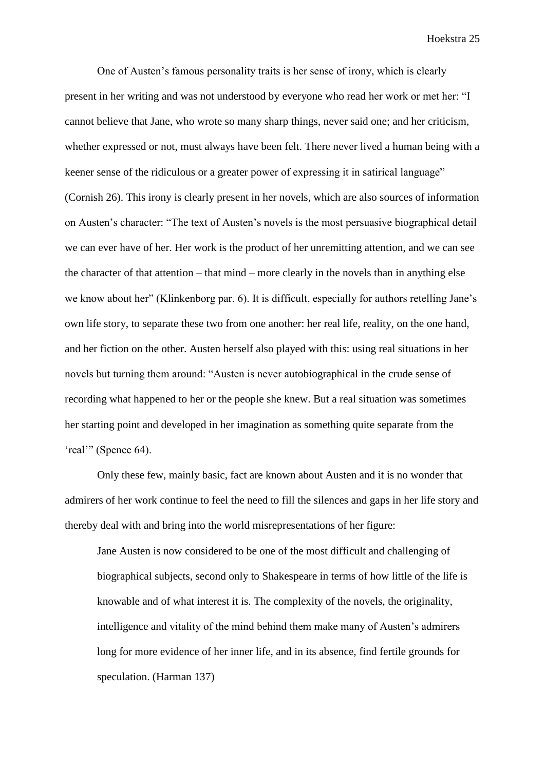One of Austen"s famous personality traits is her sense of irony, which is clearly present in her writing and was not understood by everyone who read her work or met her: "I cannot believe that Jane, who wrote so many sharp things, never said one; and her criticism, whether expressed or not, must always have been felt. There never lived a human being with a keener sense of the ridiculous or a greater power of expressing it in satirical language" (Cornish 26). This irony is clearly present in her novels, which are also sources of information on Austen"s character: "The text of Austen"s novels is the most persuasive biographical detail we can ever have of her. Her work is the product of her unremitting attention, and we can see the character of that attention – that mind – more clearly in the novels than in anything else we know about her" (Klinkenborg par. 6). It is difficult, especially for authors retelling Jane"s own life story, to separate these two from one another: her real life, reality, on the one hand, and her fiction on the other. Austen herself also played with this: using real situations in her novels but turning them around: "Austen is never autobiographical in the crude sense of recording what happened to her or the people she knew. But a real situation was sometimes her starting point and developed in her imagination as something quite separate from the 'real'" (Spence 64).

Only these few, mainly basic, fact are known about Austen and it is no wonder that admirers of her work continue to feel the need to fill the silences and gaps in her life story and thereby deal with and bring into the world misrepresentations of her figure:

Jane Austen is now considered to be one of the most difficult and challenging of biographical subjects, second only to Shakespeare in terms of how little of the life is knowable and of what interest it is. The complexity of the novels, the originality, intelligence and vitality of the mind behind them make many of Austen's admirers long for more evidence of her inner life, and in its absence, find fertile grounds for speculation. (Harman 137)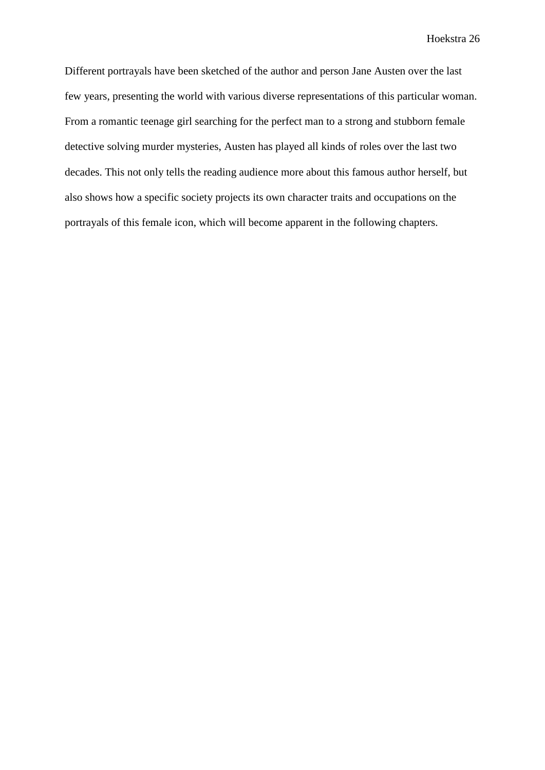Different portrayals have been sketched of the author and person Jane Austen over the last few years, presenting the world with various diverse representations of this particular woman. From a romantic teenage girl searching for the perfect man to a strong and stubborn female detective solving murder mysteries, Austen has played all kinds of roles over the last two decades. This not only tells the reading audience more about this famous author herself, but also shows how a specific society projects its own character traits and occupations on the portrayals of this female icon, which will become apparent in the following chapters.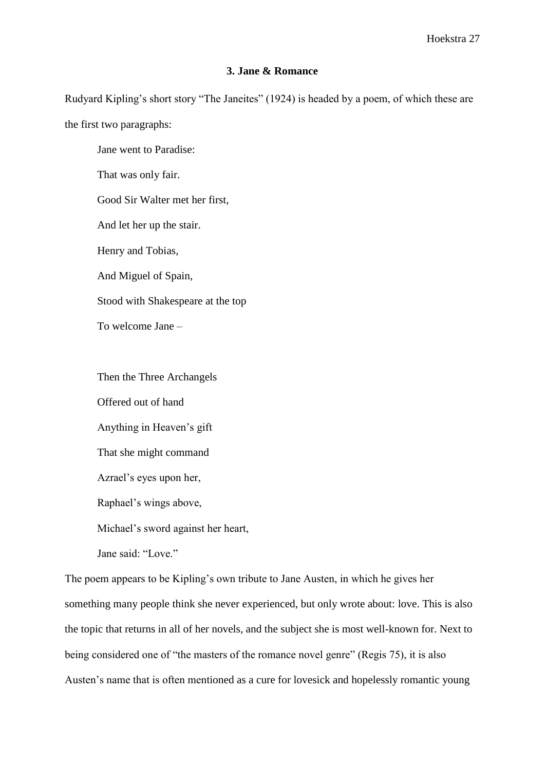## **3. Jane & Romance**

Rudyard Kipling"s short story "The Janeites" (1924) is headed by a poem, of which these are the first two paragraphs:

Jane went to Paradise: That was only fair. Good Sir Walter met her first, And let her up the stair. Henry and Tobias, And Miguel of Spain, Stood with Shakespeare at the top To welcome Jane –

Then the Three Archangels

Offered out of hand

Anything in Heaven"s gift

That she might command

Azrael"s eyes upon her,

Raphael"s wings above,

Michael"s sword against her heart,

Jane said: "Love."

The poem appears to be Kipling"s own tribute to Jane Austen, in which he gives her something many people think she never experienced, but only wrote about: love. This is also the topic that returns in all of her novels, and the subject she is most well-known for. Next to being considered one of "the masters of the romance novel genre" (Regis 75), it is also Austen's name that is often mentioned as a cure for lovesick and hopelessly romantic young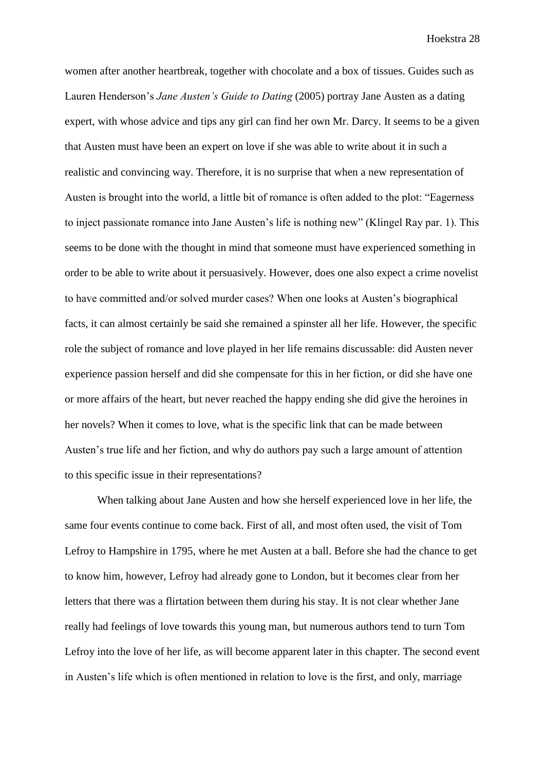women after another heartbreak, together with chocolate and a box of tissues. Guides such as Lauren Henderson"s *Jane Austen's Guide to Dating* (2005) portray Jane Austen as a dating expert, with whose advice and tips any girl can find her own Mr. Darcy. It seems to be a given that Austen must have been an expert on love if she was able to write about it in such a realistic and convincing way. Therefore, it is no surprise that when a new representation of Austen is brought into the world, a little bit of romance is often added to the plot: "Eagerness to inject passionate romance into Jane Austen"s life is nothing new" (Klingel Ray par. 1). This seems to be done with the thought in mind that someone must have experienced something in order to be able to write about it persuasively. However, does one also expect a crime novelist to have committed and/or solved murder cases? When one looks at Austen"s biographical facts, it can almost certainly be said she remained a spinster all her life. However, the specific role the subject of romance and love played in her life remains discussable: did Austen never experience passion herself and did she compensate for this in her fiction, or did she have one or more affairs of the heart, but never reached the happy ending she did give the heroines in her novels? When it comes to love, what is the specific link that can be made between Austen"s true life and her fiction, and why do authors pay such a large amount of attention to this specific issue in their representations?

When talking about Jane Austen and how she herself experienced love in her life, the same four events continue to come back. First of all, and most often used, the visit of Tom Lefroy to Hampshire in 1795, where he met Austen at a ball. Before she had the chance to get to know him, however, Lefroy had already gone to London, but it becomes clear from her letters that there was a flirtation between them during his stay. It is not clear whether Jane really had feelings of love towards this young man, but numerous authors tend to turn Tom Lefroy into the love of her life, as will become apparent later in this chapter. The second event in Austen"s life which is often mentioned in relation to love is the first, and only, marriage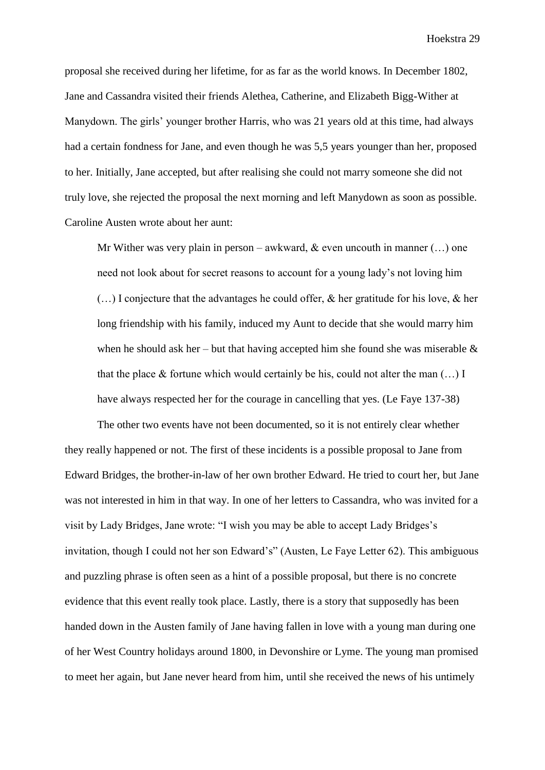proposal she received during her lifetime, for as far as the world knows. In December 1802, Jane and Cassandra visited their friends Alethea, Catherine, and Elizabeth Bigg-Wither at Manydown. The girls' younger brother Harris, who was 21 years old at this time, had always had a certain fondness for Jane, and even though he was 5,5 years younger than her, proposed to her. Initially, Jane accepted, but after realising she could not marry someone she did not truly love, she rejected the proposal the next morning and left Manydown as soon as possible. Caroline Austen wrote about her aunt:

Mr Wither was very plain in person – awkward,  $\&$  even uncouth in manner (...) one need not look about for secret reasons to account for a young lady"s not loving him (…) I conjecture that the advantages he could offer, & her gratitude for his love, & her long friendship with his family, induced my Aunt to decide that she would marry him when he should ask her – but that having accepted him she found she was miserable  $\&$ that the place  $\&$  fortune which would certainly be his, could not alter the man (...) I have always respected her for the courage in cancelling that yes. (Le Faye 137-38)

The other two events have not been documented, so it is not entirely clear whether they really happened or not. The first of these incidents is a possible proposal to Jane from Edward Bridges, the brother-in-law of her own brother Edward. He tried to court her, but Jane was not interested in him in that way. In one of her letters to Cassandra, who was invited for a visit by Lady Bridges, Jane wrote: "I wish you may be able to accept Lady Bridges"s invitation, though I could not her son Edward"s" (Austen, Le Faye Letter 62). This ambiguous and puzzling phrase is often seen as a hint of a possible proposal, but there is no concrete evidence that this event really took place. Lastly, there is a story that supposedly has been handed down in the Austen family of Jane having fallen in love with a young man during one of her West Country holidays around 1800, in Devonshire or Lyme. The young man promised to meet her again, but Jane never heard from him, until she received the news of his untimely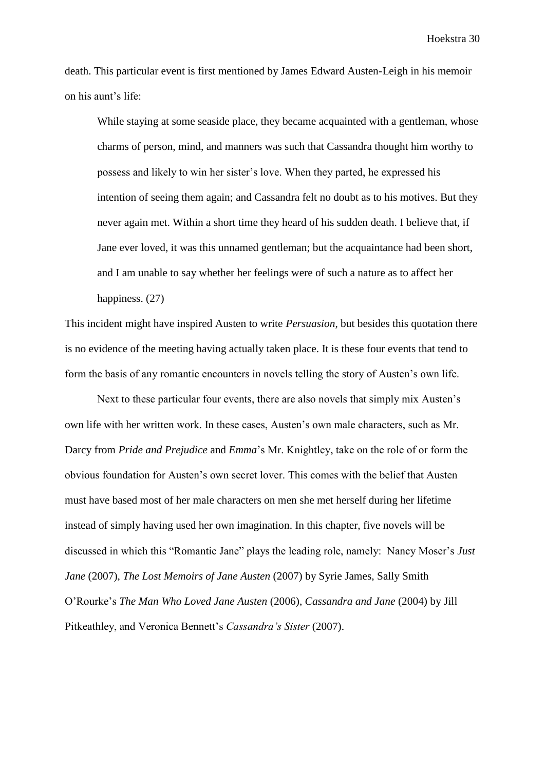death. This particular event is first mentioned by James Edward Austen-Leigh in his memoir on his aunt"s life:

While staying at some seaside place, they became acquainted with a gentleman, whose charms of person, mind, and manners was such that Cassandra thought him worthy to possess and likely to win her sister"s love. When they parted, he expressed his intention of seeing them again; and Cassandra felt no doubt as to his motives. But they never again met. Within a short time they heard of his sudden death. I believe that, if Jane ever loved, it was this unnamed gentleman; but the acquaintance had been short, and I am unable to say whether her feelings were of such a nature as to affect her happiness. (27)

This incident might have inspired Austen to write *Persuasion*, but besides this quotation there is no evidence of the meeting having actually taken place. It is these four events that tend to form the basis of any romantic encounters in novels telling the story of Austen's own life.

Next to these particular four events, there are also novels that simply mix Austen"s own life with her written work. In these cases, Austen"s own male characters, such as Mr. Darcy from *Pride and Prejudice* and *Emma*"s Mr. Knightley, take on the role of or form the obvious foundation for Austen"s own secret lover. This comes with the belief that Austen must have based most of her male characters on men she met herself during her lifetime instead of simply having used her own imagination. In this chapter, five novels will be discussed in which this "Romantic Jane" plays the leading role, namely: Nancy Moser"s *Just Jane* (2007), *The Lost Memoirs of Jane Austen* (2007) by Syrie James, Sally Smith O"Rourke"s *The Man Who Loved Jane Austen* (2006), *Cassandra and Jane* (2004) by Jill Pitkeathley, and Veronica Bennett's *Cassandra's Sister* (2007).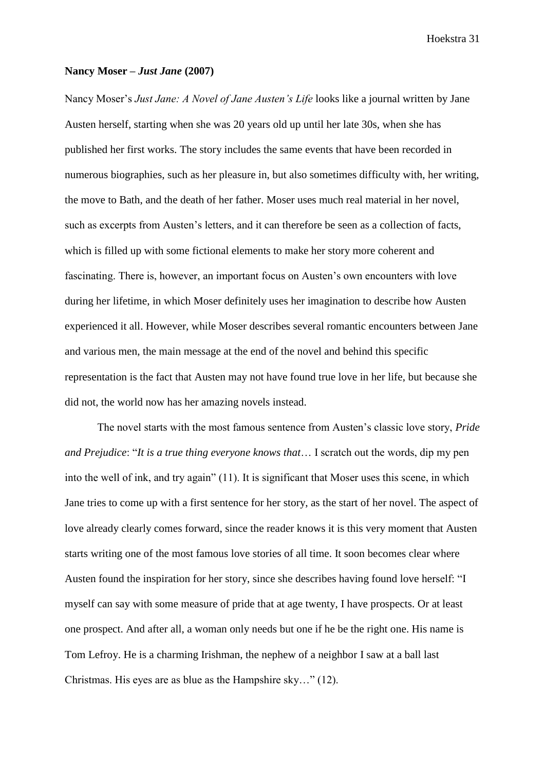#### **Nancy Moser –** *Just Jane* **(2007)**

Nancy Moser"s *Just Jane: A Novel of Jane Austen's Life* looks like a journal written by Jane Austen herself, starting when she was 20 years old up until her late 30s, when she has published her first works. The story includes the same events that have been recorded in numerous biographies, such as her pleasure in, but also sometimes difficulty with, her writing, the move to Bath, and the death of her father. Moser uses much real material in her novel, such as excerpts from Austen's letters, and it can therefore be seen as a collection of facts, which is filled up with some fictional elements to make her story more coherent and fascinating. There is, however, an important focus on Austen"s own encounters with love during her lifetime, in which Moser definitely uses her imagination to describe how Austen experienced it all. However, while Moser describes several romantic encounters between Jane and various men, the main message at the end of the novel and behind this specific representation is the fact that Austen may not have found true love in her life, but because she did not, the world now has her amazing novels instead.

The novel starts with the most famous sentence from Austen"s classic love story, *Pride and Prejudice*: "*It is a true thing everyone knows that*… I scratch out the words, dip my pen into the well of ink, and try again" (11). It is significant that Moser uses this scene, in which Jane tries to come up with a first sentence for her story, as the start of her novel. The aspect of love already clearly comes forward, since the reader knows it is this very moment that Austen starts writing one of the most famous love stories of all time. It soon becomes clear where Austen found the inspiration for her story, since she describes having found love herself: "I myself can say with some measure of pride that at age twenty, I have prospects. Or at least one prospect. And after all, a woman only needs but one if he be the right one. His name is Tom Lefroy. He is a charming Irishman, the nephew of a neighbor I saw at a ball last Christmas. His eyes are as blue as the Hampshire sky…" (12).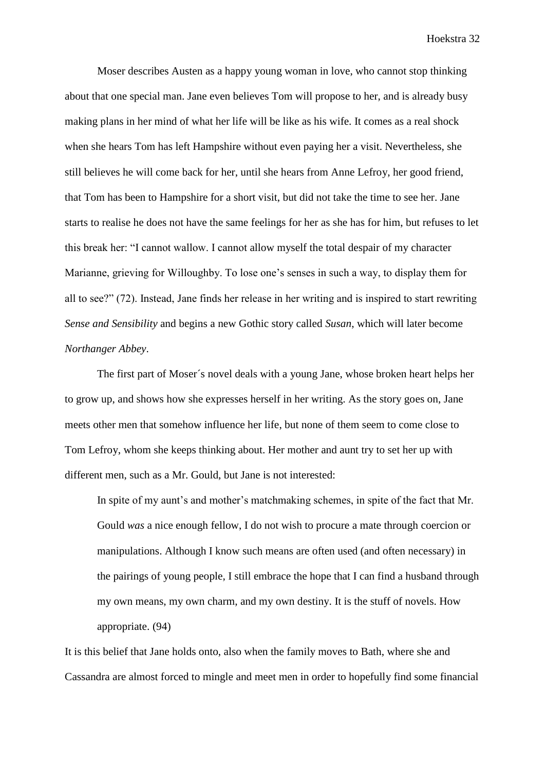Moser describes Austen as a happy young woman in love, who cannot stop thinking about that one special man. Jane even believes Tom will propose to her, and is already busy making plans in her mind of what her life will be like as his wife. It comes as a real shock when she hears Tom has left Hampshire without even paying her a visit. Nevertheless, she still believes he will come back for her, until she hears from Anne Lefroy, her good friend, that Tom has been to Hampshire for a short visit, but did not take the time to see her. Jane starts to realise he does not have the same feelings for her as she has for him, but refuses to let this break her: "I cannot wallow. I cannot allow myself the total despair of my character Marianne, grieving for Willoughby. To lose one"s senses in such a way, to display them for all to see?" (72). Instead, Jane finds her release in her writing and is inspired to start rewriting *Sense and Sensibility* and begins a new Gothic story called *Susan*, which will later become *Northanger Abbey*.

The first part of Moser´s novel deals with a young Jane, whose broken heart helps her to grow up, and shows how she expresses herself in her writing. As the story goes on, Jane meets other men that somehow influence her life, but none of them seem to come close to Tom Lefroy, whom she keeps thinking about. Her mother and aunt try to set her up with different men, such as a Mr. Gould, but Jane is not interested:

In spite of my aunt"s and mother"s matchmaking schemes, in spite of the fact that Mr. Gould *was* a nice enough fellow, I do not wish to procure a mate through coercion or manipulations. Although I know such means are often used (and often necessary) in the pairings of young people, I still embrace the hope that I can find a husband through my own means, my own charm, and my own destiny. It is the stuff of novels. How appropriate. (94)

It is this belief that Jane holds onto, also when the family moves to Bath, where she and Cassandra are almost forced to mingle and meet men in order to hopefully find some financial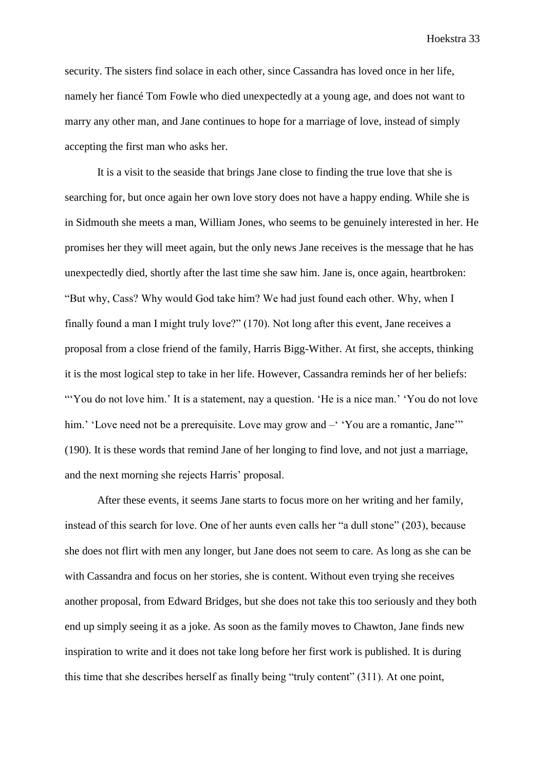security. The sisters find solace in each other, since Cassandra has loved once in her life, namely her fiancé Tom Fowle who died unexpectedly at a young age, and does not want to marry any other man, and Jane continues to hope for a marriage of love, instead of simply accepting the first man who asks her.

It is a visit to the seaside that brings Jane close to finding the true love that she is searching for, but once again her own love story does not have a happy ending. While she is in Sidmouth she meets a man, William Jones, who seems to be genuinely interested in her. He promises her they will meet again, but the only news Jane receives is the message that he has unexpectedly died, shortly after the last time she saw him. Jane is, once again, heartbroken: "But why, Cass? Why would God take him? We had just found each other. Why, when I finally found a man I might truly love?" (170). Not long after this event, Jane receives a proposal from a close friend of the family, Harris Bigg-Wither. At first, she accepts, thinking it is the most logical step to take in her life. However, Cassandra reminds her of her beliefs: "You do not love him.' It is a statement, nay a question. 'He is a nice man.' 'You do not love him.' 'Love need not be a prerequisite. Love may grow and  $-$  'You are a romantic, Jane'" (190). It is these words that remind Jane of her longing to find love, and not just a marriage, and the next morning she rejects Harris" proposal.

After these events, it seems Jane starts to focus more on her writing and her family, instead of this search for love. One of her aunts even calls her "a dull stone" (203), because she does not flirt with men any longer, but Jane does not seem to care. As long as she can be with Cassandra and focus on her stories, she is content. Without even trying she receives another proposal, from Edward Bridges, but she does not take this too seriously and they both end up simply seeing it as a joke. As soon as the family moves to Chawton, Jane finds new inspiration to write and it does not take long before her first work is published. It is during this time that she describes herself as finally being "truly content" (311). At one point,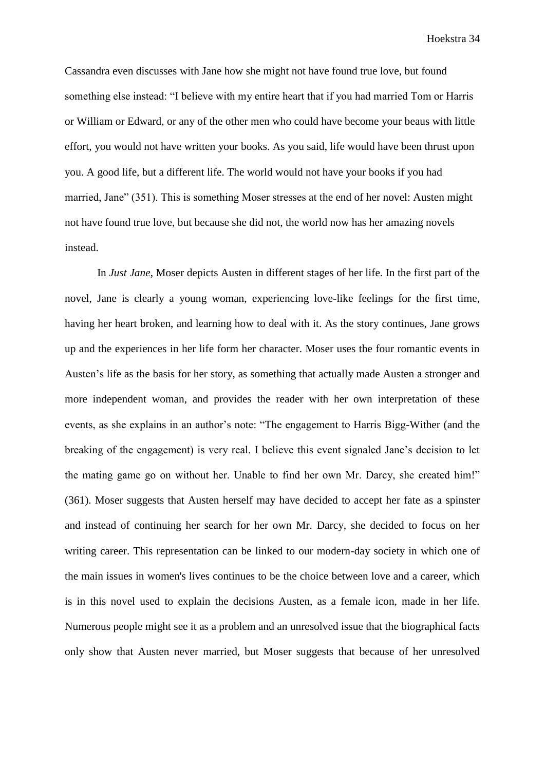Cassandra even discusses with Jane how she might not have found true love, but found something else instead: "I believe with my entire heart that if you had married Tom or Harris or William or Edward, or any of the other men who could have become your beaus with little effort, you would not have written your books. As you said, life would have been thrust upon you. A good life, but a different life. The world would not have your books if you had married, Jane" (351). This is something Moser stresses at the end of her novel: Austen might not have found true love, but because she did not, the world now has her amazing novels instead.

In *Just Jane*, Moser depicts Austen in different stages of her life. In the first part of the novel, Jane is clearly a young woman, experiencing love-like feelings for the first time, having her heart broken, and learning how to deal with it. As the story continues, Jane grows up and the experiences in her life form her character. Moser uses the four romantic events in Austen"s life as the basis for her story, as something that actually made Austen a stronger and more independent woman, and provides the reader with her own interpretation of these events, as she explains in an author's note: "The engagement to Harris Bigg-Wither (and the breaking of the engagement) is very real. I believe this event signaled Jane"s decision to let the mating game go on without her. Unable to find her own Mr. Darcy, she created him!" (361). Moser suggests that Austen herself may have decided to accept her fate as a spinster and instead of continuing her search for her own Mr. Darcy, she decided to focus on her writing career. This representation can be linked to our modern-day society in which one of the main issues in women's lives continues to be the choice between love and a career, which is in this novel used to explain the decisions Austen, as a female icon, made in her life. Numerous people might see it as a problem and an unresolved issue that the biographical facts only show that Austen never married, but Moser suggests that because of her unresolved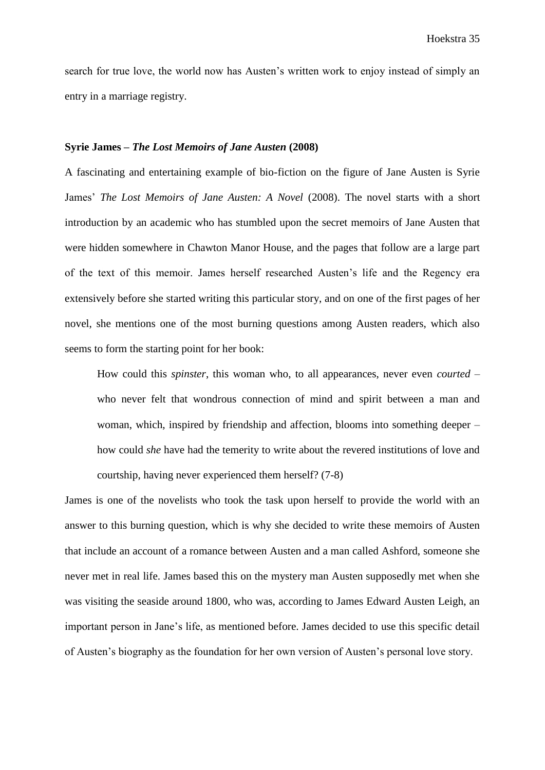search for true love, the world now has Austen"s written work to enjoy instead of simply an entry in a marriage registry.

## **Syrie James –** *The Lost Memoirs of Jane Austen* **(2008)**

A fascinating and entertaining example of bio-fiction on the figure of Jane Austen is Syrie James' *The Lost Memoirs of Jane Austen: A Novel* (2008). The novel starts with a short introduction by an academic who has stumbled upon the secret memoirs of Jane Austen that were hidden somewhere in Chawton Manor House, and the pages that follow are a large part of the text of this memoir. James herself researched Austen"s life and the Regency era extensively before she started writing this particular story, and on one of the first pages of her novel, she mentions one of the most burning questions among Austen readers, which also seems to form the starting point for her book:

How could this *spinster*, this woman who, to all appearances, never even *courted* – who never felt that wondrous connection of mind and spirit between a man and woman, which, inspired by friendship and affection, blooms into something deeper – how could *she* have had the temerity to write about the revered institutions of love and courtship, having never experienced them herself? (7-8)

James is one of the novelists who took the task upon herself to provide the world with an answer to this burning question, which is why she decided to write these memoirs of Austen that include an account of a romance between Austen and a man called Ashford, someone she never met in real life. James based this on the mystery man Austen supposedly met when she was visiting the seaside around 1800, who was, according to James Edward Austen Leigh, an important person in Jane"s life, as mentioned before. James decided to use this specific detail of Austen"s biography as the foundation for her own version of Austen"s personal love story.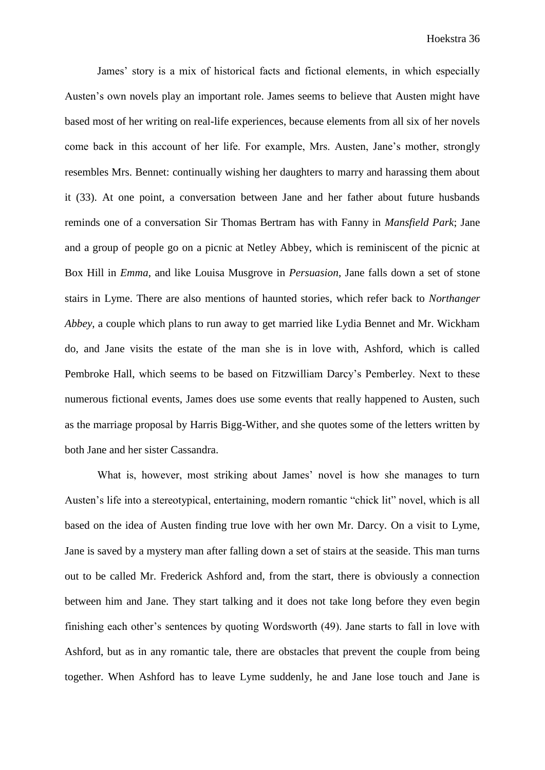James' story is a mix of historical facts and fictional elements, in which especially Austen"s own novels play an important role. James seems to believe that Austen might have based most of her writing on real-life experiences, because elements from all six of her novels come back in this account of her life. For example, Mrs. Austen, Jane"s mother, strongly resembles Mrs. Bennet: continually wishing her daughters to marry and harassing them about it (33). At one point, a conversation between Jane and her father about future husbands reminds one of a conversation Sir Thomas Bertram has with Fanny in *Mansfield Park*; Jane and a group of people go on a picnic at Netley Abbey, which is reminiscent of the picnic at Box Hill in *Emma*, and like Louisa Musgrove in *Persuasion*, Jane falls down a set of stone stairs in Lyme. There are also mentions of haunted stories, which refer back to *Northanger Abbey*, a couple which plans to run away to get married like Lydia Bennet and Mr. Wickham do, and Jane visits the estate of the man she is in love with, Ashford, which is called Pembroke Hall, which seems to be based on Fitzwilliam Darcy"s Pemberley. Next to these numerous fictional events, James does use some events that really happened to Austen, such as the marriage proposal by Harris Bigg-Wither, and she quotes some of the letters written by both Jane and her sister Cassandra.

What is, however, most striking about James' novel is how she manages to turn Austen"s life into a stereotypical, entertaining, modern romantic "chick lit" novel, which is all based on the idea of Austen finding true love with her own Mr. Darcy. On a visit to Lyme, Jane is saved by a mystery man after falling down a set of stairs at the seaside. This man turns out to be called Mr. Frederick Ashford and, from the start, there is obviously a connection between him and Jane. They start talking and it does not take long before they even begin finishing each other"s sentences by quoting Wordsworth (49). Jane starts to fall in love with Ashford, but as in any romantic tale, there are obstacles that prevent the couple from being together. When Ashford has to leave Lyme suddenly, he and Jane lose touch and Jane is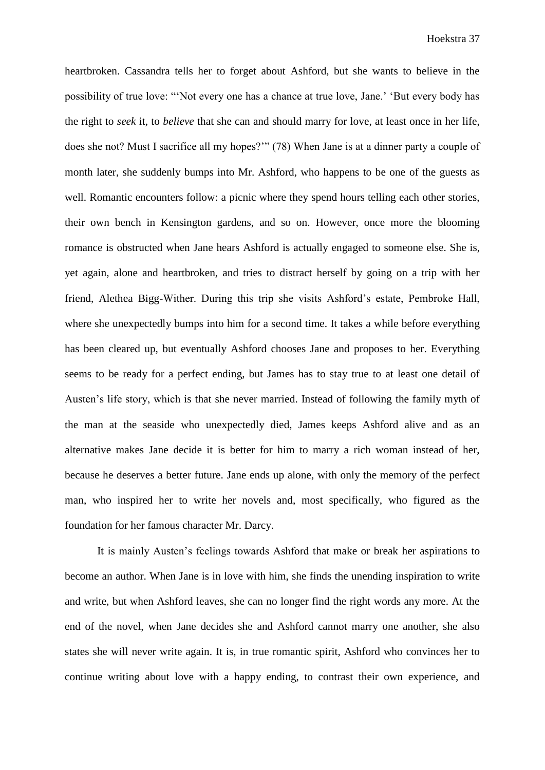heartbroken. Cassandra tells her to forget about Ashford, but she wants to believe in the possibility of true love: ""Not every one has a chance at true love, Jane." "But every body has the right to *seek* it, to *believe* that she can and should marry for love, at least once in her life, does she not? Must I sacrifice all my hopes?"" (78) When Jane is at a dinner party a couple of month later, she suddenly bumps into Mr. Ashford, who happens to be one of the guests as well. Romantic encounters follow: a picnic where they spend hours telling each other stories, their own bench in Kensington gardens, and so on. However, once more the blooming romance is obstructed when Jane hears Ashford is actually engaged to someone else. She is, yet again, alone and heartbroken, and tries to distract herself by going on a trip with her friend, Alethea Bigg-Wither. During this trip she visits Ashford"s estate, Pembroke Hall, where she unexpectedly bumps into him for a second time. It takes a while before everything has been cleared up, but eventually Ashford chooses Jane and proposes to her. Everything seems to be ready for a perfect ending, but James has to stay true to at least one detail of Austen"s life story, which is that she never married. Instead of following the family myth of the man at the seaside who unexpectedly died, James keeps Ashford alive and as an alternative makes Jane decide it is better for him to marry a rich woman instead of her, because he deserves a better future. Jane ends up alone, with only the memory of the perfect man, who inspired her to write her novels and, most specifically, who figured as the foundation for her famous character Mr. Darcy.

It is mainly Austen"s feelings towards Ashford that make or break her aspirations to become an author. When Jane is in love with him, she finds the unending inspiration to write and write, but when Ashford leaves, she can no longer find the right words any more. At the end of the novel, when Jane decides she and Ashford cannot marry one another, she also states she will never write again. It is, in true romantic spirit, Ashford who convinces her to continue writing about love with a happy ending, to contrast their own experience, and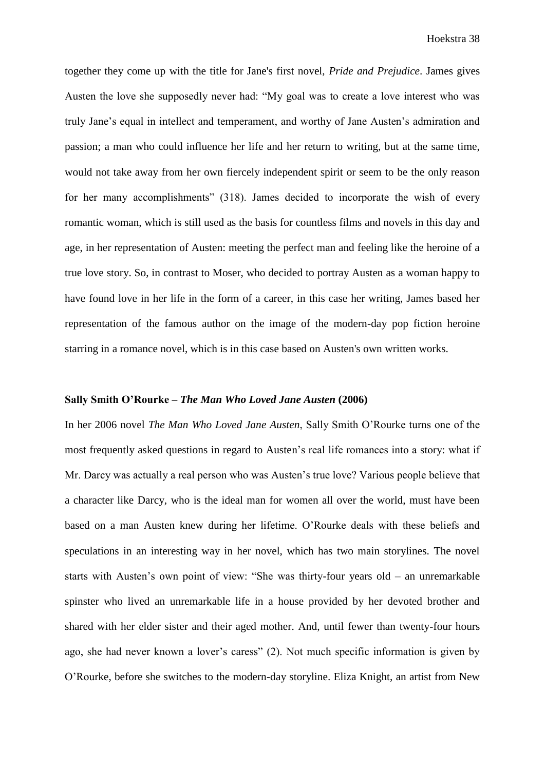together they come up with the title for Jane's first novel, *Pride and Prejudice*. James gives Austen the love she supposedly never had: "My goal was to create a love interest who was truly Jane"s equal in intellect and temperament, and worthy of Jane Austen"s admiration and passion; a man who could influence her life and her return to writing, but at the same time, would not take away from her own fiercely independent spirit or seem to be the only reason for her many accomplishments" (318). James decided to incorporate the wish of every romantic woman, which is still used as the basis for countless films and novels in this day and age, in her representation of Austen: meeting the perfect man and feeling like the heroine of a true love story. So, in contrast to Moser, who decided to portray Austen as a woman happy to have found love in her life in the form of a career, in this case her writing, James based her representation of the famous author on the image of the modern-day pop fiction heroine starring in a romance novel, which is in this case based on Austen's own written works.

# **Sally Smith O'Rourke –** *The Man Who Loved Jane Austen* **(2006)**

In her 2006 novel *The Man Who Loved Jane Austen*, Sally Smith O"Rourke turns one of the most frequently asked questions in regard to Austen"s real life romances into a story: what if Mr. Darcy was actually a real person who was Austen"s true love? Various people believe that a character like Darcy, who is the ideal man for women all over the world, must have been based on a man Austen knew during her lifetime. O"Rourke deals with these beliefs and speculations in an interesting way in her novel, which has two main storylines. The novel starts with Austen's own point of view: "She was thirty-four years old  $-$  an unremarkable spinster who lived an unremarkable life in a house provided by her devoted brother and shared with her elder sister and their aged mother. And, until fewer than twenty-four hours ago, she had never known a lover"s caress" (2). Not much specific information is given by O"Rourke, before she switches to the modern-day storyline. Eliza Knight, an artist from New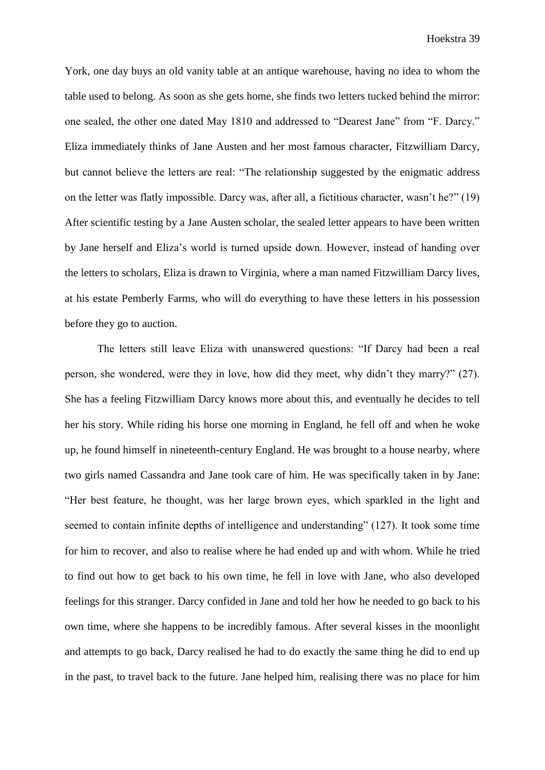York, one day buys an old vanity table at an antique warehouse, having no idea to whom the table used to belong. As soon as she gets home, she finds two letters tucked behind the mirror: one sealed, the other one dated May 1810 and addressed to "Dearest Jane" from "F. Darcy." Eliza immediately thinks of Jane Austen and her most famous character, Fitzwilliam Darcy, but cannot believe the letters are real: "The relationship suggested by the enigmatic address on the letter was flatly impossible. Darcy was, after all, a fictitious character, wasn"t he?" (19) After scientific testing by a Jane Austen scholar, the sealed letter appears to have been written by Jane herself and Eliza"s world is turned upside down. However, instead of handing over the letters to scholars, Eliza is drawn to Virginia, where a man named Fitzwilliam Darcy lives, at his estate Pemberly Farms, who will do everything to have these letters in his possession before they go to auction.

The letters still leave Eliza with unanswered questions: "If Darcy had been a real person, she wondered, were they in love, how did they meet, why didn"t they marry?" (27). She has a feeling Fitzwilliam Darcy knows more about this, and eventually he decides to tell her his story. While riding his horse one morning in England, he fell off and when he woke up, he found himself in nineteenth-century England. He was brought to a house nearby, where two girls named Cassandra and Jane took care of him. He was specifically taken in by Jane: "Her best feature, he thought, was her large brown eyes, which sparkled in the light and seemed to contain infinite depths of intelligence and understanding" (127). It took some time for him to recover, and also to realise where he had ended up and with whom. While he tried to find out how to get back to his own time, he fell in love with Jane, who also developed feelings for this stranger. Darcy confided in Jane and told her how he needed to go back to his own time, where she happens to be incredibly famous. After several kisses in the moonlight and attempts to go back, Darcy realised he had to do exactly the same thing he did to end up in the past, to travel back to the future. Jane helped him, realising there was no place for him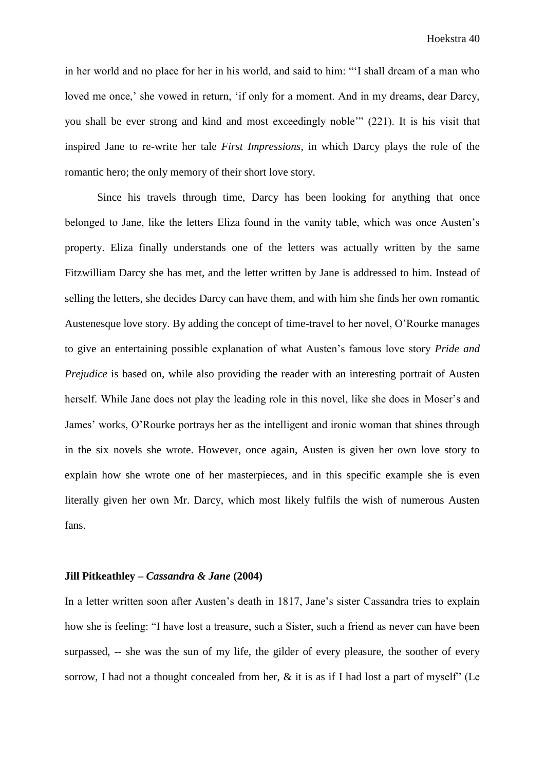in her world and no place for her in his world, and said to him: ""I shall dream of a man who loved me once,' she vowed in return, 'if only for a moment. And in my dreams, dear Darcy, you shall be ever strong and kind and most exceedingly noble"" (221). It is his visit that inspired Jane to re-write her tale *First Impressions*, in which Darcy plays the role of the romantic hero; the only memory of their short love story.

Since his travels through time, Darcy has been looking for anything that once belonged to Jane, like the letters Eliza found in the vanity table, which was once Austen"s property. Eliza finally understands one of the letters was actually written by the same Fitzwilliam Darcy she has met, and the letter written by Jane is addressed to him. Instead of selling the letters, she decides Darcy can have them, and with him she finds her own romantic Austenesque love story. By adding the concept of time-travel to her novel, O"Rourke manages to give an entertaining possible explanation of what Austen"s famous love story *Pride and Prejudice* is based on, while also providing the reader with an interesting portrait of Austen herself. While Jane does not play the leading role in this novel, like she does in Moser's and James' works, O'Rourke portrays her as the intelligent and ironic woman that shines through in the six novels she wrote. However, once again, Austen is given her own love story to explain how she wrote one of her masterpieces, and in this specific example she is even literally given her own Mr. Darcy, which most likely fulfils the wish of numerous Austen fans.

# **Jill Pitkeathley –** *Cassandra & Jane* **(2004)**

In a letter written soon after Austen"s death in 1817, Jane"s sister Cassandra tries to explain how she is feeling: "I have lost a treasure, such a Sister, such a friend as never can have been surpassed, -- she was the sun of my life, the gilder of every pleasure, the soother of every sorrow, I had not a thought concealed from her,  $\&$  it is as if I had lost a part of myself" (Le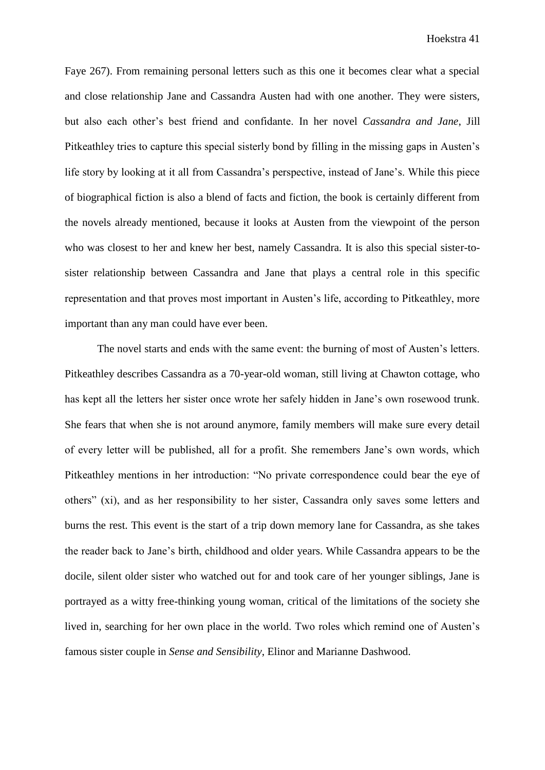Faye 267). From remaining personal letters such as this one it becomes clear what a special and close relationship Jane and Cassandra Austen had with one another. They were sisters, but also each other"s best friend and confidante. In her novel *Cassandra and Jane*, Jill Pitkeathley tries to capture this special sisterly bond by filling in the missing gaps in Austen's life story by looking at it all from Cassandra's perspective, instead of Jane's. While this piece of biographical fiction is also a blend of facts and fiction, the book is certainly different from the novels already mentioned, because it looks at Austen from the viewpoint of the person who was closest to her and knew her best, namely Cassandra. It is also this special sister-tosister relationship between Cassandra and Jane that plays a central role in this specific representation and that proves most important in Austen"s life, according to Pitkeathley, more important than any man could have ever been.

The novel starts and ends with the same event: the burning of most of Austen"s letters. Pitkeathley describes Cassandra as a 70-year-old woman, still living at Chawton cottage, who has kept all the letters her sister once wrote her safely hidden in Jane"s own rosewood trunk. She fears that when she is not around anymore, family members will make sure every detail of every letter will be published, all for a profit. She remembers Jane"s own words, which Pitkeathley mentions in her introduction: "No private correspondence could bear the eye of others" (xi), and as her responsibility to her sister, Cassandra only saves some letters and burns the rest. This event is the start of a trip down memory lane for Cassandra, as she takes the reader back to Jane"s birth, childhood and older years. While Cassandra appears to be the docile, silent older sister who watched out for and took care of her younger siblings, Jane is portrayed as a witty free-thinking young woman, critical of the limitations of the society she lived in, searching for her own place in the world. Two roles which remind one of Austen's famous sister couple in *Sense and Sensibility*, Elinor and Marianne Dashwood.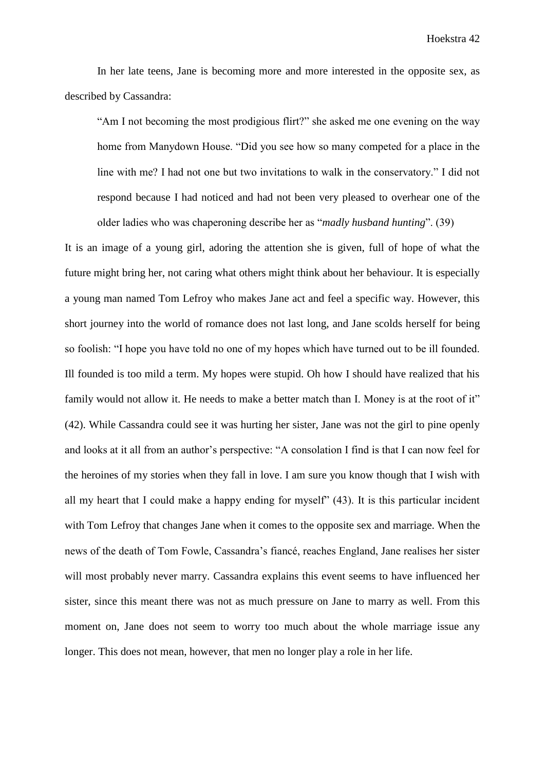In her late teens, Jane is becoming more and more interested in the opposite sex, as described by Cassandra:

"Am I not becoming the most prodigious flirt?" she asked me one evening on the way home from Manydown House. "Did you see how so many competed for a place in the line with me? I had not one but two invitations to walk in the conservatory." I did not respond because I had noticed and had not been very pleased to overhear one of the older ladies who was chaperoning describe her as "*madly husband hunting*". (39)

It is an image of a young girl, adoring the attention she is given, full of hope of what the future might bring her, not caring what others might think about her behaviour. It is especially a young man named Tom Lefroy who makes Jane act and feel a specific way. However, this short journey into the world of romance does not last long, and Jane scolds herself for being so foolish: "I hope you have told no one of my hopes which have turned out to be ill founded. Ill founded is too mild a term. My hopes were stupid. Oh how I should have realized that his family would not allow it. He needs to make a better match than I. Money is at the root of it" (42). While Cassandra could see it was hurting her sister, Jane was not the girl to pine openly and looks at it all from an author's perspective: "A consolation I find is that I can now feel for the heroines of my stories when they fall in love. I am sure you know though that I wish with all my heart that I could make a happy ending for myself" (43). It is this particular incident with Tom Lefroy that changes Jane when it comes to the opposite sex and marriage. When the news of the death of Tom Fowle, Cassandra"s fiancé, reaches England, Jane realises her sister will most probably never marry. Cassandra explains this event seems to have influenced her sister, since this meant there was not as much pressure on Jane to marry as well. From this moment on, Jane does not seem to worry too much about the whole marriage issue any longer. This does not mean, however, that men no longer play a role in her life.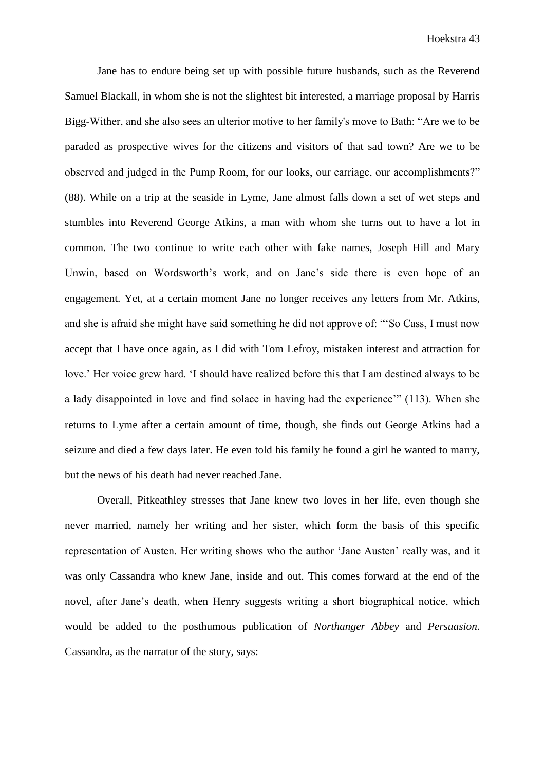Jane has to endure being set up with possible future husbands, such as the Reverend Samuel Blackall, in whom she is not the slightest bit interested, a marriage proposal by Harris Bigg-Wither, and she also sees an ulterior motive to her family's move to Bath: "Are we to be paraded as prospective wives for the citizens and visitors of that sad town? Are we to be observed and judged in the Pump Room, for our looks, our carriage, our accomplishments?" (88). While on a trip at the seaside in Lyme, Jane almost falls down a set of wet steps and stumbles into Reverend George Atkins, a man with whom she turns out to have a lot in common. The two continue to write each other with fake names, Joseph Hill and Mary Unwin, based on Wordsworth's work, and on Jane's side there is even hope of an engagement. Yet, at a certain moment Jane no longer receives any letters from Mr. Atkins, and she is afraid she might have said something he did not approve of: ""So Cass, I must now accept that I have once again, as I did with Tom Lefroy, mistaken interest and attraction for love." Her voice grew hard. "I should have realized before this that I am destined always to be a lady disappointed in love and find solace in having had the experience"" (113). When she returns to Lyme after a certain amount of time, though, she finds out George Atkins had a seizure and died a few days later. He even told his family he found a girl he wanted to marry, but the news of his death had never reached Jane.

Overall, Pitkeathley stresses that Jane knew two loves in her life, even though she never married, namely her writing and her sister, which form the basis of this specific representation of Austen. Her writing shows who the author "Jane Austen" really was, and it was only Cassandra who knew Jane, inside and out. This comes forward at the end of the novel, after Jane's death, when Henry suggests writing a short biographical notice, which would be added to the posthumous publication of *Northanger Abbey* and *Persuasion*. Cassandra, as the narrator of the story, says: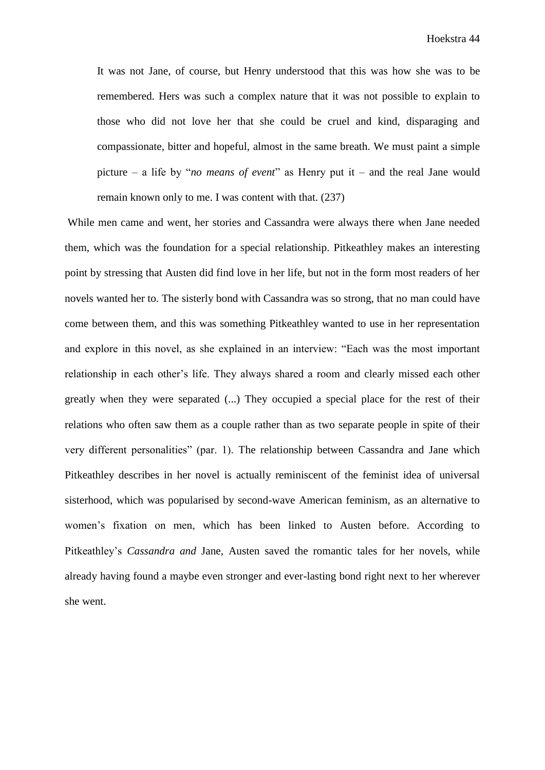It was not Jane, of course, but Henry understood that this was how she was to be remembered. Hers was such a complex nature that it was not possible to explain to those who did not love her that she could be cruel and kind, disparaging and compassionate, bitter and hopeful, almost in the same breath. We must paint a simple picture – a life by "*no means of event*" as Henry put it – and the real Jane would remain known only to me. I was content with that. (237)

While men came and went, her stories and Cassandra were always there when Jane needed them, which was the foundation for a special relationship. Pitkeathley makes an interesting point by stressing that Austen did find love in her life, but not in the form most readers of her novels wanted her to. The sisterly bond with Cassandra was so strong, that no man could have come between them, and this was something Pitkeathley wanted to use in her representation and explore in this novel, as she explained in an interview: "Each was the most important relationship in each other"s life. They always shared a room and clearly missed each other greatly when they were separated (...) They occupied a special place for the rest of their relations who often saw them as a couple rather than as two separate people in spite of their very different personalities" (par. 1). The relationship between Cassandra and Jane which Pitkeathley describes in her novel is actually reminiscent of the feminist idea of universal sisterhood, which was popularised by second-wave American feminism, as an alternative to women"s fixation on men, which has been linked to Austen before. According to Pitkeathley"s *Cassandra and* Jane, Austen saved the romantic tales for her novels, while already having found a maybe even stronger and ever-lasting bond right next to her wherever she went.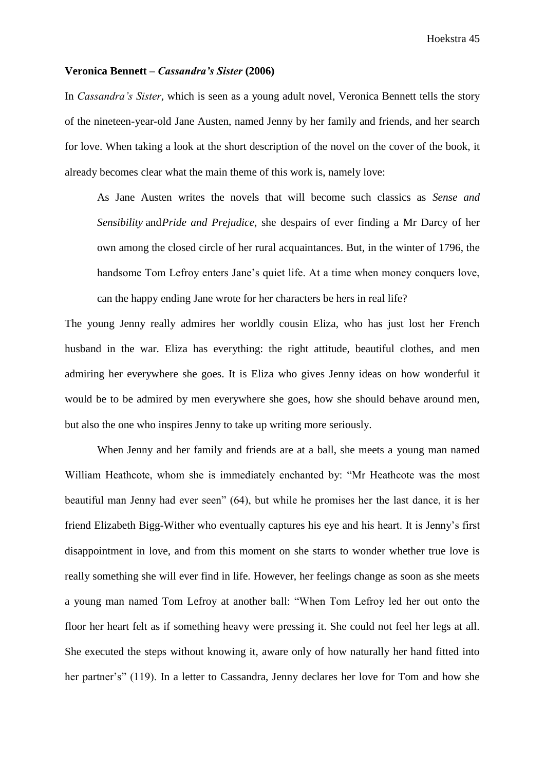#### **Veronica Bennett –** *Cassandra's Sister* **(2006)**

In *Cassandra's Sister*, which is seen as a young adult novel, Veronica Bennett tells the story of the nineteen-year-old Jane Austen, named Jenny by her family and friends, and her search for love. When taking a look at the short description of the novel on the cover of the book, it already becomes clear what the main theme of this work is, namely love:

As Jane Austen writes the novels that will become such classics as *Sense and Sensibility* and*Pride and Prejudice*, she despairs of ever finding a Mr Darcy of her own among the closed circle of her rural acquaintances. But, in the winter of 1796, the handsome Tom Lefroy enters Jane's quiet life. At a time when money conquers love, can the happy ending Jane wrote for her characters be hers in real life?

The young Jenny really admires her worldly cousin Eliza, who has just lost her French husband in the war. Eliza has everything: the right attitude, beautiful clothes, and men admiring her everywhere she goes. It is Eliza who gives Jenny ideas on how wonderful it would be to be admired by men everywhere she goes, how she should behave around men, but also the one who inspires Jenny to take up writing more seriously.

When Jenny and her family and friends are at a ball, she meets a young man named William Heathcote, whom she is immediately enchanted by: "Mr Heathcote was the most beautiful man Jenny had ever seen" (64), but while he promises her the last dance, it is her friend Elizabeth Bigg-Wither who eventually captures his eye and his heart. It is Jenny"s first disappointment in love, and from this moment on she starts to wonder whether true love is really something she will ever find in life. However, her feelings change as soon as she meets a young man named Tom Lefroy at another ball: "When Tom Lefroy led her out onto the floor her heart felt as if something heavy were pressing it. She could not feel her legs at all. She executed the steps without knowing it, aware only of how naturally her hand fitted into her partner's" (119). In a letter to Cassandra, Jenny declares her love for Tom and how she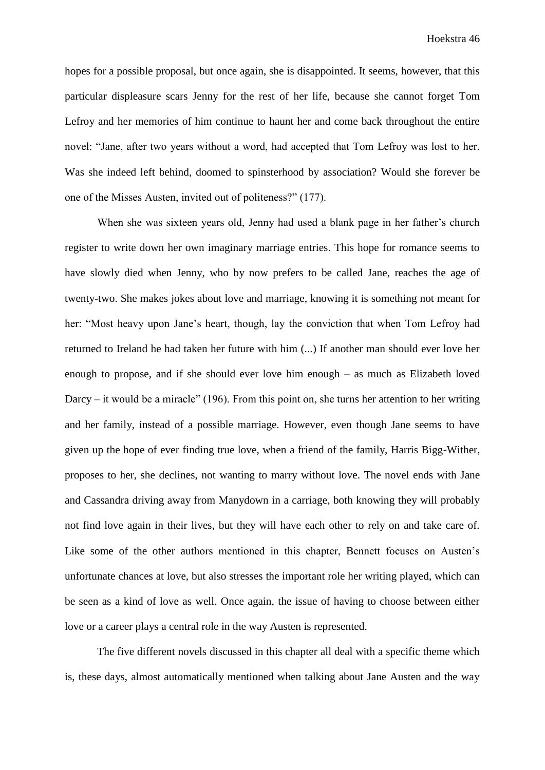hopes for a possible proposal, but once again, she is disappointed. It seems, however, that this particular displeasure scars Jenny for the rest of her life, because she cannot forget Tom Lefroy and her memories of him continue to haunt her and come back throughout the entire novel: "Jane, after two years without a word, had accepted that Tom Lefroy was lost to her. Was she indeed left behind, doomed to spinsterhood by association? Would she forever be one of the Misses Austen, invited out of politeness?" (177).

When she was sixteen years old, Jenny had used a blank page in her father's church register to write down her own imaginary marriage entries. This hope for romance seems to have slowly died when Jenny, who by now prefers to be called Jane, reaches the age of twenty-two. She makes jokes about love and marriage, knowing it is something not meant for her: "Most heavy upon Jane's heart, though, lay the conviction that when Tom Lefroy had returned to Ireland he had taken her future with him (...) If another man should ever love her enough to propose, and if she should ever love him enough – as much as Elizabeth loved Darcy – it would be a miracle" (196). From this point on, she turns her attention to her writing and her family, instead of a possible marriage. However, even though Jane seems to have given up the hope of ever finding true love, when a friend of the family, Harris Bigg-Wither, proposes to her, she declines, not wanting to marry without love. The novel ends with Jane and Cassandra driving away from Manydown in a carriage, both knowing they will probably not find love again in their lives, but they will have each other to rely on and take care of. Like some of the other authors mentioned in this chapter, Bennett focuses on Austen's unfortunate chances at love, but also stresses the important role her writing played, which can be seen as a kind of love as well. Once again, the issue of having to choose between either love or a career plays a central role in the way Austen is represented.

The five different novels discussed in this chapter all deal with a specific theme which is, these days, almost automatically mentioned when talking about Jane Austen and the way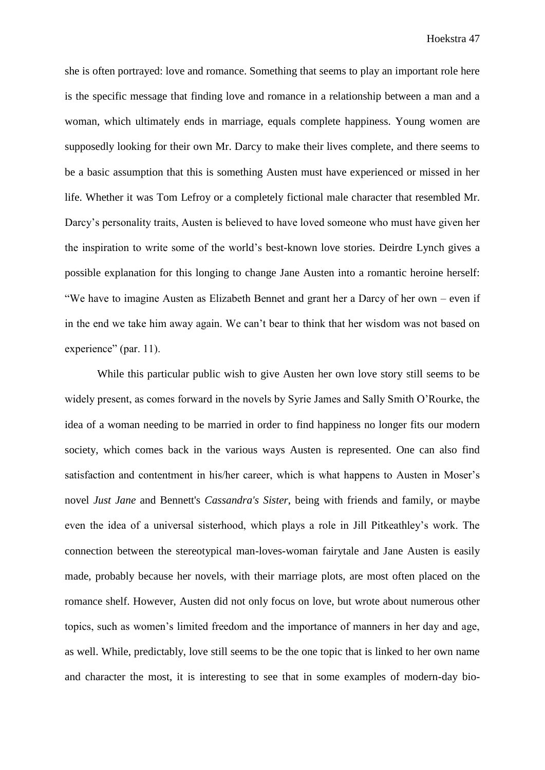she is often portrayed: love and romance. Something that seems to play an important role here is the specific message that finding love and romance in a relationship between a man and a woman, which ultimately ends in marriage, equals complete happiness. Young women are supposedly looking for their own Mr. Darcy to make their lives complete, and there seems to be a basic assumption that this is something Austen must have experienced or missed in her life. Whether it was Tom Lefroy or a completely fictional male character that resembled Mr. Darcy"s personality traits, Austen is believed to have loved someone who must have given her the inspiration to write some of the world"s best-known love stories. Deirdre Lynch gives a possible explanation for this longing to change Jane Austen into a romantic heroine herself: "We have to imagine Austen as Elizabeth Bennet and grant her a Darcy of her own – even if in the end we take him away again. We can"t bear to think that her wisdom was not based on experience" (par. 11).

While this particular public wish to give Austen her own love story still seems to be widely present, as comes forward in the novels by Syrie James and Sally Smith O"Rourke, the idea of a woman needing to be married in order to find happiness no longer fits our modern society, which comes back in the various ways Austen is represented. One can also find satisfaction and contentment in his/her career, which is what happens to Austen in Moser's novel *Just Jane* and Bennett's *Cassandra's Sister*, being with friends and family, or maybe even the idea of a universal sisterhood, which plays a role in Jill Pitkeathley"s work. The connection between the stereotypical man-loves-woman fairytale and Jane Austen is easily made, probably because her novels, with their marriage plots, are most often placed on the romance shelf. However, Austen did not only focus on love, but wrote about numerous other topics, such as women"s limited freedom and the importance of manners in her day and age, as well. While, predictably, love still seems to be the one topic that is linked to her own name and character the most, it is interesting to see that in some examples of modern-day bio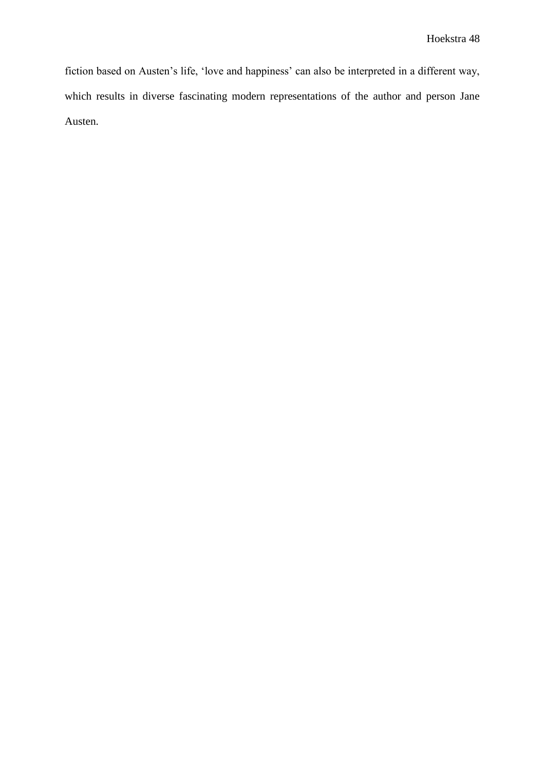fiction based on Austen's life, 'love and happiness' can also be interpreted in a different way, which results in diverse fascinating modern representations of the author and person Jane Austen.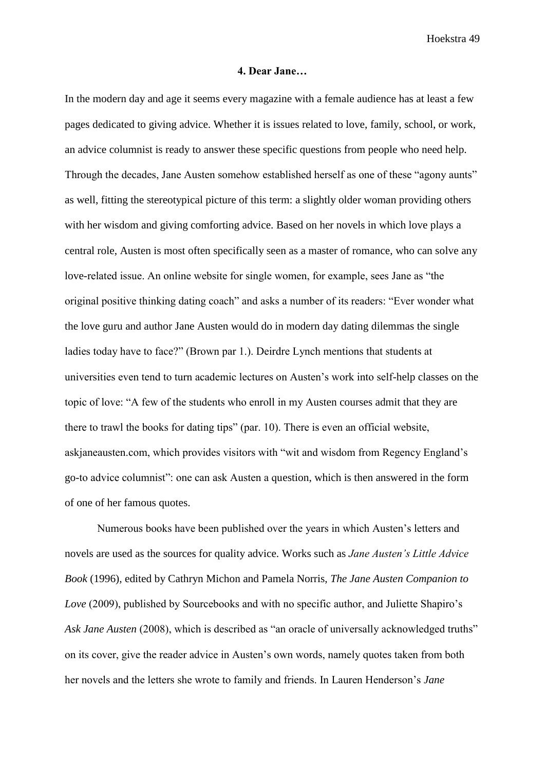### **4. Dear Jane…**

In the modern day and age it seems every magazine with a female audience has at least a few pages dedicated to giving advice. Whether it is issues related to love, family, school, or work, an advice columnist is ready to answer these specific questions from people who need help. Through the decades, Jane Austen somehow established herself as one of these "agony aunts" as well, fitting the stereotypical picture of this term: a slightly older woman providing others with her wisdom and giving comforting advice. Based on her novels in which love plays a central role, Austen is most often specifically seen as a master of romance, who can solve any love-related issue. An online website for single women, for example, sees Jane as "the original positive thinking dating coach" and asks a number of its readers: "Ever wonder what the love guru and author Jane Austen would do in modern day dating dilemmas the single ladies today have to face?" (Brown par 1.). Deirdre Lynch mentions that students at universities even tend to turn academic lectures on Austen"s work into self-help classes on the topic of love: "A few of the students who enroll in my Austen courses admit that they are there to trawl the books for dating tips" (par. 10). There is even an official website, askjaneausten.com, which provides visitors with "wit and wisdom from Regency England"s go-to advice columnist": one can ask Austen a question, which is then answered in the form of one of her famous quotes.

Numerous books have been published over the years in which Austen"s letters and novels are used as the sources for quality advice. Works such as *Jane Austen's Little Advice Book* (1996), edited by Cathryn Michon and Pamela Norris, *The Jane Austen Companion to Love* (2009), published by Sourcebooks and with no specific author, and Juliette Shapiro's *Ask Jane Austen* (2008), which is described as "an oracle of universally acknowledged truths" on its cover, give the reader advice in Austen"s own words, namely quotes taken from both her novels and the letters she wrote to family and friends. In Lauren Henderson"s *Jane*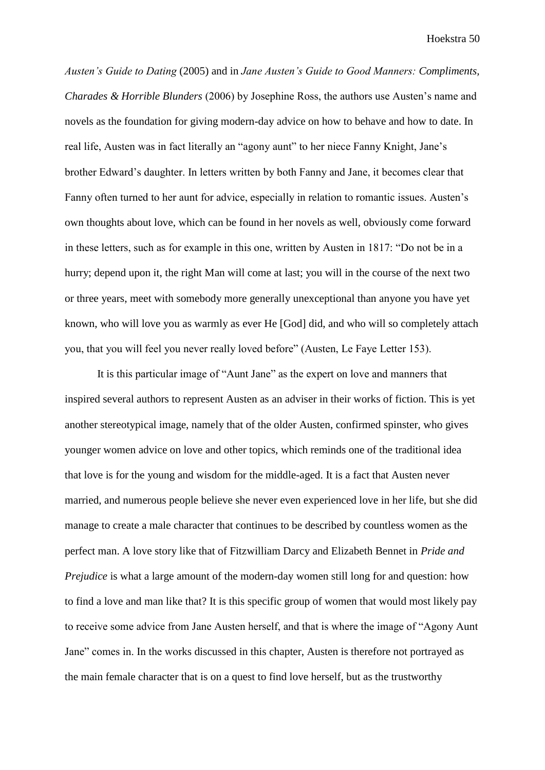*Austen's Guide to Dating* (2005) and in *Jane Austen's Guide to Good Manners: Compliments, Charades & Horrible Blunders* (2006) by Josephine Ross, the authors use Austen"s name and novels as the foundation for giving modern-day advice on how to behave and how to date. In real life, Austen was in fact literally an "agony aunt" to her niece Fanny Knight, Jane"s brother Edward"s daughter. In letters written by both Fanny and Jane, it becomes clear that Fanny often turned to her aunt for advice, especially in relation to romantic issues. Austen"s own thoughts about love, which can be found in her novels as well, obviously come forward in these letters, such as for example in this one, written by Austen in 1817: "Do not be in a hurry; depend upon it, the right Man will come at last; you will in the course of the next two or three years, meet with somebody more generally unexceptional than anyone you have yet known, who will love you as warmly as ever He [God] did, and who will so completely attach you, that you will feel you never really loved before" (Austen, Le Faye Letter 153).

It is this particular image of "Aunt Jane" as the expert on love and manners that inspired several authors to represent Austen as an adviser in their works of fiction. This is yet another stereotypical image, namely that of the older Austen, confirmed spinster, who gives younger women advice on love and other topics, which reminds one of the traditional idea that love is for the young and wisdom for the middle-aged. It is a fact that Austen never married, and numerous people believe she never even experienced love in her life, but she did manage to create a male character that continues to be described by countless women as the perfect man. A love story like that of Fitzwilliam Darcy and Elizabeth Bennet in *Pride and Prejudice* is what a large amount of the modern-day women still long for and question: how to find a love and man like that? It is this specific group of women that would most likely pay to receive some advice from Jane Austen herself, and that is where the image of "Agony Aunt Jane" comes in. In the works discussed in this chapter, Austen is therefore not portrayed as the main female character that is on a quest to find love herself, but as the trustworthy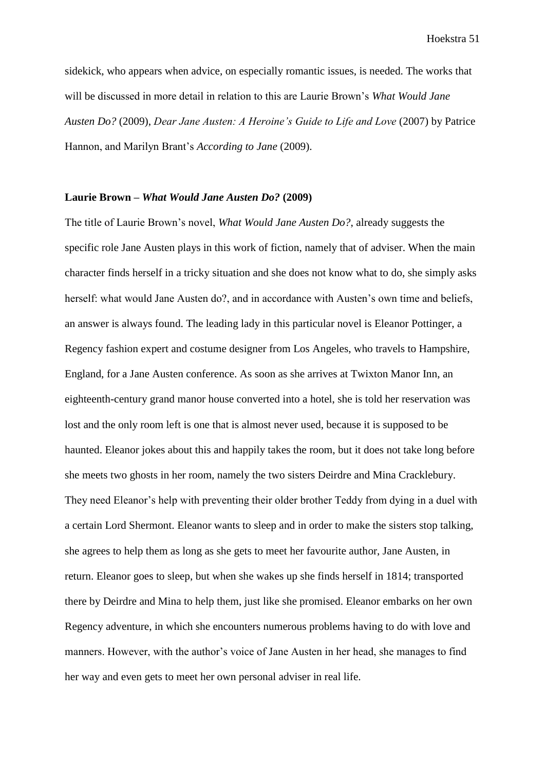sidekick, who appears when advice, on especially romantic issues, is needed. The works that will be discussed in more detail in relation to this are Laurie Brown"s *What Would Jane Austen Do?* (2009), *Dear Jane Austen: A Heroine's Guide to Life and Love* (2007) by Patrice Hannon, and Marilyn Brant"s *According to Jane* (2009).

# **Laurie Brown –** *What Would Jane Austen Do?* **(2009)**

The title of Laurie Brown"s novel, *What Would Jane Austen Do?*, already suggests the specific role Jane Austen plays in this work of fiction, namely that of adviser. When the main character finds herself in a tricky situation and she does not know what to do, she simply asks herself: what would Jane Austen do?, and in accordance with Austen's own time and beliefs, an answer is always found. The leading lady in this particular novel is Eleanor Pottinger, a Regency fashion expert and costume designer from Los Angeles, who travels to Hampshire, England, for a Jane Austen conference. As soon as she arrives at Twixton Manor Inn, an eighteenth-century grand manor house converted into a hotel, she is told her reservation was lost and the only room left is one that is almost never used, because it is supposed to be haunted. Eleanor jokes about this and happily takes the room, but it does not take long before she meets two ghosts in her room, namely the two sisters Deirdre and Mina Cracklebury. They need Eleanor"s help with preventing their older brother Teddy from dying in a duel with a certain Lord Shermont. Eleanor wants to sleep and in order to make the sisters stop talking, she agrees to help them as long as she gets to meet her favourite author, Jane Austen, in return. Eleanor goes to sleep, but when she wakes up she finds herself in 1814; transported there by Deirdre and Mina to help them, just like she promised. Eleanor embarks on her own Regency adventure, in which she encounters numerous problems having to do with love and manners. However, with the author"s voice of Jane Austen in her head, she manages to find her way and even gets to meet her own personal adviser in real life.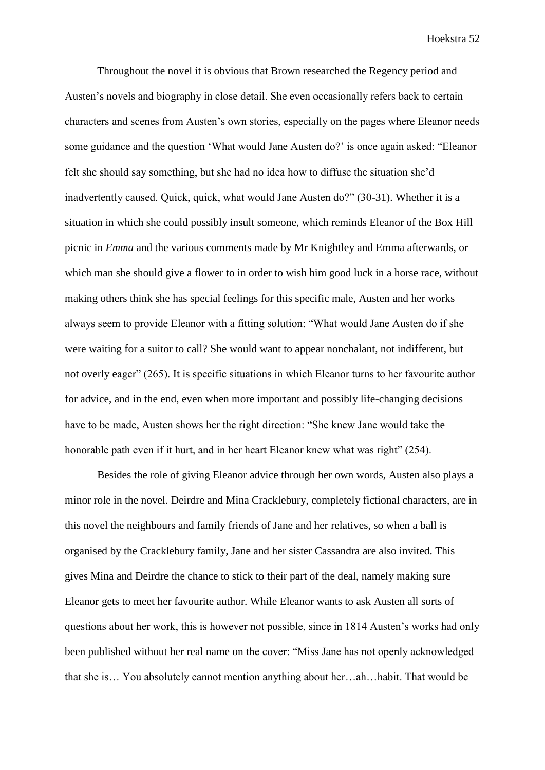Throughout the novel it is obvious that Brown researched the Regency period and Austen"s novels and biography in close detail. She even occasionally refers back to certain characters and scenes from Austen"s own stories, especially on the pages where Eleanor needs some guidance and the question "What would Jane Austen do?" is once again asked: "Eleanor felt she should say something, but she had no idea how to diffuse the situation she"d inadvertently caused. Quick, quick, what would Jane Austen do?" (30-31). Whether it is a situation in which she could possibly insult someone, which reminds Eleanor of the Box Hill picnic in *Emma* and the various comments made by Mr Knightley and Emma afterwards, or which man she should give a flower to in order to wish him good luck in a horse race, without making others think she has special feelings for this specific male, Austen and her works always seem to provide Eleanor with a fitting solution: "What would Jane Austen do if she were waiting for a suitor to call? She would want to appear nonchalant, not indifferent, but not overly eager" (265). It is specific situations in which Eleanor turns to her favourite author for advice, and in the end, even when more important and possibly life-changing decisions have to be made, Austen shows her the right direction: "She knew Jane would take the honorable path even if it hurt, and in her heart Eleanor knew what was right" (254).

Besides the role of giving Eleanor advice through her own words, Austen also plays a minor role in the novel. Deirdre and Mina Cracklebury, completely fictional characters, are in this novel the neighbours and family friends of Jane and her relatives, so when a ball is organised by the Cracklebury family, Jane and her sister Cassandra are also invited. This gives Mina and Deirdre the chance to stick to their part of the deal, namely making sure Eleanor gets to meet her favourite author. While Eleanor wants to ask Austen all sorts of questions about her work, this is however not possible, since in 1814 Austen's works had only been published without her real name on the cover: "Miss Jane has not openly acknowledged that she is… You absolutely cannot mention anything about her…ah…habit. That would be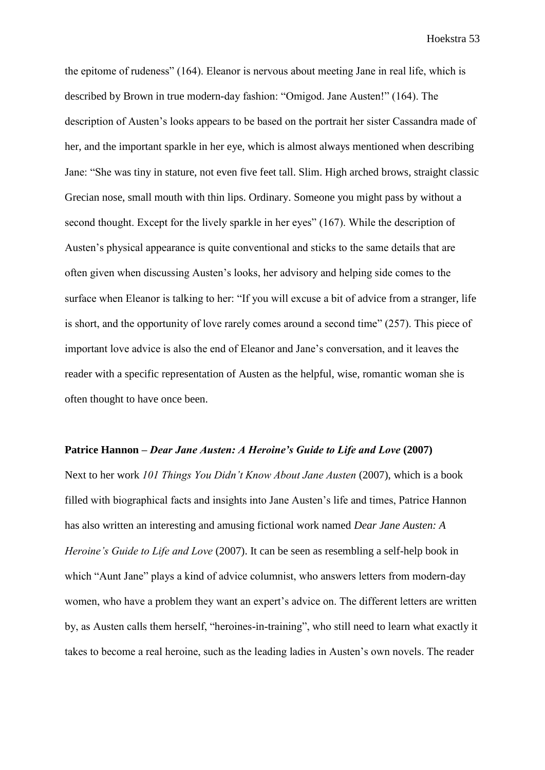the epitome of rudeness" (164). Eleanor is nervous about meeting Jane in real life, which is described by Brown in true modern-day fashion: "Omigod. Jane Austen!" (164). The description of Austen"s looks appears to be based on the portrait her sister Cassandra made of her, and the important sparkle in her eye, which is almost always mentioned when describing Jane: "She was tiny in stature, not even five feet tall. Slim. High arched brows, straight classic Grecian nose, small mouth with thin lips. Ordinary. Someone you might pass by without a second thought. Except for the lively sparkle in her eyes" (167). While the description of Austen"s physical appearance is quite conventional and sticks to the same details that are often given when discussing Austen"s looks, her advisory and helping side comes to the surface when Eleanor is talking to her: "If you will excuse a bit of advice from a stranger, life is short, and the opportunity of love rarely comes around a second time" (257). This piece of important love advice is also the end of Eleanor and Jane"s conversation, and it leaves the reader with a specific representation of Austen as the helpful, wise, romantic woman she is often thought to have once been.

### **Patrice Hannon –** *Dear Jane Austen: A Heroine's Guide to Life and Love* **(2007)**

Next to her work *101 Things You Didn't Know About Jane Austen* (2007), which is a book filled with biographical facts and insights into Jane Austen"s life and times, Patrice Hannon has also written an interesting and amusing fictional work named *Dear Jane Austen: A Heroine's Guide to Life and Love* (2007). It can be seen as resembling a self-help book in which "Aunt Jane" plays a kind of advice columnist, who answers letters from modern-day women, who have a problem they want an expert's advice on. The different letters are written by, as Austen calls them herself, "heroines-in-training", who still need to learn what exactly it takes to become a real heroine, such as the leading ladies in Austen"s own novels. The reader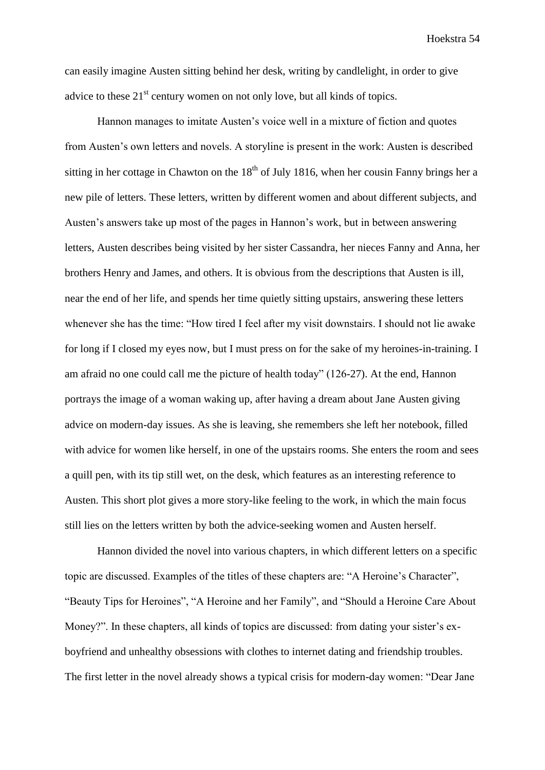can easily imagine Austen sitting behind her desk, writing by candlelight, in order to give advice to these  $21<sup>st</sup>$  century women on not only love, but all kinds of topics.

Hannon manages to imitate Austen"s voice well in a mixture of fiction and quotes from Austen"s own letters and novels. A storyline is present in the work: Austen is described sitting in her cottage in Chawton on the  $18<sup>th</sup>$  of July 1816, when her cousin Fanny brings her a new pile of letters. These letters, written by different women and about different subjects, and Austen"s answers take up most of the pages in Hannon"s work, but in between answering letters, Austen describes being visited by her sister Cassandra, her nieces Fanny and Anna, her brothers Henry and James, and others. It is obvious from the descriptions that Austen is ill, near the end of her life, and spends her time quietly sitting upstairs, answering these letters whenever she has the time: "How tired I feel after my visit downstairs. I should not lie awake for long if I closed my eyes now, but I must press on for the sake of my heroines-in-training. I am afraid no one could call me the picture of health today" (126-27). At the end, Hannon portrays the image of a woman waking up, after having a dream about Jane Austen giving advice on modern-day issues. As she is leaving, she remembers she left her notebook, filled with advice for women like herself, in one of the upstairs rooms. She enters the room and sees a quill pen, with its tip still wet, on the desk, which features as an interesting reference to Austen. This short plot gives a more story-like feeling to the work, in which the main focus still lies on the letters written by both the advice-seeking women and Austen herself.

Hannon divided the novel into various chapters, in which different letters on a specific topic are discussed. Examples of the titles of these chapters are: "A Heroine's Character", "Beauty Tips for Heroines", "A Heroine and her Family", and "Should a Heroine Care About Money?". In these chapters, all kinds of topics are discussed: from dating your sister's exboyfriend and unhealthy obsessions with clothes to internet dating and friendship troubles. The first letter in the novel already shows a typical crisis for modern-day women: "Dear Jane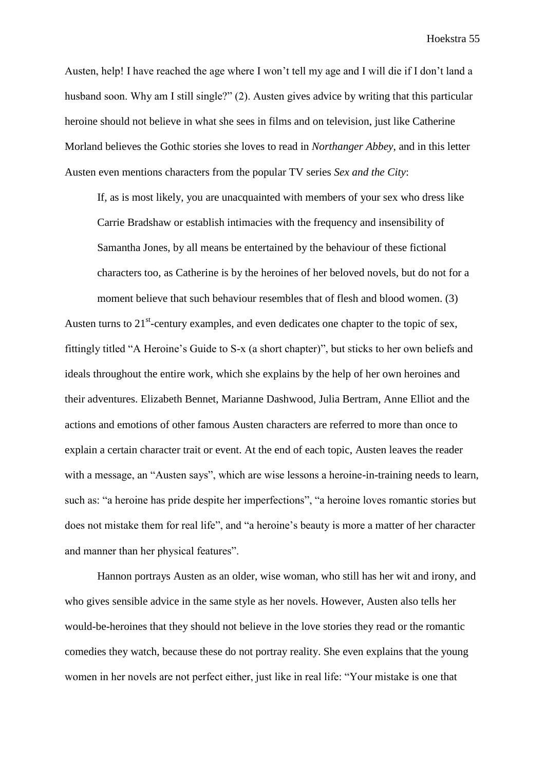Austen, help! I have reached the age where I won"t tell my age and I will die if I don"t land a husband soon. Why am I still single?" (2). Austen gives advice by writing that this particular heroine should not believe in what she sees in films and on television, just like Catherine Morland believes the Gothic stories she loves to read in *Northanger Abbey*, and in this letter Austen even mentions characters from the popular TV series *Sex and the City*:

If, as is most likely, you are unacquainted with members of your sex who dress like Carrie Bradshaw or establish intimacies with the frequency and insensibility of Samantha Jones, by all means be entertained by the behaviour of these fictional characters too, as Catherine is by the heroines of her beloved novels, but do not for a moment believe that such behaviour resembles that of flesh and blood women. (3)

Austen turns to  $21^{st}$ -century examples, and even dedicates one chapter to the topic of sex, fittingly titled "A Heroine"s Guide to S-x (a short chapter)", but sticks to her own beliefs and ideals throughout the entire work, which she explains by the help of her own heroines and their adventures. Elizabeth Bennet, Marianne Dashwood, Julia Bertram, Anne Elliot and the actions and emotions of other famous Austen characters are referred to more than once to explain a certain character trait or event. At the end of each topic, Austen leaves the reader with a message, an "Austen says", which are wise lessons a heroine-in-training needs to learn, such as: "a heroine has pride despite her imperfections", "a heroine loves romantic stories but does not mistake them for real life", and "a heroine"s beauty is more a matter of her character and manner than her physical features".

Hannon portrays Austen as an older, wise woman, who still has her wit and irony, and who gives sensible advice in the same style as her novels. However, Austen also tells her would-be-heroines that they should not believe in the love stories they read or the romantic comedies they watch, because these do not portray reality. She even explains that the young women in her novels are not perfect either, just like in real life: "Your mistake is one that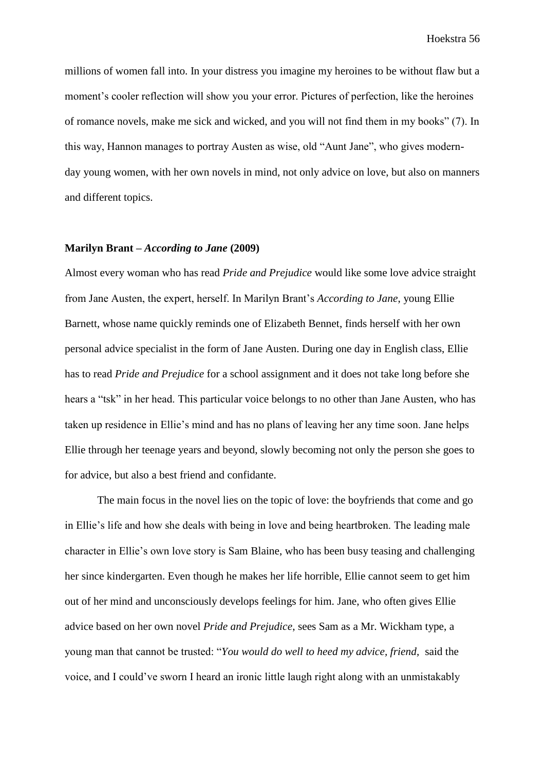millions of women fall into. In your distress you imagine my heroines to be without flaw but a moment's cooler reflection will show you your error. Pictures of perfection, like the heroines of romance novels, make me sick and wicked, and you will not find them in my books" (7). In this way, Hannon manages to portray Austen as wise, old "Aunt Jane", who gives modernday young women, with her own novels in mind, not only advice on love, but also on manners and different topics.

# **Marilyn Brant –** *According to Jane* **(2009)**

Almost every woman who has read *Pride and Prejudice* would like some love advice straight from Jane Austen, the expert, herself. In Marilyn Brant"s *According to Jane*, young Ellie Barnett, whose name quickly reminds one of Elizabeth Bennet, finds herself with her own personal advice specialist in the form of Jane Austen. During one day in English class, Ellie has to read *Pride and Prejudice* for a school assignment and it does not take long before she hears a "tsk" in her head. This particular voice belongs to no other than Jane Austen, who has taken up residence in Ellie"s mind and has no plans of leaving her any time soon. Jane helps Ellie through her teenage years and beyond, slowly becoming not only the person she goes to for advice, but also a best friend and confidante.

The main focus in the novel lies on the topic of love: the boyfriends that come and go in Ellie"s life and how she deals with being in love and being heartbroken. The leading male character in Ellie"s own love story is Sam Blaine, who has been busy teasing and challenging her since kindergarten. Even though he makes her life horrible, Ellie cannot seem to get him out of her mind and unconsciously develops feelings for him. Jane, who often gives Ellie advice based on her own novel *Pride and Prejudice*, sees Sam as a Mr. Wickham type, a young man that cannot be trusted: "*You would do well to heed my advice, friend,* said the voice, and I could"ve sworn I heard an ironic little laugh right along with an unmistakably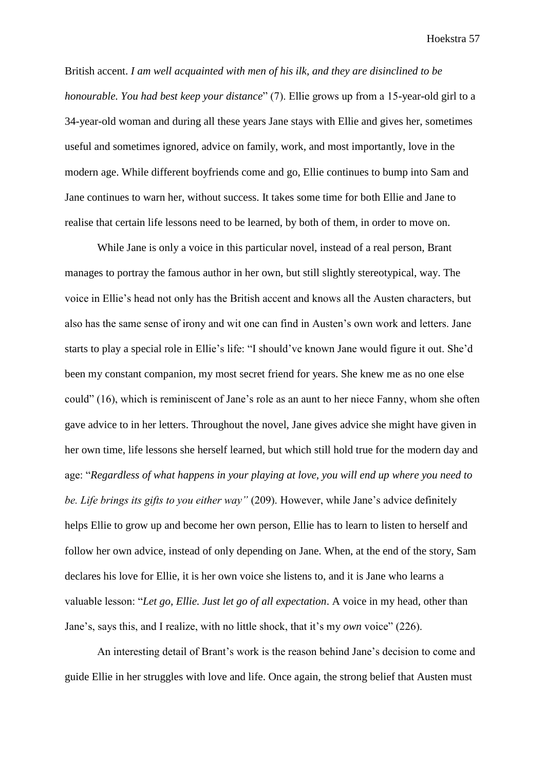British accent. *I am well acquainted with men of his ilk, and they are disinclined to be honourable. You had best keep your distance*" (7). Ellie grows up from a 15-year-old girl to a 34-year-old woman and during all these years Jane stays with Ellie and gives her, sometimes useful and sometimes ignored, advice on family, work, and most importantly, love in the modern age. While different boyfriends come and go, Ellie continues to bump into Sam and Jane continues to warn her, without success. It takes some time for both Ellie and Jane to realise that certain life lessons need to be learned, by both of them, in order to move on.

While Jane is only a voice in this particular novel, instead of a real person, Brant manages to portray the famous author in her own, but still slightly stereotypical, way. The voice in Ellie"s head not only has the British accent and knows all the Austen characters, but also has the same sense of irony and wit one can find in Austen's own work and letters. Jane starts to play a special role in Ellie"s life: "I should"ve known Jane would figure it out. She"d been my constant companion, my most secret friend for years. She knew me as no one else could" (16), which is reminiscent of Jane's role as an aunt to her niece Fanny, whom she often gave advice to in her letters. Throughout the novel, Jane gives advice she might have given in her own time, life lessons she herself learned, but which still hold true for the modern day and age: "*Regardless of what happens in your playing at love, you will end up where you need to be. Life brings its gifts to you either way"* (209). However, while Jane"s advice definitely helps Ellie to grow up and become her own person, Ellie has to learn to listen to herself and follow her own advice, instead of only depending on Jane. When, at the end of the story, Sam declares his love for Ellie, it is her own voice she listens to, and it is Jane who learns a valuable lesson: "*Let go, Ellie. Just let go of all expectation*. A voice in my head, other than Jane's, says this, and I realize, with no little shock, that it's my *own* voice" (226).

An interesting detail of Brant"s work is the reason behind Jane"s decision to come and guide Ellie in her struggles with love and life. Once again, the strong belief that Austen must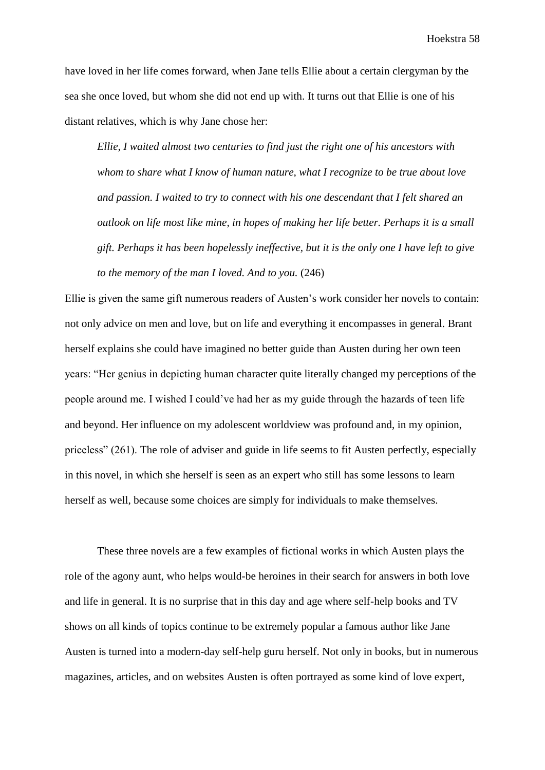have loved in her life comes forward, when Jane tells Ellie about a certain clergyman by the sea she once loved, but whom she did not end up with. It turns out that Ellie is one of his distant relatives, which is why Jane chose her:

*Ellie, I waited almost two centuries to find just the right one of his ancestors with whom to share what I know of human nature, what I recognize to be true about love and passion. I waited to try to connect with his one descendant that I felt shared an outlook on life most like mine, in hopes of making her life better. Perhaps it is a small gift. Perhaps it has been hopelessly ineffective, but it is the only one I have left to give to the memory of the man I loved. And to you.* (246)

Ellie is given the same gift numerous readers of Austen's work consider her novels to contain: not only advice on men and love, but on life and everything it encompasses in general. Brant herself explains she could have imagined no better guide than Austen during her own teen years: "Her genius in depicting human character quite literally changed my perceptions of the people around me. I wished I could"ve had her as my guide through the hazards of teen life and beyond. Her influence on my adolescent worldview was profound and, in my opinion, priceless" (261). The role of adviser and guide in life seems to fit Austen perfectly, especially in this novel, in which she herself is seen as an expert who still has some lessons to learn herself as well, because some choices are simply for individuals to make themselves.

These three novels are a few examples of fictional works in which Austen plays the role of the agony aunt, who helps would-be heroines in their search for answers in both love and life in general. It is no surprise that in this day and age where self-help books and TV shows on all kinds of topics continue to be extremely popular a famous author like Jane Austen is turned into a modern-day self-help guru herself. Not only in books, but in numerous magazines, articles, and on websites Austen is often portrayed as some kind of love expert,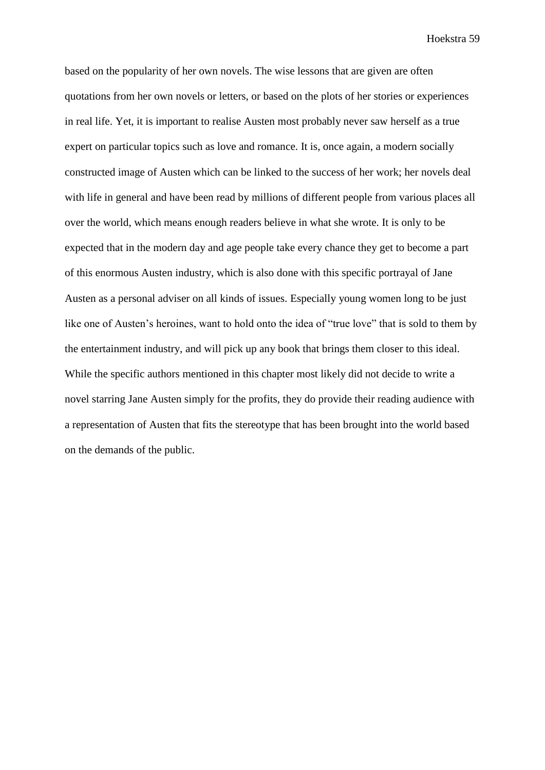based on the popularity of her own novels. The wise lessons that are given are often quotations from her own novels or letters, or based on the plots of her stories or experiences in real life. Yet, it is important to realise Austen most probably never saw herself as a true expert on particular topics such as love and romance. It is, once again, a modern socially constructed image of Austen which can be linked to the success of her work; her novels deal with life in general and have been read by millions of different people from various places all over the world, which means enough readers believe in what she wrote. It is only to be expected that in the modern day and age people take every chance they get to become a part of this enormous Austen industry, which is also done with this specific portrayal of Jane Austen as a personal adviser on all kinds of issues. Especially young women long to be just like one of Austen"s heroines, want to hold onto the idea of "true love" that is sold to them by the entertainment industry, and will pick up any book that brings them closer to this ideal. While the specific authors mentioned in this chapter most likely did not decide to write a novel starring Jane Austen simply for the profits, they do provide their reading audience with a representation of Austen that fits the stereotype that has been brought into the world based on the demands of the public.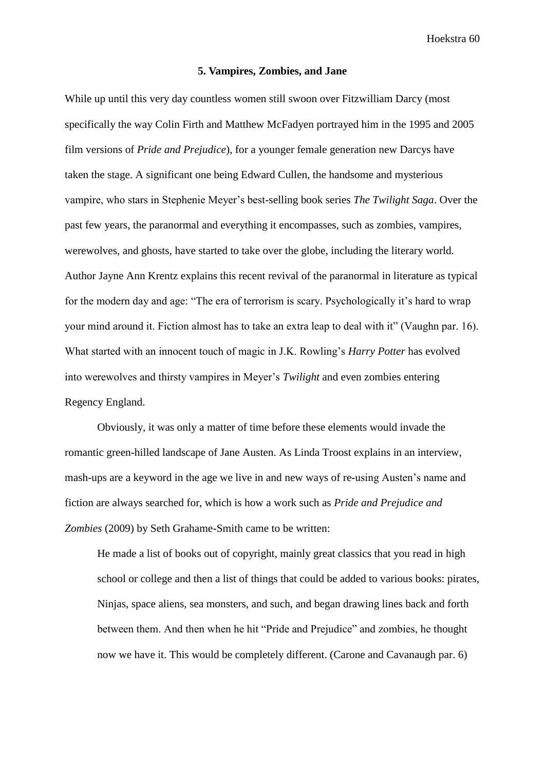# **5. Vampires, Zombies, and Jane**

While up until this very day countless women still swoon over Fitzwilliam Darcy (most specifically the way Colin Firth and Matthew McFadyen portrayed him in the 1995 and 2005 film versions of *Pride and Prejudice*), for a younger female generation new Darcys have taken the stage. A significant one being Edward Cullen, the handsome and mysterious vampire, who stars in Stephenie Meyer"s best-selling book series *The Twilight Saga*. Over the past few years, the paranormal and everything it encompasses, such as zombies, vampires, werewolves, and ghosts, have started to take over the globe, including the literary world. Author Jayne Ann Krentz explains this recent revival of the paranormal in literature as typical for the modern day and age: "The era of terrorism is scary. Psychologically it's hard to wrap your mind around it. Fiction almost has to take an extra leap to deal with it" (Vaughn par. 16). What started with an innocent touch of magic in J.K. Rowling"s *Harry Potter* has evolved into werewolves and thirsty vampires in Meyer"s *Twilight* and even zombies entering Regency England.

Obviously, it was only a matter of time before these elements would invade the romantic green-hilled landscape of Jane Austen. As Linda Troost explains in an interview, mash-ups are a keyword in the age we live in and new ways of re-using Austen"s name and fiction are always searched for, which is how a work such as *Pride and Prejudice and Zombies* (2009) by Seth Grahame-Smith came to be written:

He made a list of books out of copyright, mainly great classics that you read in high school or college and then a list of things that could be added to various books: pirates, Ninjas, space aliens, sea monsters, and such, and began drawing lines back and forth between them. And then when he hit "Pride and Prejudice" and zombies, he thought now we have it. This would be completely different. (Carone and Cavanaugh par. 6)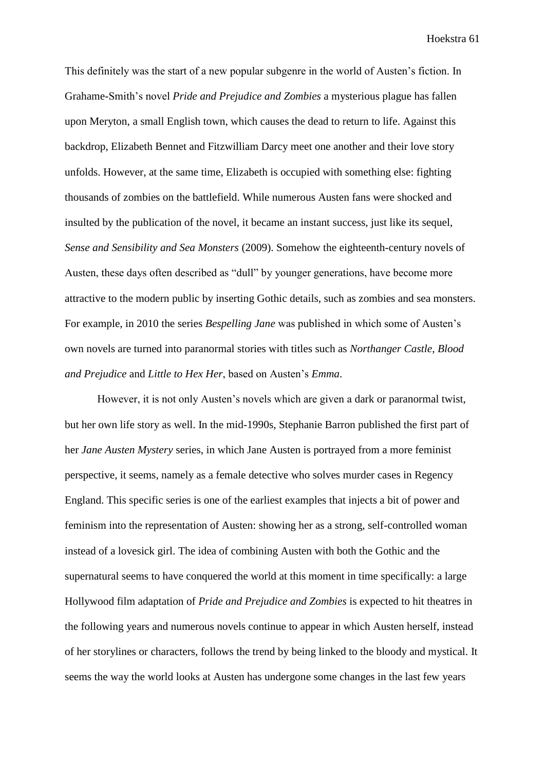This definitely was the start of a new popular subgenre in the world of Austen"s fiction. In Grahame-Smith"s novel *Pride and Prejudice and Zombies* a mysterious plague has fallen upon Meryton, a small English town, which causes the dead to return to life. Against this backdrop, Elizabeth Bennet and Fitzwilliam Darcy meet one another and their love story unfolds. However, at the same time, Elizabeth is occupied with something else: fighting thousands of zombies on the battlefield. While numerous Austen fans were shocked and insulted by the publication of the novel, it became an instant success, just like its sequel, *Sense and Sensibility and Sea Monsters* (2009). Somehow the eighteenth-century novels of Austen, these days often described as "dull" by younger generations, have become more attractive to the modern public by inserting Gothic details, such as zombies and sea monsters. For example, in 2010 the series *Bespelling Jane* was published in which some of Austen"s own novels are turned into paranormal stories with titles such as *Northanger Castle*, *Blood and Prejudice* and *Little to Hex Her*, based on Austen"s *Emma*.

However, it is not only Austen"s novels which are given a dark or paranormal twist, but her own life story as well. In the mid-1990s, Stephanie Barron published the first part of her *Jane Austen Mystery* series, in which Jane Austen is portrayed from a more feminist perspective, it seems, namely as a female detective who solves murder cases in Regency England. This specific series is one of the earliest examples that injects a bit of power and feminism into the representation of Austen: showing her as a strong, self-controlled woman instead of a lovesick girl. The idea of combining Austen with both the Gothic and the supernatural seems to have conquered the world at this moment in time specifically: a large Hollywood film adaptation of *Pride and Prejudice and Zombies* is expected to hit theatres in the following years and numerous novels continue to appear in which Austen herself, instead of her storylines or characters, follows the trend by being linked to the bloody and mystical. It seems the way the world looks at Austen has undergone some changes in the last few years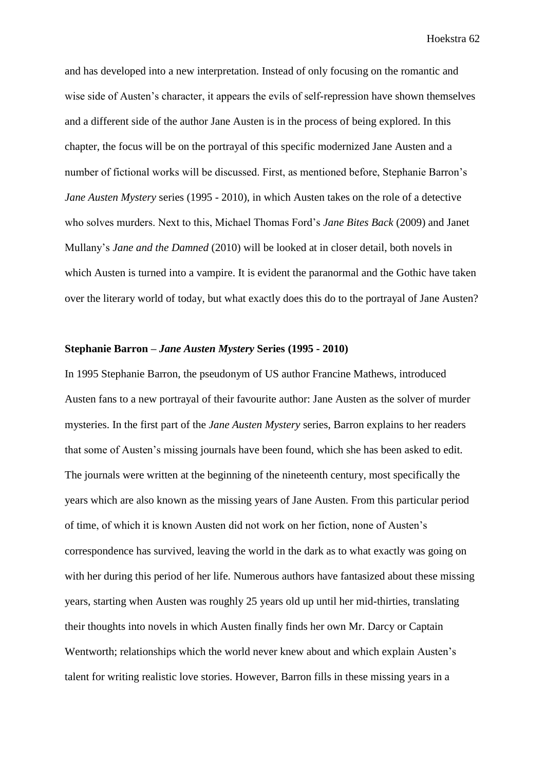and has developed into a new interpretation. Instead of only focusing on the romantic and wise side of Austen's character, it appears the evils of self-repression have shown themselves and a different side of the author Jane Austen is in the process of being explored. In this chapter, the focus will be on the portrayal of this specific modernized Jane Austen and a number of fictional works will be discussed. First, as mentioned before, Stephanie Barron"s *Jane Austen Mystery* series (1995 - 2010), in which Austen takes on the role of a detective who solves murders. Next to this, Michael Thomas Ford"s *Jane Bites Back* (2009) and Janet Mullany"s *Jane and the Damned* (2010) will be looked at in closer detail, both novels in which Austen is turned into a vampire. It is evident the paranormal and the Gothic have taken over the literary world of today, but what exactly does this do to the portrayal of Jane Austen?

#### **Stephanie Barron –** *Jane Austen Mystery* **Series (1995 - 2010)**

In 1995 Stephanie Barron, the pseudonym of US author Francine Mathews, introduced Austen fans to a new portrayal of their favourite author: Jane Austen as the solver of murder mysteries. In the first part of the *Jane Austen Mystery* series, Barron explains to her readers that some of Austen"s missing journals have been found, which she has been asked to edit. The journals were written at the beginning of the nineteenth century, most specifically the years which are also known as the missing years of Jane Austen. From this particular period of time, of which it is known Austen did not work on her fiction, none of Austen"s correspondence has survived, leaving the world in the dark as to what exactly was going on with her during this period of her life. Numerous authors have fantasized about these missing years, starting when Austen was roughly 25 years old up until her mid-thirties, translating their thoughts into novels in which Austen finally finds her own Mr. Darcy or Captain Wentworth; relationships which the world never knew about and which explain Austen"s talent for writing realistic love stories. However, Barron fills in these missing years in a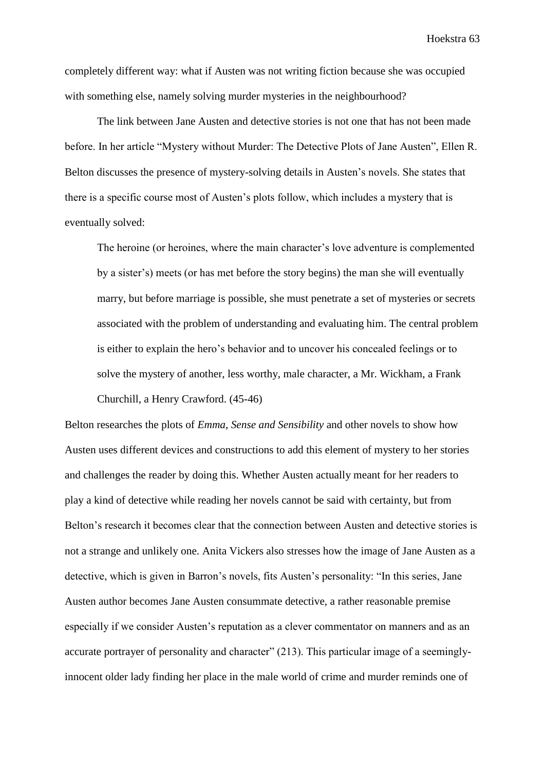completely different way: what if Austen was not writing fiction because she was occupied with something else, namely solving murder mysteries in the neighbourhood?

The link between Jane Austen and detective stories is not one that has not been made before. In her article "Mystery without Murder: The Detective Plots of Jane Austen", Ellen R. Belton discusses the presence of mystery-solving details in Austen"s novels. She states that there is a specific course most of Austen's plots follow, which includes a mystery that is eventually solved:

The heroine (or heroines, where the main character"s love adventure is complemented by a sister"s) meets (or has met before the story begins) the man she will eventually marry, but before marriage is possible, she must penetrate a set of mysteries or secrets associated with the problem of understanding and evaluating him. The central problem is either to explain the hero"s behavior and to uncover his concealed feelings or to solve the mystery of another, less worthy, male character, a Mr. Wickham, a Frank Churchill, a Henry Crawford. (45-46)

Belton researches the plots of *Emma*, *Sense and Sensibility* and other novels to show how Austen uses different devices and constructions to add this element of mystery to her stories and challenges the reader by doing this. Whether Austen actually meant for her readers to play a kind of detective while reading her novels cannot be said with certainty, but from Belton"s research it becomes clear that the connection between Austen and detective stories is not a strange and unlikely one. Anita Vickers also stresses how the image of Jane Austen as a detective, which is given in Barron's novels, fits Austen's personality: "In this series, Jane Austen author becomes Jane Austen consummate detective, a rather reasonable premise especially if we consider Austen"s reputation as a clever commentator on manners and as an accurate portrayer of personality and character" (213). This particular image of a seeminglyinnocent older lady finding her place in the male world of crime and murder reminds one of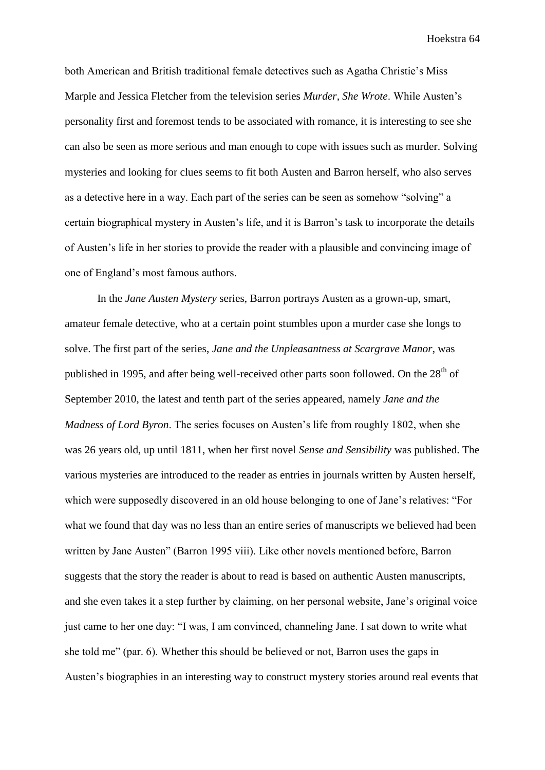both American and British traditional female detectives such as Agatha Christie"s Miss Marple and Jessica Fletcher from the television series *Murder, She Wrote*. While Austen"s personality first and foremost tends to be associated with romance, it is interesting to see she can also be seen as more serious and man enough to cope with issues such as murder. Solving mysteries and looking for clues seems to fit both Austen and Barron herself, who also serves as a detective here in a way. Each part of the series can be seen as somehow "solving" a certain biographical mystery in Austen"s life, and it is Barron"s task to incorporate the details of Austen"s life in her stories to provide the reader with a plausible and convincing image of one of England"s most famous authors.

In the *Jane Austen Mystery* series, Barron portrays Austen as a grown-up, smart, amateur female detective, who at a certain point stumbles upon a murder case she longs to solve. The first part of the series, *Jane and the Unpleasantness at Scargrave Manor*, was published in 1995, and after being well-received other parts soon followed. On the  $28<sup>th</sup>$  of September 2010, the latest and tenth part of the series appeared, namely *Jane and the Madness of Lord Byron*. The series focuses on Austen"s life from roughly 1802, when she was 26 years old, up until 1811, when her first novel *Sense and Sensibility* was published. The various mysteries are introduced to the reader as entries in journals written by Austen herself, which were supposedly discovered in an old house belonging to one of Jane"s relatives: "For what we found that day was no less than an entire series of manuscripts we believed had been written by Jane Austen" (Barron 1995 viii). Like other novels mentioned before, Barron suggests that the story the reader is about to read is based on authentic Austen manuscripts, and she even takes it a step further by claiming, on her personal website, Jane"s original voice just came to her one day: "I was, I am convinced, channeling Jane. I sat down to write what she told me" (par. 6). Whether this should be believed or not, Barron uses the gaps in Austen"s biographies in an interesting way to construct mystery stories around real events that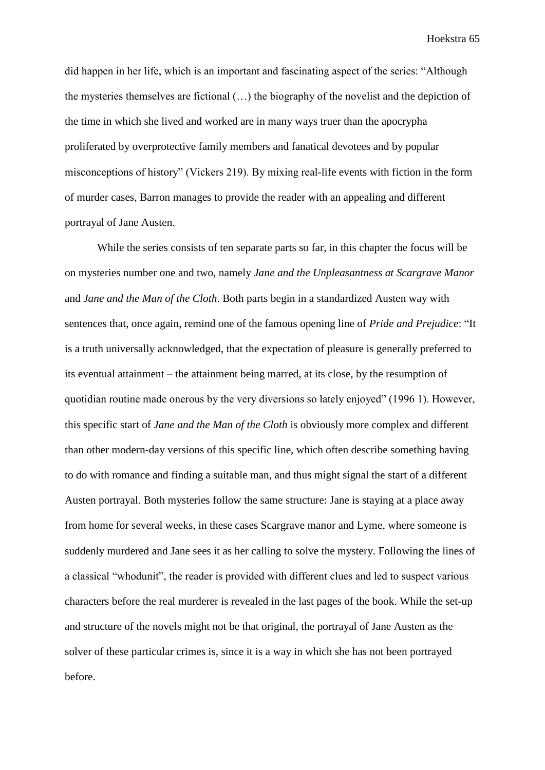did happen in her life, which is an important and fascinating aspect of the series: "Although the mysteries themselves are fictional (…) the biography of the novelist and the depiction of the time in which she lived and worked are in many ways truer than the apocrypha proliferated by overprotective family members and fanatical devotees and by popular misconceptions of history" (Vickers 219). By mixing real-life events with fiction in the form of murder cases, Barron manages to provide the reader with an appealing and different portrayal of Jane Austen.

While the series consists of ten separate parts so far, in this chapter the focus will be on mysteries number one and two, namely *Jane and the Unpleasantness at Scargrave Manor* and *Jane and the Man of the Cloth*. Both parts begin in a standardized Austen way with sentences that, once again, remind one of the famous opening line of *Pride and Prejudice*: "It is a truth universally acknowledged, that the expectation of pleasure is generally preferred to its eventual attainment – the attainment being marred, at its close, by the resumption of quotidian routine made onerous by the very diversions so lately enjoyed" (1996 1). However, this specific start of *Jane and the Man of the Cloth* is obviously more complex and different than other modern-day versions of this specific line, which often describe something having to do with romance and finding a suitable man, and thus might signal the start of a different Austen portrayal. Both mysteries follow the same structure: Jane is staying at a place away from home for several weeks, in these cases Scargrave manor and Lyme, where someone is suddenly murdered and Jane sees it as her calling to solve the mystery. Following the lines of a classical "whodunit", the reader is provided with different clues and led to suspect various characters before the real murderer is revealed in the last pages of the book. While the set-up and structure of the novels might not be that original, the portrayal of Jane Austen as the solver of these particular crimes is, since it is a way in which she has not been portrayed before.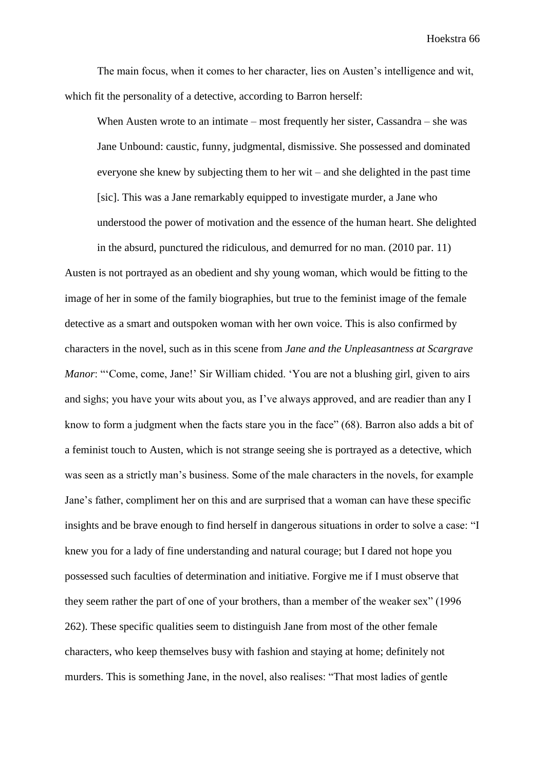The main focus, when it comes to her character, lies on Austen's intelligence and wit, which fit the personality of a detective, according to Barron herself:

When Austen wrote to an intimate – most frequently her sister, Cassandra – she was Jane Unbound: caustic, funny, judgmental, dismissive. She possessed and dominated everyone she knew by subjecting them to her wit – and she delighted in the past time [sic]. This was a Jane remarkably equipped to investigate murder, a Jane who understood the power of motivation and the essence of the human heart. She delighted in the absurd, punctured the ridiculous, and demurred for no man. (2010 par. 11)

Austen is not portrayed as an obedient and shy young woman, which would be fitting to the image of her in some of the family biographies, but true to the feminist image of the female detective as a smart and outspoken woman with her own voice. This is also confirmed by characters in the novel, such as in this scene from *Jane and the Unpleasantness at Scargrave Manor*: "Come, come, Jane!' Sir William chided. 'You are not a blushing girl, given to airs and sighs; you have your wits about you, as I"ve always approved, and are readier than any I know to form a judgment when the facts stare you in the face" (68). Barron also adds a bit of a feminist touch to Austen, which is not strange seeing she is portrayed as a detective, which was seen as a strictly man"s business. Some of the male characters in the novels, for example Jane"s father, compliment her on this and are surprised that a woman can have these specific insights and be brave enough to find herself in dangerous situations in order to solve a case: "I knew you for a lady of fine understanding and natural courage; but I dared not hope you possessed such faculties of determination and initiative. Forgive me if I must observe that they seem rather the part of one of your brothers, than a member of the weaker sex" (1996 262). These specific qualities seem to distinguish Jane from most of the other female characters, who keep themselves busy with fashion and staying at home; definitely not murders. This is something Jane, in the novel, also realises: "That most ladies of gentle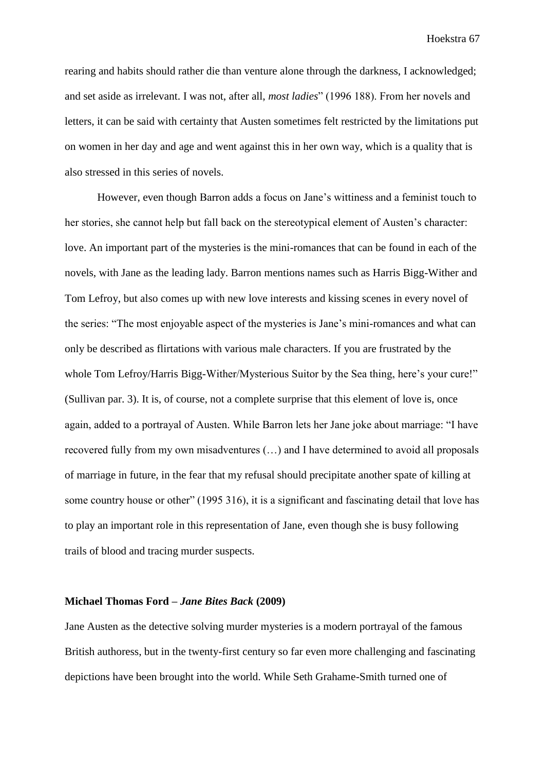rearing and habits should rather die than venture alone through the darkness, I acknowledged; and set aside as irrelevant. I was not, after all, *most ladies*" (1996 188). From her novels and letters, it can be said with certainty that Austen sometimes felt restricted by the limitations put on women in her day and age and went against this in her own way, which is a quality that is also stressed in this series of novels.

However, even though Barron adds a focus on Jane"s wittiness and a feminist touch to her stories, she cannot help but fall back on the stereotypical element of Austen"s character: love. An important part of the mysteries is the mini-romances that can be found in each of the novels, with Jane as the leading lady. Barron mentions names such as Harris Bigg-Wither and Tom Lefroy, but also comes up with new love interests and kissing scenes in every novel of the series: "The most enjoyable aspect of the mysteries is Jane"s mini-romances and what can only be described as flirtations with various male characters. If you are frustrated by the whole Tom Lefroy/Harris Bigg-Wither/Mysterious Suitor by the Sea thing, here's your cure!" (Sullivan par. 3). It is, of course, not a complete surprise that this element of love is, once again, added to a portrayal of Austen. While Barron lets her Jane joke about marriage: "I have recovered fully from my own misadventures (…) and I have determined to avoid all proposals of marriage in future, in the fear that my refusal should precipitate another spate of killing at some country house or other" (1995 316), it is a significant and fascinating detail that love has to play an important role in this representation of Jane, even though she is busy following trails of blood and tracing murder suspects.

### **Michael Thomas Ford –** *Jane Bites Back* **(2009)**

Jane Austen as the detective solving murder mysteries is a modern portrayal of the famous British authoress, but in the twenty-first century so far even more challenging and fascinating depictions have been brought into the world. While Seth Grahame-Smith turned one of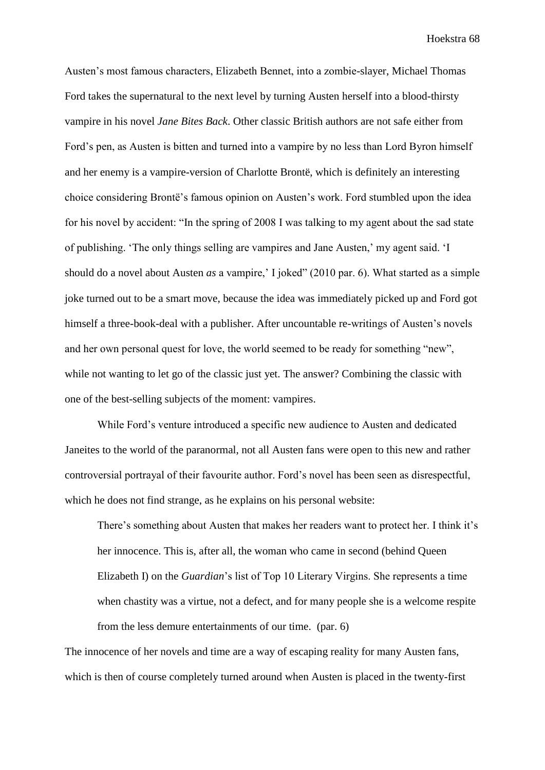Austen"s most famous characters, Elizabeth Bennet, into a zombie-slayer, Michael Thomas Ford takes the supernatural to the next level by turning Austen herself into a blood-thirsty vampire in his novel *Jane Bites Back*. Other classic British authors are not safe either from Ford"s pen, as Austen is bitten and turned into a vampire by no less than Lord Byron himself and her enemy is a vampire-version of Charlotte Brontë, which is definitely an interesting choice considering Brontë"s famous opinion on Austen"s work. Ford stumbled upon the idea for his novel by accident: "In the spring of 2008 I was talking to my agent about the sad state of publishing. "The only things selling are vampires and Jane Austen," my agent said. "I should do a novel about Austen *as* a vampire,' I joked" (2010 par. 6). What started as a simple joke turned out to be a smart move, because the idea was immediately picked up and Ford got himself a three-book-deal with a publisher. After uncountable re-writings of Austen's novels and her own personal quest for love, the world seemed to be ready for something "new", while not wanting to let go of the classic just yet. The answer? Combining the classic with one of the best-selling subjects of the moment: vampires.

While Ford"s venture introduced a specific new audience to Austen and dedicated Janeites to the world of the paranormal, not all Austen fans were open to this new and rather controversial portrayal of their favourite author. Ford"s novel has been seen as disrespectful, which he does not find strange, as he explains on his personal website:

There's something about Austen that makes her readers want to protect her. I think it's her innocence. This is, after all, the woman who came in second (behind Queen Elizabeth I) on the *Guardian*"s list of Top 10 Literary Virgins. She represents a time when chastity was a virtue, not a defect, and for many people she is a welcome respite from the less demure entertainments of our time. (par. 6)

The innocence of her novels and time are a way of escaping reality for many Austen fans, which is then of course completely turned around when Austen is placed in the twenty-first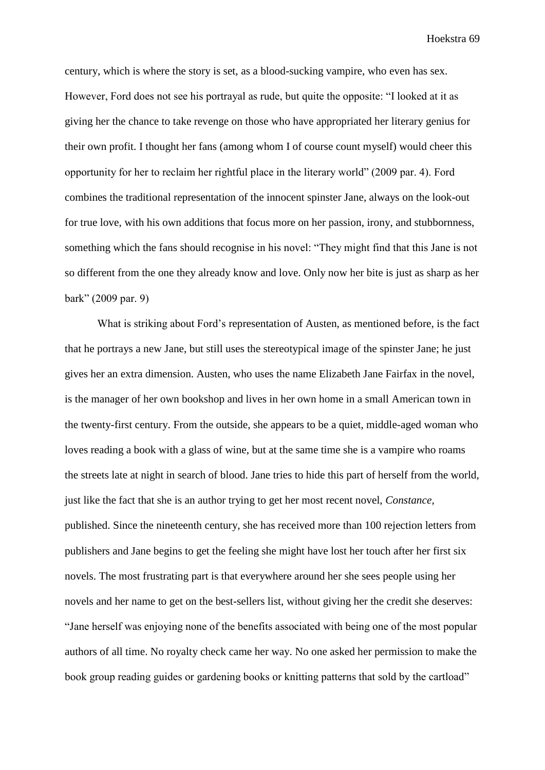century, which is where the story is set, as a blood-sucking vampire, who even has sex. However, Ford does not see his portrayal as rude, but quite the opposite: "I looked at it as giving her the chance to take revenge on those who have appropriated her literary genius for their own profit. I thought her fans (among whom I of course count myself) would cheer this opportunity for her to reclaim her rightful place in the literary world" (2009 par. 4). Ford combines the traditional representation of the innocent spinster Jane, always on the look-out for true love, with his own additions that focus more on her passion, irony, and stubbornness, something which the fans should recognise in his novel: "They might find that this Jane is not so different from the one they already know and love. Only now her bite is just as sharp as her bark" (2009 par. 9)

What is striking about Ford"s representation of Austen, as mentioned before, is the fact that he portrays a new Jane, but still uses the stereotypical image of the spinster Jane; he just gives her an extra dimension. Austen, who uses the name Elizabeth Jane Fairfax in the novel, is the manager of her own bookshop and lives in her own home in a small American town in the twenty-first century. From the outside, she appears to be a quiet, middle-aged woman who loves reading a book with a glass of wine, but at the same time she is a vampire who roams the streets late at night in search of blood. Jane tries to hide this part of herself from the world, just like the fact that she is an author trying to get her most recent novel, *Constance*, published. Since the nineteenth century, she has received more than 100 rejection letters from publishers and Jane begins to get the feeling she might have lost her touch after her first six novels. The most frustrating part is that everywhere around her she sees people using her novels and her name to get on the best-sellers list, without giving her the credit she deserves: "Jane herself was enjoying none of the benefits associated with being one of the most popular authors of all time. No royalty check came her way. No one asked her permission to make the book group reading guides or gardening books or knitting patterns that sold by the cartload"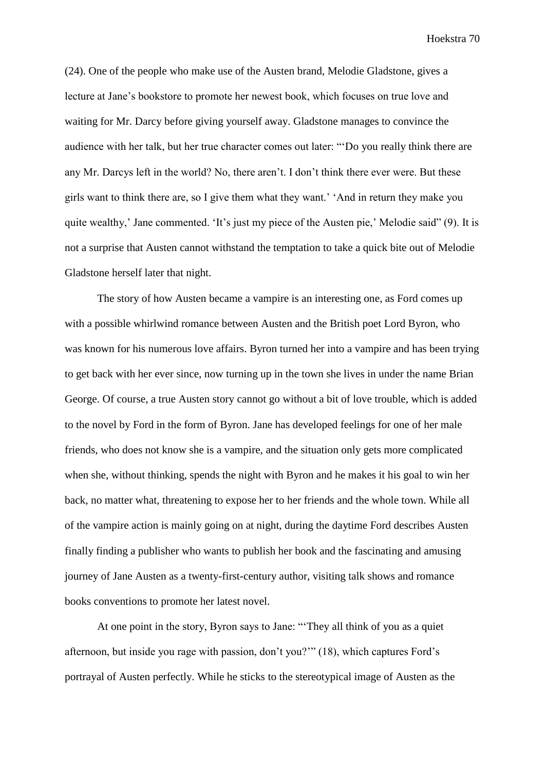(24). One of the people who make use of the Austen brand, Melodie Gladstone, gives a lecture at Jane"s bookstore to promote her newest book, which focuses on true love and waiting for Mr. Darcy before giving yourself away. Gladstone manages to convince the audience with her talk, but her true character comes out later: ""Do you really think there are any Mr. Darcys left in the world? No, there aren"t. I don"t think there ever were. But these girls want to think there are, so I give them what they want." "And in return they make you quite wealthy,' Jane commented. 'It's just my piece of the Austen pie,' Melodie said" (9). It is not a surprise that Austen cannot withstand the temptation to take a quick bite out of Melodie Gladstone herself later that night.

The story of how Austen became a vampire is an interesting one, as Ford comes up with a possible whirlwind romance between Austen and the British poet Lord Byron, who was known for his numerous love affairs. Byron turned her into a vampire and has been trying to get back with her ever since, now turning up in the town she lives in under the name Brian George. Of course, a true Austen story cannot go without a bit of love trouble, which is added to the novel by Ford in the form of Byron. Jane has developed feelings for one of her male friends, who does not know she is a vampire, and the situation only gets more complicated when she, without thinking, spends the night with Byron and he makes it his goal to win her back, no matter what, threatening to expose her to her friends and the whole town. While all of the vampire action is mainly going on at night, during the daytime Ford describes Austen finally finding a publisher who wants to publish her book and the fascinating and amusing journey of Jane Austen as a twenty-first-century author, visiting talk shows and romance books conventions to promote her latest novel.

At one point in the story, Byron says to Jane: ""They all think of you as a quiet afternoon, but inside you rage with passion, don"t you?"" (18), which captures Ford"s portrayal of Austen perfectly. While he sticks to the stereotypical image of Austen as the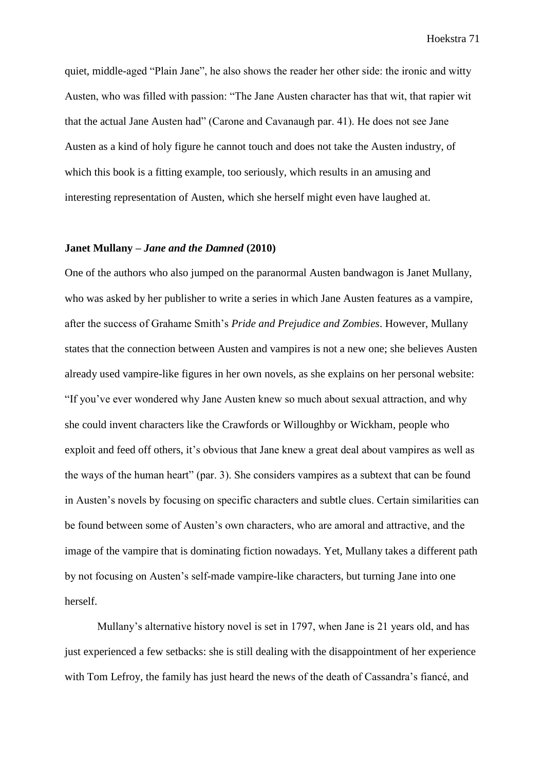quiet, middle-aged "Plain Jane", he also shows the reader her other side: the ironic and witty Austen, who was filled with passion: "The Jane Austen character has that wit, that rapier wit that the actual Jane Austen had" (Carone and Cavanaugh par. 41). He does not see Jane Austen as a kind of holy figure he cannot touch and does not take the Austen industry, of which this book is a fitting example, too seriously, which results in an amusing and interesting representation of Austen, which she herself might even have laughed at.

# **Janet Mullany –** *Jane and the Damned* **(2010)**

One of the authors who also jumped on the paranormal Austen bandwagon is Janet Mullany, who was asked by her publisher to write a series in which Jane Austen features as a vampire, after the success of Grahame Smith"s *Pride and Prejudice and Zombies*. However, Mullany states that the connection between Austen and vampires is not a new one; she believes Austen already used vampire-like figures in her own novels, as she explains on her personal website: "If you"ve ever wondered why Jane Austen knew so much about sexual attraction, and why she could invent characters like the Crawfords or Willoughby or Wickham, people who exploit and feed off others, it's obvious that Jane knew a great deal about vampires as well as the ways of the human heart" (par. 3). She considers vampires as a subtext that can be found in Austen"s novels by focusing on specific characters and subtle clues. Certain similarities can be found between some of Austen"s own characters, who are amoral and attractive, and the image of the vampire that is dominating fiction nowadays. Yet, Mullany takes a different path by not focusing on Austen"s self-made vampire-like characters, but turning Jane into one herself.

Mullany"s alternative history novel is set in 1797, when Jane is 21 years old, and has just experienced a few setbacks: she is still dealing with the disappointment of her experience with Tom Lefroy, the family has just heard the news of the death of Cassandra"s fiancé, and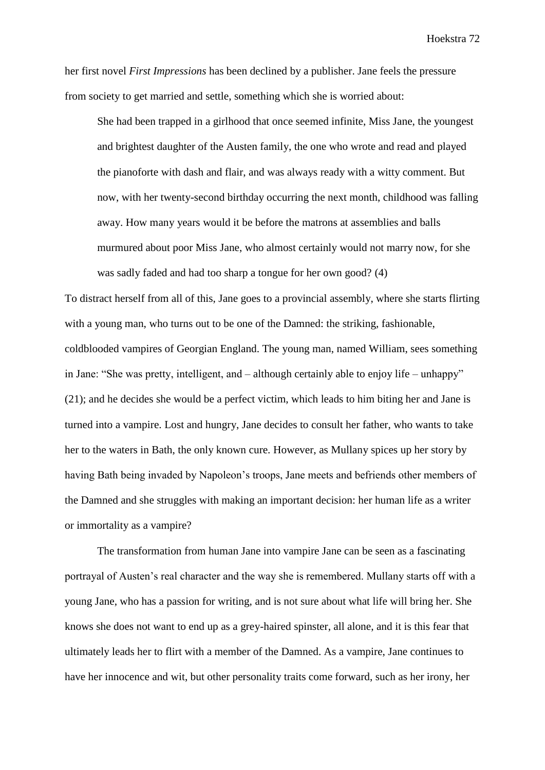her first novel *First Impressions* has been declined by a publisher. Jane feels the pressure from society to get married and settle, something which she is worried about:

She had been trapped in a girlhood that once seemed infinite, Miss Jane, the youngest and brightest daughter of the Austen family, the one who wrote and read and played the pianoforte with dash and flair, and was always ready with a witty comment. But now, with her twenty-second birthday occurring the next month, childhood was falling away. How many years would it be before the matrons at assemblies and balls murmured about poor Miss Jane, who almost certainly would not marry now, for she was sadly faded and had too sharp a tongue for her own good? (4)

To distract herself from all of this, Jane goes to a provincial assembly, where she starts flirting with a young man, who turns out to be one of the Damned: the striking, fashionable, coldblooded vampires of Georgian England. The young man, named William, sees something in Jane: "She was pretty, intelligent, and – although certainly able to enjoy life – unhappy" (21); and he decides she would be a perfect victim, which leads to him biting her and Jane is turned into a vampire. Lost and hungry, Jane decides to consult her father, who wants to take her to the waters in Bath, the only known cure. However, as Mullany spices up her story by having Bath being invaded by Napoleon"s troops, Jane meets and befriends other members of the Damned and she struggles with making an important decision: her human life as a writer or immortality as a vampire?

The transformation from human Jane into vampire Jane can be seen as a fascinating portrayal of Austen"s real character and the way she is remembered. Mullany starts off with a young Jane, who has a passion for writing, and is not sure about what life will bring her. She knows she does not want to end up as a grey-haired spinster, all alone, and it is this fear that ultimately leads her to flirt with a member of the Damned. As a vampire, Jane continues to have her innocence and wit, but other personality traits come forward, such as her irony, her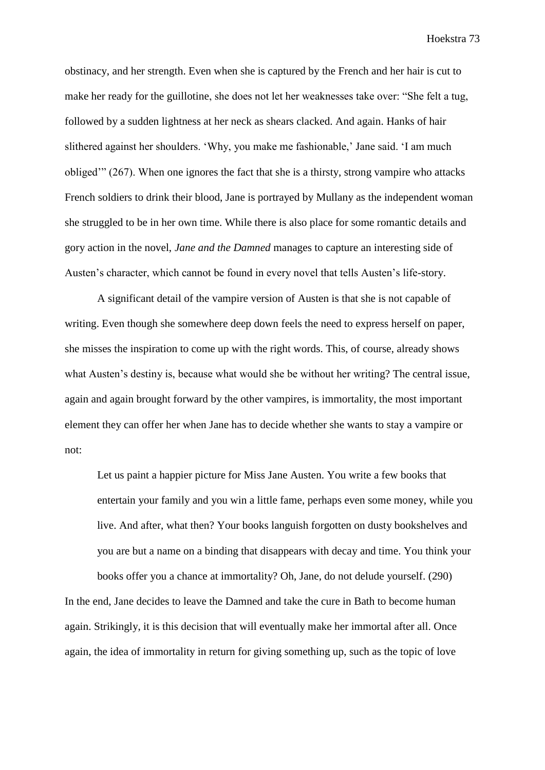obstinacy, and her strength. Even when she is captured by the French and her hair is cut to make her ready for the guillotine, she does not let her weaknesses take over: "She felt a tug, followed by a sudden lightness at her neck as shears clacked. And again. Hanks of hair slithered against her shoulders. 'Why, you make me fashionable,' Jane said. 'I am much obliged"" (267). When one ignores the fact that she is a thirsty, strong vampire who attacks French soldiers to drink their blood, Jane is portrayed by Mullany as the independent woman she struggled to be in her own time. While there is also place for some romantic details and gory action in the novel, *Jane and the Damned* manages to capture an interesting side of Austen"s character, which cannot be found in every novel that tells Austen"s life-story.

A significant detail of the vampire version of Austen is that she is not capable of writing. Even though she somewhere deep down feels the need to express herself on paper, she misses the inspiration to come up with the right words. This, of course, already shows what Austen's destiny is, because what would she be without her writing? The central issue, again and again brought forward by the other vampires, is immortality, the most important element they can offer her when Jane has to decide whether she wants to stay a vampire or not:

Let us paint a happier picture for Miss Jane Austen. You write a few books that entertain your family and you win a little fame, perhaps even some money, while you live. And after, what then? Your books languish forgotten on dusty bookshelves and you are but a name on a binding that disappears with decay and time. You think your books offer you a chance at immortality? Oh, Jane, do not delude yourself. (290)

In the end, Jane decides to leave the Damned and take the cure in Bath to become human again. Strikingly, it is this decision that will eventually make her immortal after all. Once again, the idea of immortality in return for giving something up, such as the topic of love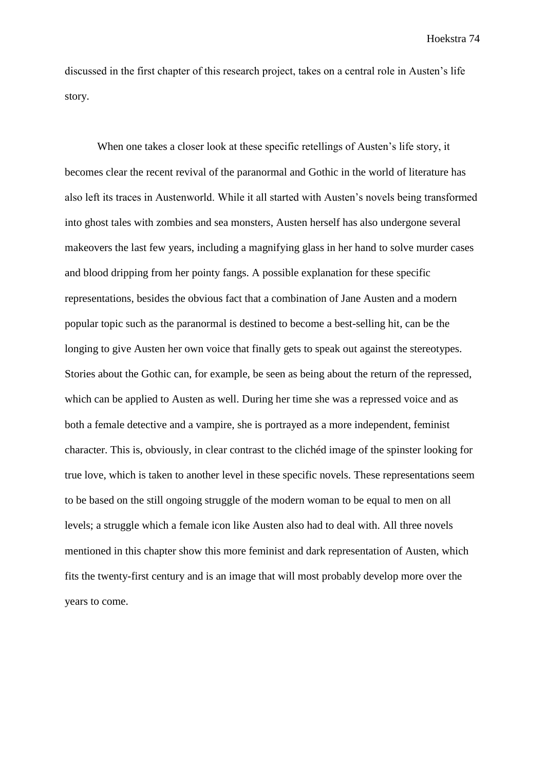discussed in the first chapter of this research project, takes on a central role in Austen"s life story.

When one takes a closer look at these specific retellings of Austen"s life story, it becomes clear the recent revival of the paranormal and Gothic in the world of literature has also left its traces in Austenworld. While it all started with Austen"s novels being transformed into ghost tales with zombies and sea monsters, Austen herself has also undergone several makeovers the last few years, including a magnifying glass in her hand to solve murder cases and blood dripping from her pointy fangs. A possible explanation for these specific representations, besides the obvious fact that a combination of Jane Austen and a modern popular topic such as the paranormal is destined to become a best-selling hit, can be the longing to give Austen her own voice that finally gets to speak out against the stereotypes. Stories about the Gothic can, for example, be seen as being about the return of the repressed, which can be applied to Austen as well. During her time she was a repressed voice and as both a female detective and a vampire, she is portrayed as a more independent, feminist character. This is, obviously, in clear contrast to the clichéd image of the spinster looking for true love, which is taken to another level in these specific novels. These representations seem to be based on the still ongoing struggle of the modern woman to be equal to men on all levels; a struggle which a female icon like Austen also had to deal with. All three novels mentioned in this chapter show this more feminist and dark representation of Austen, which fits the twenty-first century and is an image that will most probably develop more over the years to come.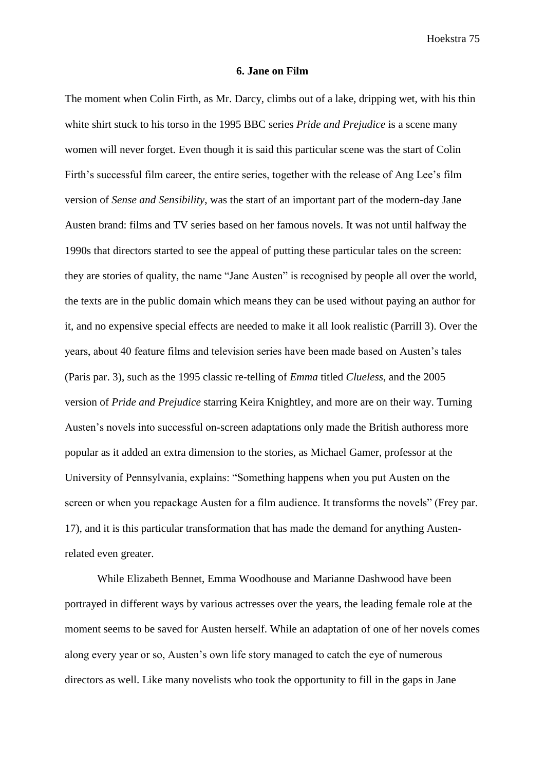### **6. Jane on Film**

The moment when Colin Firth, as Mr. Darcy, climbs out of a lake, dripping wet, with his thin white shirt stuck to his torso in the 1995 BBC series *Pride and Prejudice* is a scene many women will never forget. Even though it is said this particular scene was the start of Colin Firth's successful film career, the entire series, together with the release of Ang Lee's film version of *Sense and Sensibility*, was the start of an important part of the modern-day Jane Austen brand: films and TV series based on her famous novels. It was not until halfway the 1990s that directors started to see the appeal of putting these particular tales on the screen: they are stories of quality, the name "Jane Austen" is recognised by people all over the world, the texts are in the public domain which means they can be used without paying an author for it, and no expensive special effects are needed to make it all look realistic (Parrill 3). Over the years, about 40 feature films and television series have been made based on Austen"s tales (Paris par. 3), such as the 1995 classic re-telling of *Emma* titled *Clueless*, and the 2005 version of *Pride and Prejudice* starring Keira Knightley, and more are on their way. Turning Austen's novels into successful on-screen adaptations only made the British authoress more popular as it added an extra dimension to the stories, as Michael Gamer, professor at the University of Pennsylvania, explains: "Something happens when you put Austen on the screen or when you repackage Austen for a film audience. It transforms the novels" (Frey par. 17), and it is this particular transformation that has made the demand for anything Austenrelated even greater.

While Elizabeth Bennet, Emma Woodhouse and Marianne Dashwood have been portrayed in different ways by various actresses over the years, the leading female role at the moment seems to be saved for Austen herself. While an adaptation of one of her novels comes along every year or so, Austen"s own life story managed to catch the eye of numerous directors as well. Like many novelists who took the opportunity to fill in the gaps in Jane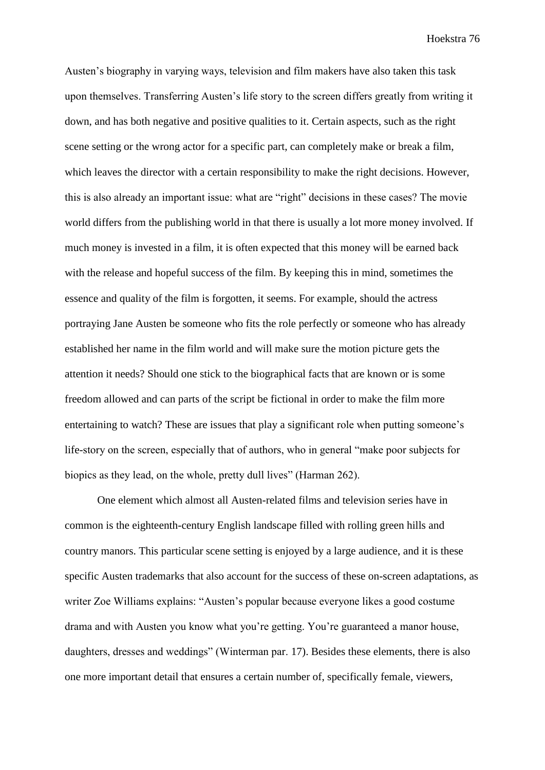Austen"s biography in varying ways, television and film makers have also taken this task upon themselves. Transferring Austen"s life story to the screen differs greatly from writing it down, and has both negative and positive qualities to it. Certain aspects, such as the right scene setting or the wrong actor for a specific part, can completely make or break a film, which leaves the director with a certain responsibility to make the right decisions. However, this is also already an important issue: what are "right" decisions in these cases? The movie world differs from the publishing world in that there is usually a lot more money involved. If much money is invested in a film, it is often expected that this money will be earned back with the release and hopeful success of the film. By keeping this in mind, sometimes the essence and quality of the film is forgotten, it seems. For example, should the actress portraying Jane Austen be someone who fits the role perfectly or someone who has already established her name in the film world and will make sure the motion picture gets the attention it needs? Should one stick to the biographical facts that are known or is some freedom allowed and can parts of the script be fictional in order to make the film more entertaining to watch? These are issues that play a significant role when putting someone"s life-story on the screen, especially that of authors, who in general "make poor subjects for biopics as they lead, on the whole, pretty dull lives" (Harman 262).

One element which almost all Austen-related films and television series have in common is the eighteenth-century English landscape filled with rolling green hills and country manors. This particular scene setting is enjoyed by a large audience, and it is these specific Austen trademarks that also account for the success of these on-screen adaptations, as writer Zoe Williams explains: "Austen's popular because everyone likes a good costume drama and with Austen you know what you"re getting. You"re guaranteed a manor house, daughters, dresses and weddings" (Winterman par. 17). Besides these elements, there is also one more important detail that ensures a certain number of, specifically female, viewers,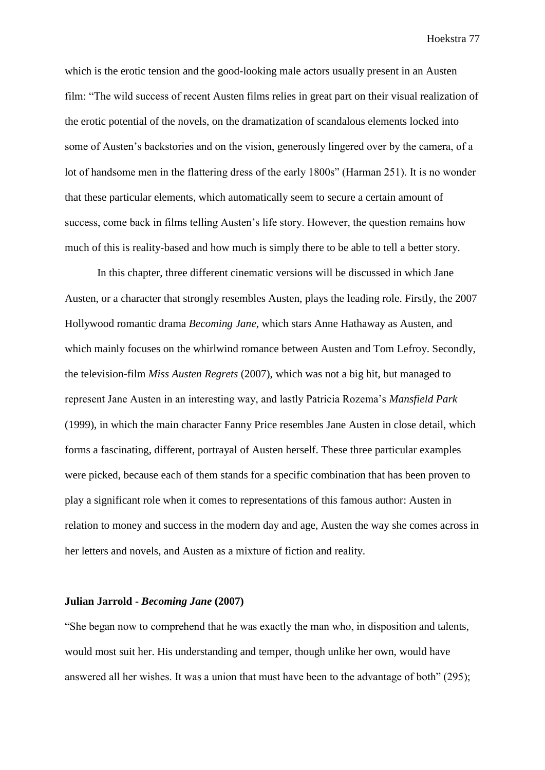which is the erotic tension and the good-looking male actors usually present in an Austen film: "The wild success of recent Austen films relies in great part on their visual realization of the erotic potential of the novels, on the dramatization of scandalous elements locked into some of Austen's backstories and on the vision, generously lingered over by the camera, of a lot of handsome men in the flattering dress of the early 1800s" (Harman 251). It is no wonder that these particular elements, which automatically seem to secure a certain amount of success, come back in films telling Austen"s life story. However, the question remains how much of this is reality-based and how much is simply there to be able to tell a better story.

In this chapter, three different cinematic versions will be discussed in which Jane Austen, or a character that strongly resembles Austen, plays the leading role. Firstly, the 2007 Hollywood romantic drama *Becoming Jane*, which stars Anne Hathaway as Austen, and which mainly focuses on the whirlwind romance between Austen and Tom Lefroy. Secondly, the television-film *Miss Austen Regrets* (2007), which was not a big hit, but managed to represent Jane Austen in an interesting way, and lastly Patricia Rozema"s *Mansfield Park* (1999), in which the main character Fanny Price resembles Jane Austen in close detail, which forms a fascinating, different, portrayal of Austen herself. These three particular examples were picked, because each of them stands for a specific combination that has been proven to play a significant role when it comes to representations of this famous author: Austen in relation to money and success in the modern day and age, Austen the way she comes across in her letters and novels, and Austen as a mixture of fiction and reality.

# **Julian Jarrold -** *Becoming Jane* **(2007)**

"She began now to comprehend that he was exactly the man who, in disposition and talents, would most suit her. His understanding and temper, though unlike her own, would have answered all her wishes. It was a union that must have been to the advantage of both" (295);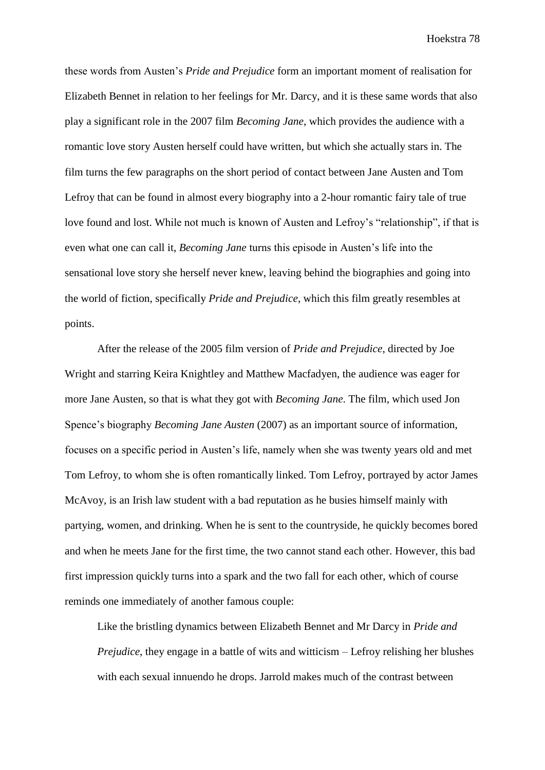these words from Austen"s *Pride and Prejudice* form an important moment of realisation for Elizabeth Bennet in relation to her feelings for Mr. Darcy, and it is these same words that also play a significant role in the 2007 film *Becoming Jane*, which provides the audience with a romantic love story Austen herself could have written, but which she actually stars in. The film turns the few paragraphs on the short period of contact between Jane Austen and Tom Lefroy that can be found in almost every biography into a 2-hour romantic fairy tale of true love found and lost. While not much is known of Austen and Lefroy"s "relationship", if that is even what one can call it, *Becoming Jane* turns this episode in Austen's life into the sensational love story she herself never knew, leaving behind the biographies and going into the world of fiction, specifically *Pride and Prejudice*, which this film greatly resembles at points.

After the release of the 2005 film version of *Pride and Prejudice*, directed by Joe Wright and starring Keira Knightley and Matthew Macfadyen, the audience was eager for more Jane Austen, so that is what they got with *Becoming Jane*. The film, which used Jon Spence"s biography *Becoming Jane Austen* (2007) as an important source of information, focuses on a specific period in Austen"s life, namely when she was twenty years old and met Tom Lefroy, to whom she is often romantically linked. Tom Lefroy, portrayed by actor James McAvoy, is an Irish law student with a bad reputation as he busies himself mainly with partying, women, and drinking. When he is sent to the countryside, he quickly becomes bored and when he meets Jane for the first time, the two cannot stand each other. However, this bad first impression quickly turns into a spark and the two fall for each other, which of course reminds one immediately of another famous couple:

Like the bristling dynamics between Elizabeth Bennet and Mr Darcy in *Pride and Prejudice*, they engage in a battle of wits and witticism – Lefroy relishing her blushes with each sexual innuendo he drops. Jarrold makes much of the contrast between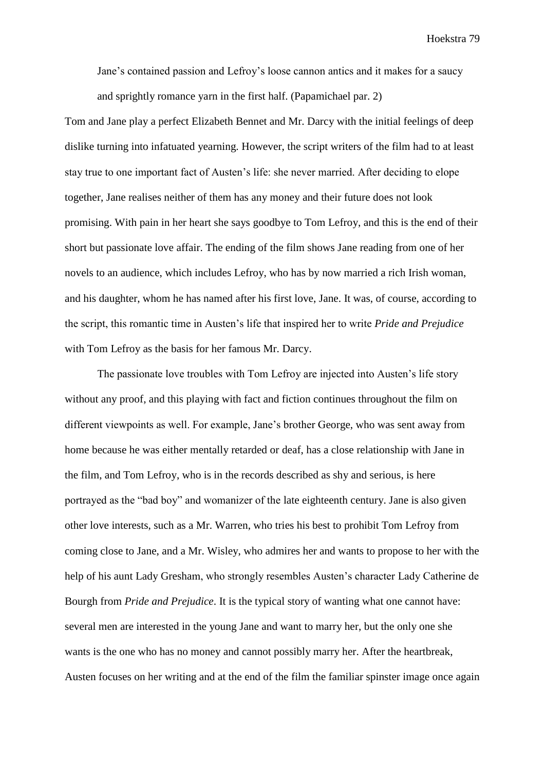Jane's contained passion and Lefroy's loose cannon antics and it makes for a saucy and sprightly romance yarn in the first half. (Papamichael par. 2)

Tom and Jane play a perfect Elizabeth Bennet and Mr. Darcy with the initial feelings of deep dislike turning into infatuated yearning. However, the script writers of the film had to at least stay true to one important fact of Austen"s life: she never married. After deciding to elope together, Jane realises neither of them has any money and their future does not look promising. With pain in her heart she says goodbye to Tom Lefroy, and this is the end of their short but passionate love affair. The ending of the film shows Jane reading from one of her novels to an audience, which includes Lefroy, who has by now married a rich Irish woman, and his daughter, whom he has named after his first love, Jane. It was, of course, according to the script, this romantic time in Austen"s life that inspired her to write *Pride and Prejudice* with Tom Lefroy as the basis for her famous Mr. Darcy.

The passionate love troubles with Tom Lefroy are injected into Austen"s life story without any proof, and this playing with fact and fiction continues throughout the film on different viewpoints as well. For example, Jane's brother George, who was sent away from home because he was either mentally retarded or deaf, has a close relationship with Jane in the film, and Tom Lefroy, who is in the records described as shy and serious, is here portrayed as the "bad boy" and womanizer of the late eighteenth century. Jane is also given other love interests, such as a Mr. Warren, who tries his best to prohibit Tom Lefroy from coming close to Jane, and a Mr. Wisley, who admires her and wants to propose to her with the help of his aunt Lady Gresham, who strongly resembles Austen"s character Lady Catherine de Bourgh from *Pride and Prejudice*. It is the typical story of wanting what one cannot have: several men are interested in the young Jane and want to marry her, but the only one she wants is the one who has no money and cannot possibly marry her. After the heartbreak, Austen focuses on her writing and at the end of the film the familiar spinster image once again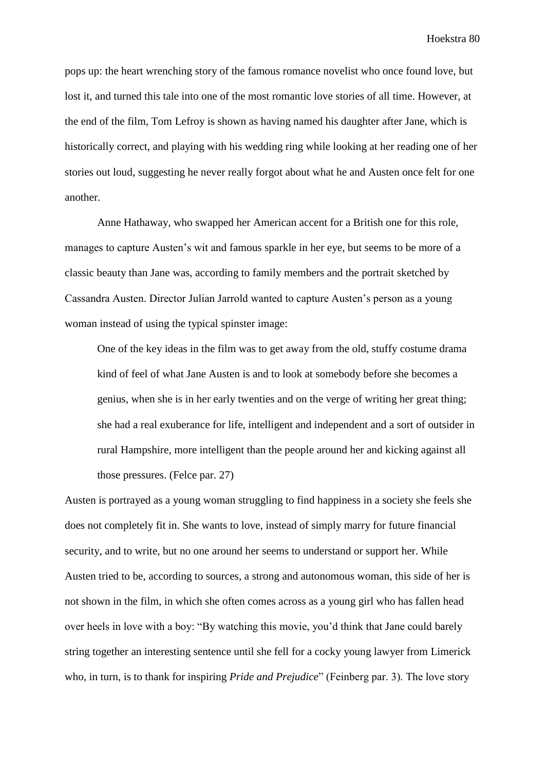pops up: the heart wrenching story of the famous romance novelist who once found love, but lost it, and turned this tale into one of the most romantic love stories of all time. However, at the end of the film, Tom Lefroy is shown as having named his daughter after Jane, which is historically correct, and playing with his wedding ring while looking at her reading one of her stories out loud, suggesting he never really forgot about what he and Austen once felt for one another.

Anne Hathaway, who swapped her American accent for a British one for this role, manages to capture Austen"s wit and famous sparkle in her eye, but seems to be more of a classic beauty than Jane was, according to family members and the portrait sketched by Cassandra Austen. Director Julian Jarrold wanted to capture Austen"s person as a young woman instead of using the typical spinster image:

One of the key ideas in the film was to get away from the old, stuffy costume drama kind of feel of what Jane Austen is and to look at somebody before she becomes a genius, when she is in her early twenties and on the verge of writing her great thing; she had a real exuberance for life, intelligent and independent and a sort of outsider in rural Hampshire, more intelligent than the people around her and kicking against all those pressures. (Felce par. 27)

Austen is portrayed as a young woman struggling to find happiness in a society she feels she does not completely fit in. She wants to love, instead of simply marry for future financial security, and to write, but no one around her seems to understand or support her. While Austen tried to be, according to sources, a strong and autonomous woman, this side of her is not shown in the film, in which she often comes across as a young girl who has fallen head over heels in love with a boy: "By watching this movie, you"d think that Jane could barely string together an interesting sentence until she fell for a cocky young lawyer from Limerick who, in turn, is to thank for inspiring *Pride and Prejudice*" (Feinberg par. 3). The love story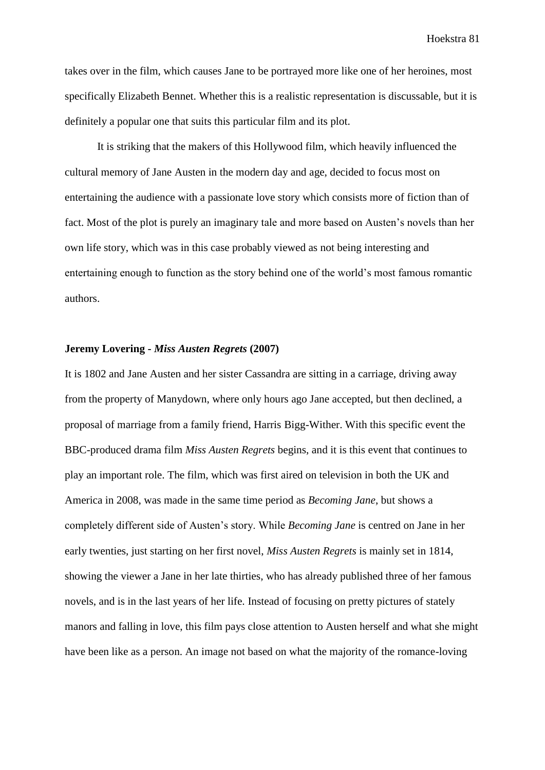takes over in the film, which causes Jane to be portrayed more like one of her heroines, most specifically Elizabeth Bennet. Whether this is a realistic representation is discussable, but it is definitely a popular one that suits this particular film and its plot.

It is striking that the makers of this Hollywood film, which heavily influenced the cultural memory of Jane Austen in the modern day and age, decided to focus most on entertaining the audience with a passionate love story which consists more of fiction than of fact. Most of the plot is purely an imaginary tale and more based on Austen's novels than her own life story, which was in this case probably viewed as not being interesting and entertaining enough to function as the story behind one of the world"s most famous romantic authors.

# **Jeremy Lovering -** *Miss Austen Regrets* **(2007)**

It is 1802 and Jane Austen and her sister Cassandra are sitting in a carriage, driving away from the property of Manydown, where only hours ago Jane accepted, but then declined, a proposal of marriage from a family friend, Harris Bigg-Wither. With this specific event the BBC-produced drama film *Miss Austen Regrets* begins, and it is this event that continues to play an important role. The film, which was first aired on television in both the UK and America in 2008, was made in the same time period as *Becoming Jane*, but shows a completely different side of Austen"s story. While *Becoming Jane* is centred on Jane in her early twenties, just starting on her first novel, *Miss Austen Regrets* is mainly set in 1814, showing the viewer a Jane in her late thirties, who has already published three of her famous novels, and is in the last years of her life. Instead of focusing on pretty pictures of stately manors and falling in love, this film pays close attention to Austen herself and what she might have been like as a person. An image not based on what the majority of the romance-loving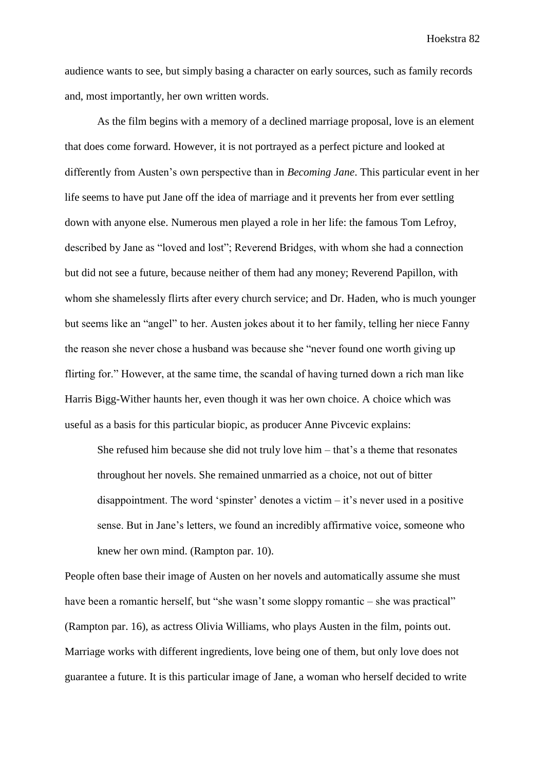audience wants to see, but simply basing a character on early sources, such as family records and, most importantly, her own written words.

As the film begins with a memory of a declined marriage proposal, love is an element that does come forward. However, it is not portrayed as a perfect picture and looked at differently from Austen"s own perspective than in *Becoming Jane*. This particular event in her life seems to have put Jane off the idea of marriage and it prevents her from ever settling down with anyone else. Numerous men played a role in her life: the famous Tom Lefroy, described by Jane as "loved and lost"; Reverend Bridges, with whom she had a connection but did not see a future, because neither of them had any money; Reverend Papillon, with whom she shamelessly flirts after every church service; and Dr. Haden, who is much younger but seems like an "angel" to her. Austen jokes about it to her family, telling her niece Fanny the reason she never chose a husband was because she "never found one worth giving up flirting for." However, at the same time, the scandal of having turned down a rich man like Harris Bigg-Wither haunts her, even though it was her own choice. A choice which was useful as a basis for this particular biopic, as producer Anne Pivcevic explains:

She refused him because she did not truly love him – that"s a theme that resonates throughout her novels. She remained unmarried as a choice, not out of bitter disappointment. The word 'spinster' denotes a victim  $-$  it's never used in a positive sense. But in Jane"s letters, we found an incredibly affirmative voice, someone who knew her own mind. (Rampton par. 10).

People often base their image of Austen on her novels and automatically assume she must have been a romantic herself, but "she wasn't some sloppy romantic – she was practical" (Rampton par. 16), as actress Olivia Williams, who plays Austen in the film, points out. Marriage works with different ingredients, love being one of them, but only love does not guarantee a future. It is this particular image of Jane, a woman who herself decided to write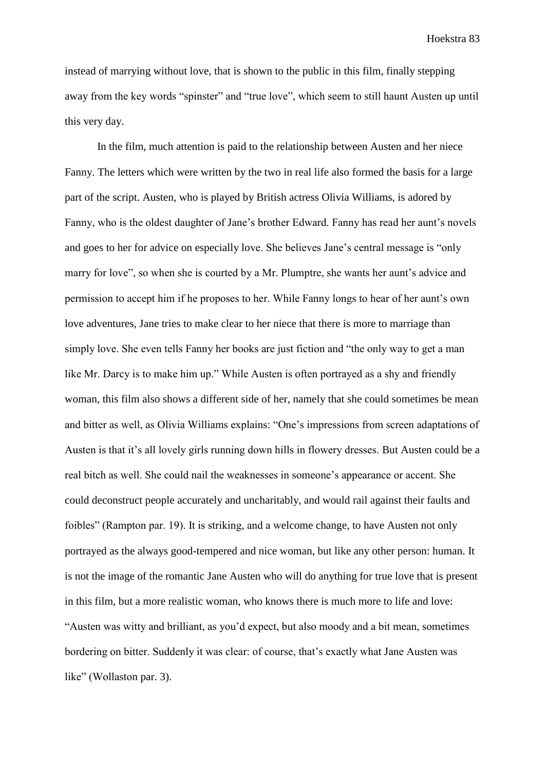instead of marrying without love, that is shown to the public in this film, finally stepping away from the key words "spinster" and "true love", which seem to still haunt Austen up until this very day.

In the film, much attention is paid to the relationship between Austen and her niece Fanny. The letters which were written by the two in real life also formed the basis for a large part of the script. Austen, who is played by British actress Olivia Williams, is adored by Fanny, who is the oldest daughter of Jane's brother Edward. Fanny has read her aunt's novels and goes to her for advice on especially love. She believes Jane"s central message is "only marry for love", so when she is courted by a Mr. Plumptre, she wants her aunt's advice and permission to accept him if he proposes to her. While Fanny longs to hear of her aunt"s own love adventures, Jane tries to make clear to her niece that there is more to marriage than simply love. She even tells Fanny her books are just fiction and "the only way to get a man like Mr. Darcy is to make him up." While Austen is often portrayed as a shy and friendly woman, this film also shows a different side of her, namely that she could sometimes be mean and bitter as well, as Olivia Williams explains: "One"s impressions from screen adaptations of Austen is that it's all lovely girls running down hills in flowery dresses. But Austen could be a real bitch as well. She could nail the weaknesses in someone"s appearance or accent. She could deconstruct people accurately and uncharitably, and would rail against their faults and foibles" (Rampton par. 19). It is striking, and a welcome change, to have Austen not only portrayed as the always good-tempered and nice woman, but like any other person: human. It is not the image of the romantic Jane Austen who will do anything for true love that is present in this film, but a more realistic woman, who knows there is much more to life and love: "Austen was witty and brilliant, as you"d expect, but also moody and a bit mean, sometimes bordering on bitter. Suddenly it was clear: of course, that's exactly what Jane Austen was like" (Wollaston par. 3).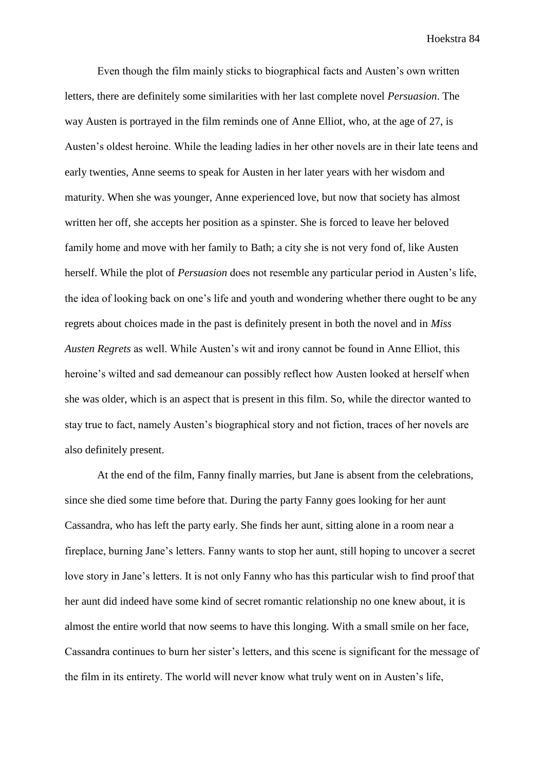Even though the film mainly sticks to biographical facts and Austen"s own written letters, there are definitely some similarities with her last complete novel *Persuasion*. The way Austen is portrayed in the film reminds one of Anne Elliot, who, at the age of 27, is Austen"s oldest heroine. While the leading ladies in her other novels are in their late teens and early twenties, Anne seems to speak for Austen in her later years with her wisdom and maturity. When she was younger, Anne experienced love, but now that society has almost written her off, she accepts her position as a spinster. She is forced to leave her beloved family home and move with her family to Bath; a city she is not very fond of, like Austen herself. While the plot of *Persuasion* does not resemble any particular period in Austen's life, the idea of looking back on one"s life and youth and wondering whether there ought to be any regrets about choices made in the past is definitely present in both the novel and in *Miss Austen Regrets* as well. While Austen"s wit and irony cannot be found in Anne Elliot, this heroine"s wilted and sad demeanour can possibly reflect how Austen looked at herself when she was older, which is an aspect that is present in this film. So, while the director wanted to stay true to fact, namely Austen's biographical story and not fiction, traces of her novels are also definitely present.

At the end of the film, Fanny finally marries, but Jane is absent from the celebrations, since she died some time before that. During the party Fanny goes looking for her aunt Cassandra, who has left the party early. She finds her aunt, sitting alone in a room near a fireplace, burning Jane's letters. Fanny wants to stop her aunt, still hoping to uncover a secret love story in Jane's letters. It is not only Fanny who has this particular wish to find proof that her aunt did indeed have some kind of secret romantic relationship no one knew about, it is almost the entire world that now seems to have this longing. With a small smile on her face, Cassandra continues to burn her sister"s letters, and this scene is significant for the message of the film in its entirety. The world will never know what truly went on in Austen"s life,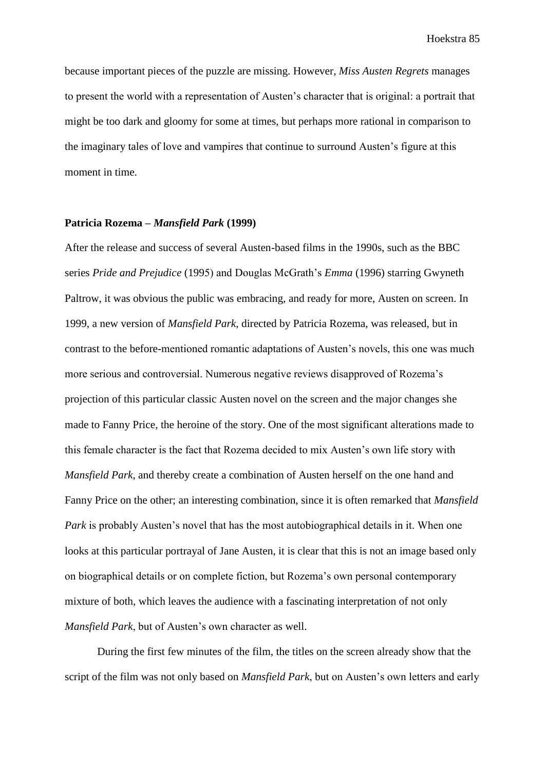because important pieces of the puzzle are missing. However, *Miss Austen Regrets* manages to present the world with a representation of Austen"s character that is original: a portrait that might be too dark and gloomy for some at times, but perhaps more rational in comparison to the imaginary tales of love and vampires that continue to surround Austen"s figure at this moment in time.

### **Patricia Rozema –** *Mansfield Park* **(1999)**

After the release and success of several Austen-based films in the 1990s, such as the BBC series *Pride and Prejudice* (1995) and Douglas McGrath"s *Emma* (1996) starring Gwyneth Paltrow, it was obvious the public was embracing, and ready for more, Austen on screen. In 1999, a new version of *Mansfield Park*, directed by Patricia Rozema, was released, but in contrast to the before-mentioned romantic adaptations of Austen's novels, this one was much more serious and controversial. Numerous negative reviews disapproved of Rozema"s projection of this particular classic Austen novel on the screen and the major changes she made to Fanny Price, the heroine of the story. One of the most significant alterations made to this female character is the fact that Rozema decided to mix Austen"s own life story with *Mansfield Park*, and thereby create a combination of Austen herself on the one hand and Fanny Price on the other; an interesting combination, since it is often remarked that *Mansfield Park* is probably Austen's novel that has the most autobiographical details in it. When one looks at this particular portrayal of Jane Austen, it is clear that this is not an image based only on biographical details or on complete fiction, but Rozema"s own personal contemporary mixture of both, which leaves the audience with a fascinating interpretation of not only *Mansfield Park*, but of Austen's own character as well.

During the first few minutes of the film, the titles on the screen already show that the script of the film was not only based on *Mansfield Park*, but on Austen"s own letters and early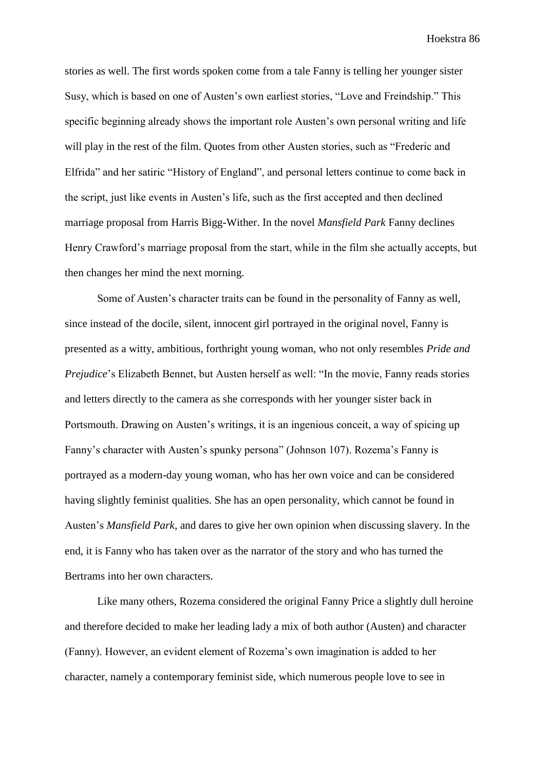stories as well. The first words spoken come from a tale Fanny is telling her younger sister Susy, which is based on one of Austen"s own earliest stories, "Love and Freindship." This specific beginning already shows the important role Austen's own personal writing and life will play in the rest of the film. Quotes from other Austen stories, such as "Frederic and Elfrida" and her satiric "History of England", and personal letters continue to come back in the script, just like events in Austen"s life, such as the first accepted and then declined marriage proposal from Harris Bigg-Wither. In the novel *Mansfield Park* Fanny declines Henry Crawford"s marriage proposal from the start, while in the film she actually accepts, but then changes her mind the next morning.

Some of Austen"s character traits can be found in the personality of Fanny as well, since instead of the docile, silent, innocent girl portrayed in the original novel, Fanny is presented as a witty, ambitious, forthright young woman, who not only resembles *Pride and Prejudice*'s Elizabeth Bennet, but Austen herself as well: "In the movie, Fanny reads stories and letters directly to the camera as she corresponds with her younger sister back in Portsmouth. Drawing on Austen"s writings, it is an ingenious conceit, a way of spicing up Fanny's character with Austen's spunky persona" (Johnson 107). Rozema's Fanny is portrayed as a modern-day young woman, who has her own voice and can be considered having slightly feminist qualities. She has an open personality, which cannot be found in Austen"s *Mansfield Park*, and dares to give her own opinion when discussing slavery. In the end, it is Fanny who has taken over as the narrator of the story and who has turned the Bertrams into her own characters.

Like many others, Rozema considered the original Fanny Price a slightly dull heroine and therefore decided to make her leading lady a mix of both author (Austen) and character (Fanny). However, an evident element of Rozema"s own imagination is added to her character, namely a contemporary feminist side, which numerous people love to see in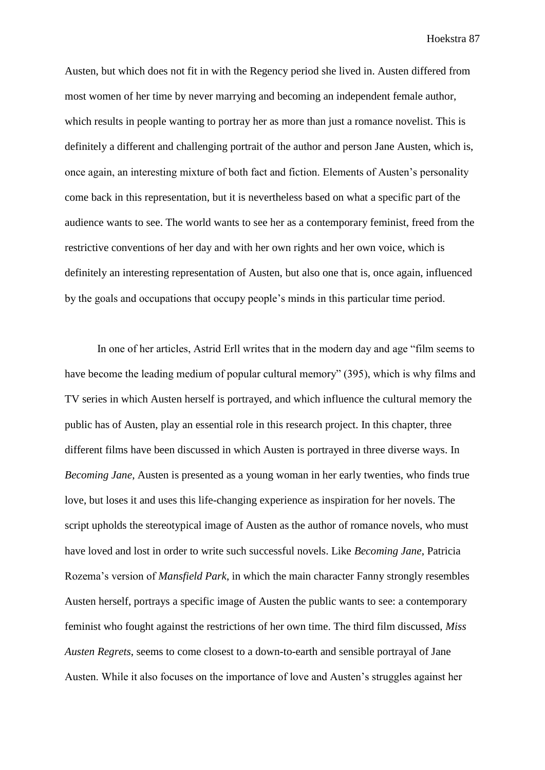Austen, but which does not fit in with the Regency period she lived in. Austen differed from most women of her time by never marrying and becoming an independent female author, which results in people wanting to portray her as more than just a romance novelist. This is definitely a different and challenging portrait of the author and person Jane Austen, which is, once again, an interesting mixture of both fact and fiction. Elements of Austen"s personality come back in this representation, but it is nevertheless based on what a specific part of the audience wants to see. The world wants to see her as a contemporary feminist, freed from the restrictive conventions of her day and with her own rights and her own voice, which is definitely an interesting representation of Austen, but also one that is, once again, influenced by the goals and occupations that occupy people"s minds in this particular time period.

In one of her articles, Astrid Erll writes that in the modern day and age "film seems to have become the leading medium of popular cultural memory" (395), which is why films and TV series in which Austen herself is portrayed, and which influence the cultural memory the public has of Austen, play an essential role in this research project. In this chapter, three different films have been discussed in which Austen is portrayed in three diverse ways. In *Becoming Jane*, Austen is presented as a young woman in her early twenties, who finds true love, but loses it and uses this life-changing experience as inspiration for her novels. The script upholds the stereotypical image of Austen as the author of romance novels, who must have loved and lost in order to write such successful novels. Like *Becoming Jane*, Patricia Rozema"s version of *Mansfield Park*, in which the main character Fanny strongly resembles Austen herself, portrays a specific image of Austen the public wants to see: a contemporary feminist who fought against the restrictions of her own time. The third film discussed, *Miss Austen Regrets*, seems to come closest to a down-to-earth and sensible portrayal of Jane Austen. While it also focuses on the importance of love and Austen"s struggles against her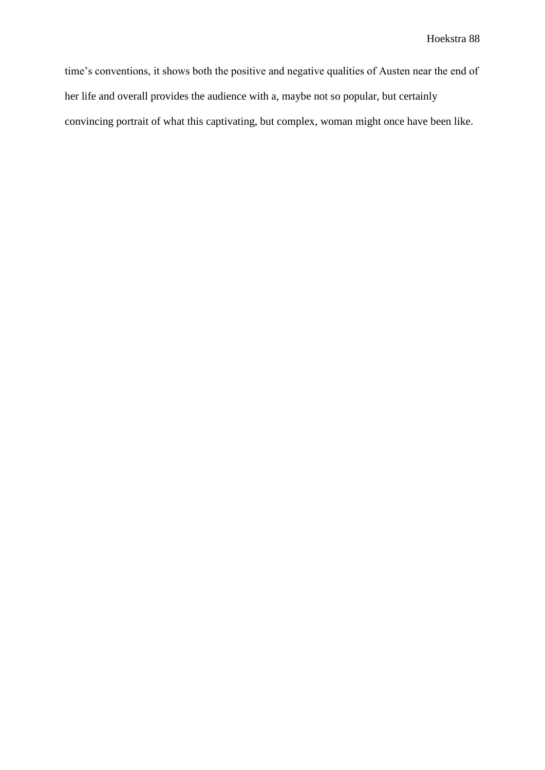time"s conventions, it shows both the positive and negative qualities of Austen near the end of her life and overall provides the audience with a, maybe not so popular, but certainly convincing portrait of what this captivating, but complex, woman might once have been like.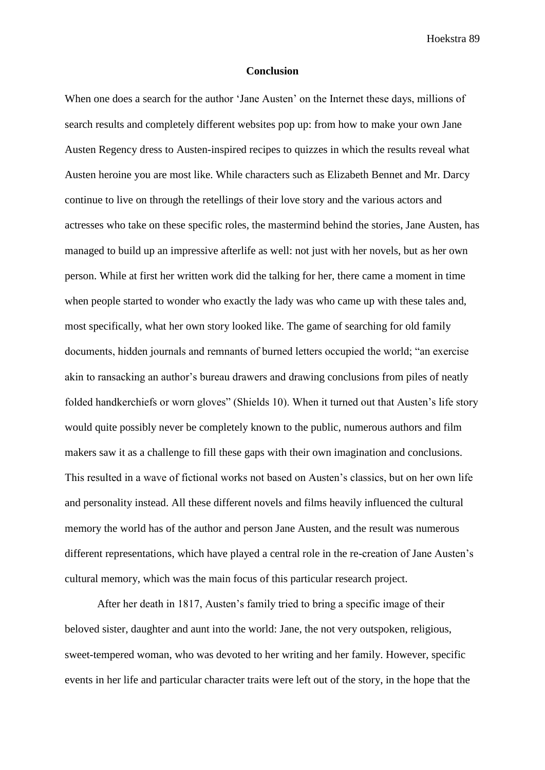# **Conclusion**

When one does a search for the author 'Jane Austen' on the Internet these days, millions of search results and completely different websites pop up: from how to make your own Jane Austen Regency dress to Austen-inspired recipes to quizzes in which the results reveal what Austen heroine you are most like. While characters such as Elizabeth Bennet and Mr. Darcy continue to live on through the retellings of their love story and the various actors and actresses who take on these specific roles, the mastermind behind the stories, Jane Austen, has managed to build up an impressive afterlife as well: not just with her novels, but as her own person. While at first her written work did the talking for her, there came a moment in time when people started to wonder who exactly the lady was who came up with these tales and, most specifically, what her own story looked like. The game of searching for old family documents, hidden journals and remnants of burned letters occupied the world; "an exercise akin to ransacking an author"s bureau drawers and drawing conclusions from piles of neatly folded handkerchiefs or worn gloves" (Shields 10). When it turned out that Austen's life story would quite possibly never be completely known to the public, numerous authors and film makers saw it as a challenge to fill these gaps with their own imagination and conclusions. This resulted in a wave of fictional works not based on Austen"s classics, but on her own life and personality instead. All these different novels and films heavily influenced the cultural memory the world has of the author and person Jane Austen, and the result was numerous different representations, which have played a central role in the re-creation of Jane Austen"s cultural memory, which was the main focus of this particular research project.

After her death in 1817, Austen's family tried to bring a specific image of their beloved sister, daughter and aunt into the world: Jane, the not very outspoken, religious, sweet-tempered woman, who was devoted to her writing and her family. However, specific events in her life and particular character traits were left out of the story, in the hope that the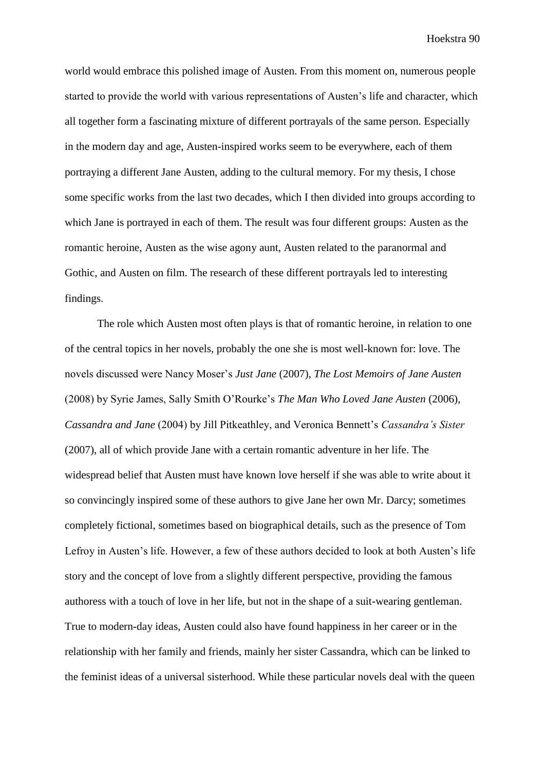world would embrace this polished image of Austen. From this moment on, numerous people started to provide the world with various representations of Austen"s life and character, which all together form a fascinating mixture of different portrayals of the same person. Especially in the modern day and age, Austen-inspired works seem to be everywhere, each of them portraying a different Jane Austen, adding to the cultural memory. For my thesis, I chose some specific works from the last two decades, which I then divided into groups according to which Jane is portrayed in each of them. The result was four different groups: Austen as the romantic heroine, Austen as the wise agony aunt, Austen related to the paranormal and Gothic, and Austen on film. The research of these different portrayals led to interesting findings.

The role which Austen most often plays is that of romantic heroine, in relation to one of the central topics in her novels, probably the one she is most well-known for: love. The novels discussed were Nancy Moser"s *Just Jane* (2007), *The Lost Memoirs of Jane Austen* (2008) by Syrie James, Sally Smith O"Rourke"s *The Man Who Loved Jane Austen* (2006), *Cassandra and Jane* (2004) by Jill Pitkeathley, and Veronica Bennett"s *Cassandra's Sister* (2007), all of which provide Jane with a certain romantic adventure in her life. The widespread belief that Austen must have known love herself if she was able to write about it so convincingly inspired some of these authors to give Jane her own Mr. Darcy; sometimes completely fictional, sometimes based on biographical details, such as the presence of Tom Lefroy in Austen's life. However, a few of these authors decided to look at both Austen's life story and the concept of love from a slightly different perspective, providing the famous authoress with a touch of love in her life, but not in the shape of a suit-wearing gentleman. True to modern-day ideas, Austen could also have found happiness in her career or in the relationship with her family and friends, mainly her sister Cassandra, which can be linked to the feminist ideas of a universal sisterhood. While these particular novels deal with the queen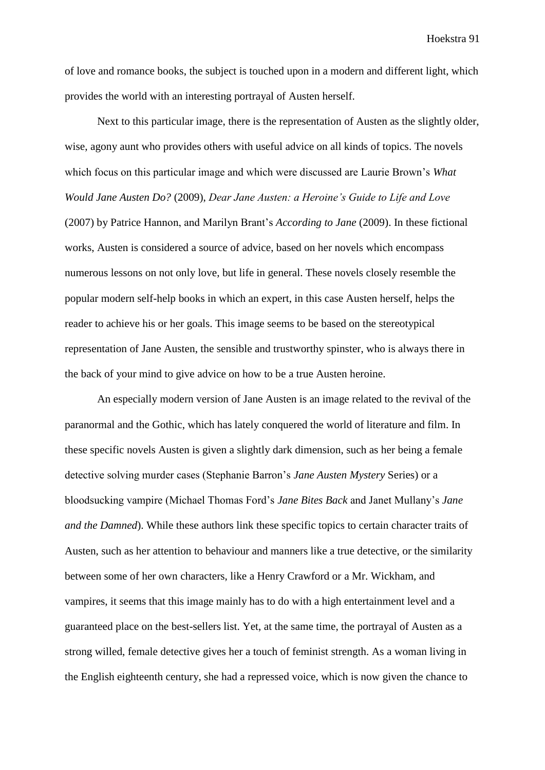of love and romance books, the subject is touched upon in a modern and different light, which provides the world with an interesting portrayal of Austen herself.

Next to this particular image, there is the representation of Austen as the slightly older, wise, agony aunt who provides others with useful advice on all kinds of topics. The novels which focus on this particular image and which were discussed are Laurie Brown"s *What Would Jane Austen Do?* (2009), *Dear Jane Austen: a Heroine's Guide to Life and Love* (2007) by Patrice Hannon, and Marilyn Brant"s *According to Jane* (2009). In these fictional works, Austen is considered a source of advice, based on her novels which encompass numerous lessons on not only love, but life in general. These novels closely resemble the popular modern self-help books in which an expert, in this case Austen herself, helps the reader to achieve his or her goals. This image seems to be based on the stereotypical representation of Jane Austen, the sensible and trustworthy spinster, who is always there in the back of your mind to give advice on how to be a true Austen heroine.

An especially modern version of Jane Austen is an image related to the revival of the paranormal and the Gothic, which has lately conquered the world of literature and film. In these specific novels Austen is given a slightly dark dimension, such as her being a female detective solving murder cases (Stephanie Barron"s *Jane Austen Mystery* Series) or a bloodsucking vampire (Michael Thomas Ford"s *Jane Bites Back* and Janet Mullany"s *Jane and the Damned*). While these authors link these specific topics to certain character traits of Austen, such as her attention to behaviour and manners like a true detective, or the similarity between some of her own characters, like a Henry Crawford or a Mr. Wickham, and vampires, it seems that this image mainly has to do with a high entertainment level and a guaranteed place on the best-sellers list. Yet, at the same time, the portrayal of Austen as a strong willed, female detective gives her a touch of feminist strength. As a woman living in the English eighteenth century, she had a repressed voice, which is now given the chance to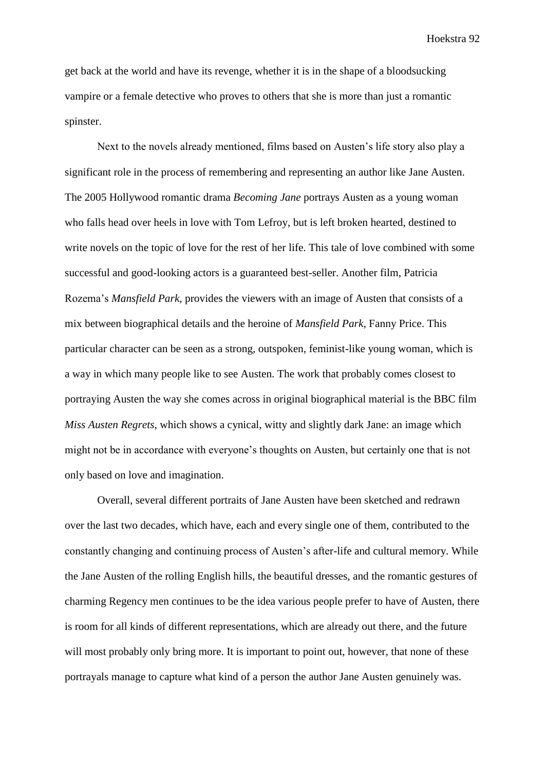get back at the world and have its revenge, whether it is in the shape of a bloodsucking vampire or a female detective who proves to others that she is more than just a romantic spinster.

Next to the novels already mentioned, films based on Austen"s life story also play a significant role in the process of remembering and representing an author like Jane Austen. The 2005 Hollywood romantic drama *Becoming Jane* portrays Austen as a young woman who falls head over heels in love with Tom Lefroy, but is left broken hearted, destined to write novels on the topic of love for the rest of her life. This tale of love combined with some successful and good-looking actors is a guaranteed best-seller. Another film, Patricia Rozema"s *Mansfield Park*, provides the viewers with an image of Austen that consists of a mix between biographical details and the heroine of *Mansfield Park*, Fanny Price. This particular character can be seen as a strong, outspoken, feminist-like young woman, which is a way in which many people like to see Austen. The work that probably comes closest to portraying Austen the way she comes across in original biographical material is the BBC film *Miss Austen Regrets*, which shows a cynical, witty and slightly dark Jane: an image which might not be in accordance with everyone"s thoughts on Austen, but certainly one that is not only based on love and imagination.

Overall, several different portraits of Jane Austen have been sketched and redrawn over the last two decades, which have, each and every single one of them, contributed to the constantly changing and continuing process of Austen's after-life and cultural memory. While the Jane Austen of the rolling English hills, the beautiful dresses, and the romantic gestures of charming Regency men continues to be the idea various people prefer to have of Austen, there is room for all kinds of different representations, which are already out there, and the future will most probably only bring more. It is important to point out, however, that none of these portrayals manage to capture what kind of a person the author Jane Austen genuinely was.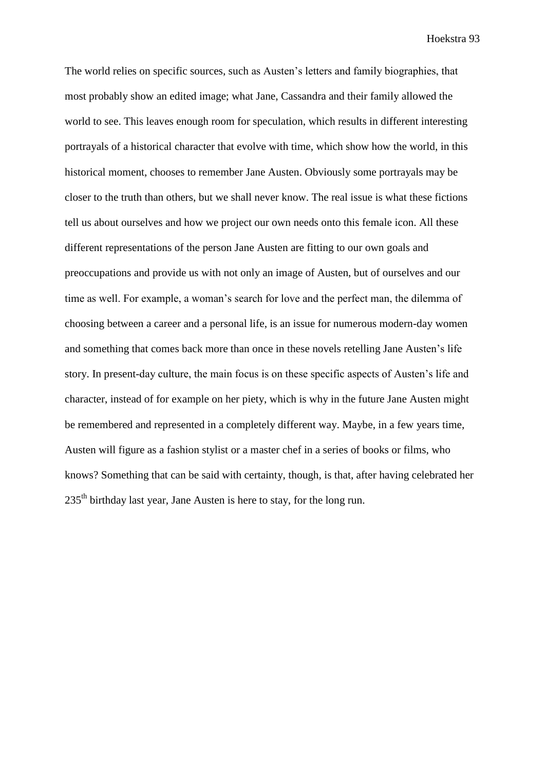The world relies on specific sources, such as Austen"s letters and family biographies, that most probably show an edited image; what Jane, Cassandra and their family allowed the world to see. This leaves enough room for speculation, which results in different interesting portrayals of a historical character that evolve with time, which show how the world, in this historical moment, chooses to remember Jane Austen. Obviously some portrayals may be closer to the truth than others, but we shall never know. The real issue is what these fictions tell us about ourselves and how we project our own needs onto this female icon. All these different representations of the person Jane Austen are fitting to our own goals and preoccupations and provide us with not only an image of Austen, but of ourselves and our time as well. For example, a woman's search for love and the perfect man, the dilemma of choosing between a career and a personal life, is an issue for numerous modern-day women and something that comes back more than once in these novels retelling Jane Austen"s life story. In present-day culture, the main focus is on these specific aspects of Austen"s life and character, instead of for example on her piety, which is why in the future Jane Austen might be remembered and represented in a completely different way. Maybe, in a few years time, Austen will figure as a fashion stylist or a master chef in a series of books or films, who knows? Something that can be said with certainty, though, is that, after having celebrated her 235<sup>th</sup> birthday last year, Jane Austen is here to stay, for the long run.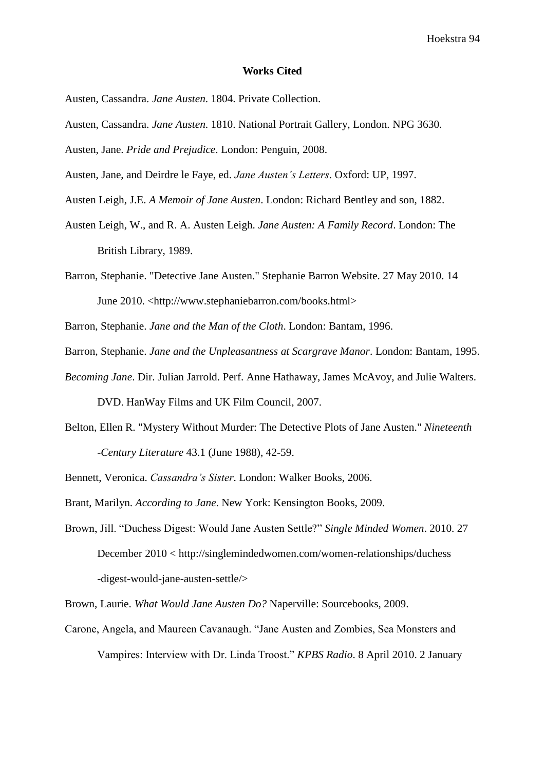#### **Works Cited**

Austen, Cassandra. *Jane Austen*. 1804. Private Collection.

Austen, Cassandra. *Jane Austen*. 1810. National Portrait Gallery, London. NPG 3630.

Austen, Jane. *Pride and Prejudice*. London: Penguin, 2008.

Austen, Jane, and Deirdre le Faye, ed. *Jane Austen's Letters*. Oxford: UP, 1997.

Austen Leigh, J.E. *A Memoir of Jane Austen*. London: Richard Bentley and son, 1882.

Austen Leigh, W., and R. A. Austen Leigh. *Jane Austen: A Family Record*. London: The British Library, 1989.

Barron, Stephanie. "Detective Jane Austen." Stephanie Barron Website. 27 May 2010. 14 June 2010. <http://www.stephaniebarron.com/books.html>

Barron, Stephanie. *Jane and the Man of the Cloth*. London: Bantam, 1996.

Barron, Stephanie. *Jane and the Unpleasantness at Scargrave Manor*. London: Bantam, 1995.

*Becoming Jane*. Dir. Julian Jarrold. Perf. Anne Hathaway, James McAvoy, and Julie Walters.

DVD. HanWay Films and UK Film Council, 2007.

Belton, Ellen R. "Mystery Without Murder: The Detective Plots of Jane Austen." *Nineteenth -Century Literature* 43.1 (June 1988), 42-59.

Bennett, Veronica. *Cassandra's Sister*. London: Walker Books, 2006.

Brant, Marilyn. *According to Jane*. New York: Kensington Books, 2009.

Brown, Jill. "Duchess Digest: Would Jane Austen Settle?" *Single Minded Women*. 2010. 27 December 2010 <<http://singlemindedwomen.com/women-relationships/duchess> -digest-would-jane-austen-settle/>

Brown, Laurie. *What Would Jane Austen Do?* Naperville: Sourcebooks, 2009.

Carone, Angela, and Maureen Cavanaugh. "Jane Austen and Zombies, Sea Monsters and Vampires: Interview with Dr. Linda Troost." *KPBS Radio*. 8 April 2010. 2 January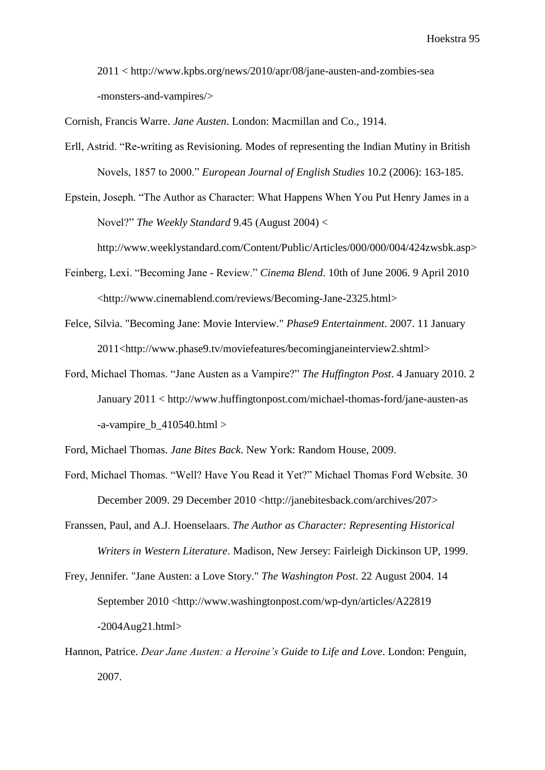2011 <<http://www.kpbs.org/news/2010/apr/08/jane-austen-and-zombies-sea> -monsters-and-vampires/>

Cornish, Francis Warre. *Jane Austen*. London: Macmillan and Co., 1914.

Erll, Astrid. "Re-writing as Revisioning. Modes of representing the Indian Mutiny in British Novels, 1857 to 2000." *European Journal of English Studies* 10.2 (2006): 163-185.

Epstein, Joseph. "The Author as Character: What Happens When You Put Henry James in a Novel?" *The Weekly Standard* 9.45 (August 2004) <

http://www.weeklystandard.com/Content/Public/Articles/000/000/004/424zwsbk.asp>

- Feinberg, Lexi. "Becoming Jane Review." *Cinema Blend*. 10th of June 2006. 9 April 2010 <http://www.cinemablend.com/reviews/Becoming-Jane-2325.html>
- Felce, Silvia. "Becoming Jane: Movie Interview." *Phase9 Entertainment*. 2007. 11 January 2011<http://www.phase9.tv/moviefeatures/becomingjaneinterview2.shtml>
- Ford, Michael Thomas. "Jane Austen as a Vampire?" *The Huffington Post*. 4 January 2010. 2 January 2011 <<http://www.huffingtonpost.com/michael-thomas-ford/jane-austen-as>  $-a$ -vampire\_b\_410540.html >

Ford, Michael Thomas. *Jane Bites Back*. New York: Random House, 2009.

- Ford, Michael Thomas. "Well? Have You Read it Yet?" Michael Thomas Ford Website. 30 December 2009. 29 December 2010 <http://janebitesback.com/archives/207>
- Franssen, Paul, and A.J. Hoenselaars. *The Author as Character: Representing Historical Writers in Western Literature*. Madison, New Jersey: Fairleigh Dickinson UP, 1999.
- Frey, Jennifer. "Jane Austen: a Love Story." *The Washington Post*. 22 August 2004. 14 September 2010 <http://www.washingtonpost.com/wp-dyn/articles/A22819 -2004Aug21.html>
- Hannon, Patrice. *Dear Jane Austen: a Heroine's Guide to Life and Love*. London: Penguin, 2007.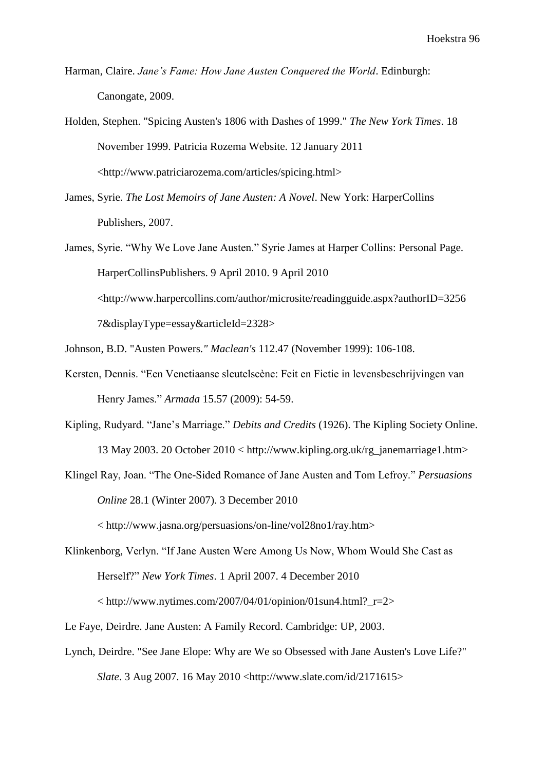- Harman, Claire. *Jane's Fame: How Jane Austen Conquered the World*. Edinburgh: Canongate, 2009.
- Holden, Stephen. "Spicing Austen's 1806 with Dashes of 1999." *The New York Times*. 18 November 1999. Patricia Rozema Website. 12 January 2011 <http://www.patriciarozema.com/articles/spicing.html>
- James, Syrie. *The Lost Memoirs of Jane Austen: A Novel*. New York: HarperCollins Publishers, 2007.
- James, Syrie. "Why We Love Jane Austen." Syrie James at Harper Collins: Personal Page. HarperCollinsPublishers. 9 April 2010. 9 April 2010 <http://www.harpercollins.com/author/microsite/readingguide.aspx?authorID=3256 7&displayType=essay&articleId=2328>
- Johnson, B.D. "Austen Powers*." Maclean's* 112.47 (November 1999): 106-108.
- Kersten, Dennis. "Een Venetiaanse sleutelscène: Feit en Fictie in levensbeschrijvingen van Henry James." *Armada* 15.57 (2009): 54-59.
- Kipling, Rudyard. "Jane"s Marriage." *Debits and Credits* (1926). The Kipling Society Online. 13 May 2003. 20 October 2010 < http://www.kipling.org.uk/rg\_janemarriage1.htm>
- Klingel Ray, Joan. "The One-Sided Romance of Jane Austen and Tom Lefroy." *Persuasions Online* 28.1 (Winter 2007). 3 December 2010

< http://www.jasna.org/persuasions/on-line/vol28no1/ray.htm>

- Klinkenborg, Verlyn. "If Jane Austen Were Among Us Now, Whom Would She Cast as Herself?" *New York Times*. 1 April 2007. 4 December 2010  $\langle$ http://www.nytimes.com/2007/04/01/opinion/01sun4.html?\_r=2>
- Le Faye, Deirdre. Jane Austen: A Family Record. Cambridge: UP, 2003.
- Lynch, Deirdre. "See Jane Elope: Why are We so Obsessed with Jane Austen's Love Life?" *Slate*. 3 Aug 2007. 16 May 2010 <http://www.slate.com/id/2171615>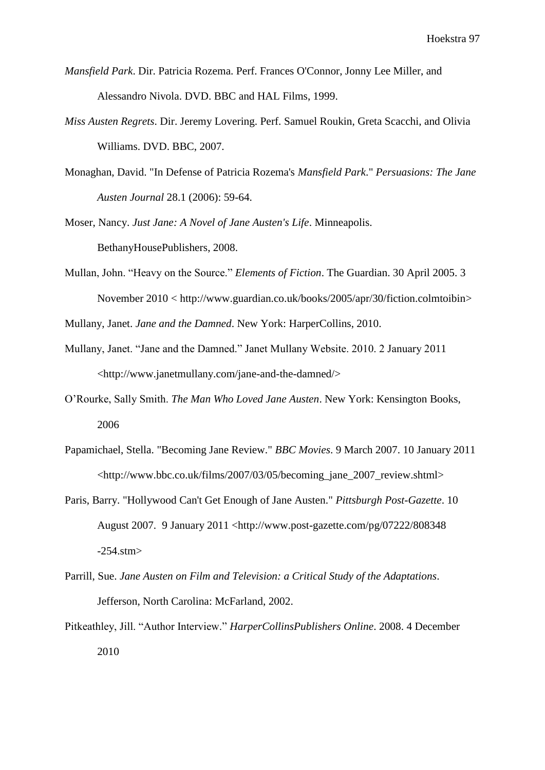- *Mansfield Park*. Dir. Patricia Rozema. Perf. Frances O'Connor, Jonny Lee Miller, and Alessandro Nivola. DVD. BBC and HAL Films, 1999.
- *Miss Austen Regrets*. Dir. Jeremy Lovering. Perf. Samuel Roukin, Greta Scacchi, and Olivia Williams. DVD. BBC, 2007.
- Monaghan, David. "In Defense of Patricia Rozema's *Mansfield Park*." *Persuasions: The Jane Austen Journal* 28.1 (2006): 59-64.

Moser, Nancy. *Just Jane: A Novel of Jane Austen's Life*. Minneapolis. BethanyHousePublishers, 2008.

Mullan, John. "Heavy on the Source." *Elements of Fiction*. The Guardian. 30 April 2005. 3 November 2010 < [http://www.guardian.co.uk/books/2005/apr/30/fiction.colmtoibin>](http://www.guardian.co.uk/books/2005/apr/30/fiction.colmtoibin)

Mullany, Janet. *Jane and the Damned*. New York: HarperCollins, 2010.

- Mullany, Janet. "Jane and the Damned." Janet Mullany Website. 2010. 2 January 2011 <http://www.janetmullany.com/jane-and-the-damned/>
- O"Rourke, Sally Smith. *The Man Who Loved Jane Austen*. New York: Kensington Books, 2006
- Papamichael, Stella. "Becoming Jane Review." *BBC Movies*. 9 March 2007. 10 January 2011 <http://www.bbc.co.uk/films/2007/03/05/becoming\_jane\_2007\_review.shtml>
- Paris, Barry. "Hollywood Can't Get Enough of Jane Austen." *Pittsburgh Post-Gazette*. 10 August 2007. 9 January 2011 <http://www.post-gazette.com/pg/07222/808348  $-254.s$ tm $>$
- Parrill, Sue. *Jane Austen on Film and Television: a Critical Study of the Adaptations*. Jefferson, North Carolina: McFarland, 2002.
- Pitkeathley, Jill. "Author Interview." *HarperCollinsPublishers Online*. 2008. 4 December 2010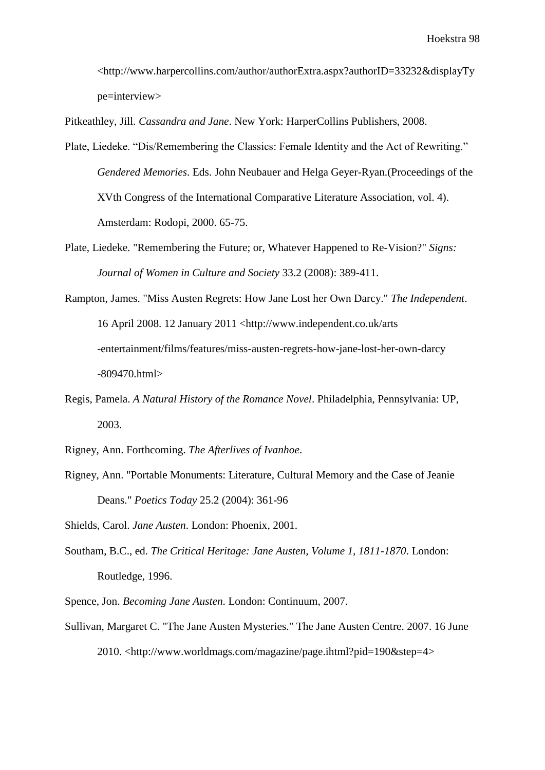[<http://www.harpercollins.com/author/authorExtra.aspx?authorID=33232&displayTy](http://www.harpercollins.com/author/authorExtra.aspx?authorID=33232&displayType=interview) [pe=interview>](http://www.harpercollins.com/author/authorExtra.aspx?authorID=33232&displayType=interview)

Pitkeathley, Jill. *Cassandra and Jane*. New York: HarperCollins Publishers, 2008.

- Plate, Liedeke. "Dis/Remembering the Classics: Female Identity and the Act of Rewriting." *Gendered Memories*. Eds. John Neubauer and Helga Geyer-Ryan.(Proceedings of the XVth Congress of the International Comparative Literature Association, vol. 4). Amsterdam: Rodopi, 2000. 65-75.
- Plate, Liedeke. "Remembering the Future; or, Whatever Happened to Re-Vision?" *Signs: Journal of Women in Culture and Society* 33.2 (2008): 389-411.
- Rampton, James. "Miss Austen Regrets: How Jane Lost her Own Darcy." *The Independent*. 16 April 2008. 12 January 2011 <http://www.independent.co.uk/arts -entertainment/films/features/miss-austen-regrets-how-jane-lost-her-own-darcy -809470.html>
- Regis, Pamela. *A Natural History of the Romance Novel*. Philadelphia, Pennsylvania: UP, 2003.
- Rigney, Ann. Forthcoming. *The Afterlives of Ivanhoe*.
- Rigney, Ann. "Portable Monuments: Literature, Cultural Memory and the Case of Jeanie Deans." *Poetics Today* 25.2 (2004): 361-96

Shields, Carol. *Jane Austen*. London: Phoenix, 2001.

Southam, B.C., ed. *The Critical Heritage: Jane Austen, Volume 1, 1811-1870*. London: Routledge, 1996.

Spence, Jon. *Becoming Jane Austen*. London: Continuum, 2007.

Sullivan, Margaret C. "The Jane Austen Mysteries." The Jane Austen Centre. 2007. 16 June 2010. <http://www.worldmags.com/magazine/page.ihtml?pid=190&step=4>